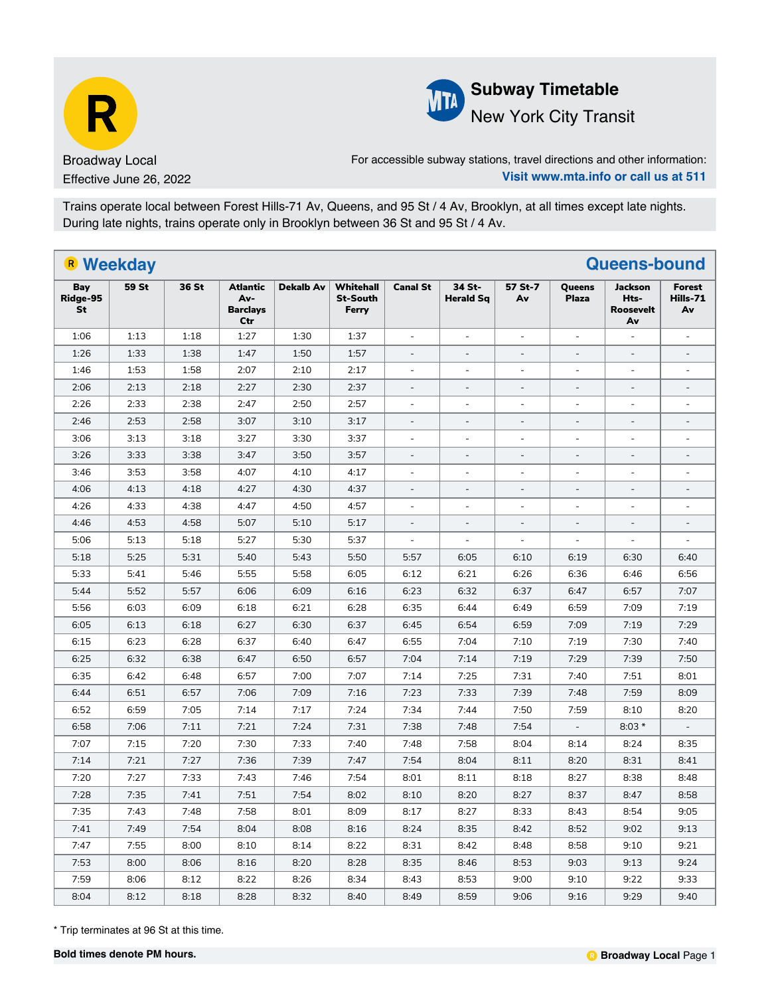



New York City Transit

For accessible subway stations, travel directions and other information: **Visit www.mta.info or call us at 511**

Trains operate local between Forest Hills-71 Av, Queens, and 95 St / 4 Av, Brooklyn, at all times except late nights. During late nights, trains operate only in Brooklyn between 36 St and 95 St / 4 Av.

| R Weekday             |       |       |                                                  |                  |                                              |                          |                            |                          |                          | <b>Queens-bound</b>                              |                          |
|-----------------------|-------|-------|--------------------------------------------------|------------------|----------------------------------------------|--------------------------|----------------------------|--------------------------|--------------------------|--------------------------------------------------|--------------------------|
| Bay<br>Ridge-95<br>St | 59 St | 36 St | <b>Atlantic</b><br>Av-<br><b>Barclays</b><br>Ctr | <b>Dekalb Av</b> | <b>Whitehall</b><br><b>St-South</b><br>Ferry | <b>Canal St</b>          | 34 St-<br><b>Herald Sq</b> | 57 St-7<br>Av            | Queens<br><b>Plaza</b>   | <b>Jackson</b><br>Hts-<br><b>Roosevelt</b><br>Av | Forest<br>Hills-71<br>Av |
| 1:06                  | 1:13  | 1:18  | 1:27                                             | 1:30             | 1:37                                         | $\Box$                   | $\blacksquare$             | $\equiv$                 | $\equiv$                 | $\equiv$                                         | $\overline{a}$           |
| 1:26                  | 1:33  | 1:38  | 1:47                                             | 1:50             | 1:57                                         | $\overline{\phantom{a}}$ | $\blacksquare$             | $\overline{\phantom{a}}$ | $\overline{\phantom{a}}$ | $\blacksquare$                                   | $\equiv$                 |
| 1:46                  | 1:53  | 1:58  | 2:07                                             | 2:10             | 2:17                                         | $\blacksquare$           | $\overline{\phantom{a}}$   | $\overline{\phantom{a}}$ | $\overline{\phantom{a}}$ | $\blacksquare$                                   | $\blacksquare$           |
| 2:06                  | 2:13  | 2:18  | 2:27                                             | 2:30             | 2:37                                         | $\overline{\phantom{a}}$ | $\overline{\phantom{a}}$   | $\overline{\phantom{a}}$ | $\blacksquare$           | $\qquad \qquad =$                                | $\overline{\phantom{a}}$ |
| 2:26                  | 2:33  | 2:38  | 2:47                                             | 2:50             | 2:57                                         | L.                       | $\mathbf{r}$               | $\mathbf{r}$             | $\mathbf{r}$             | $\overline{a}$                                   | $\overline{a}$           |
| 2:46                  | 2:53  | 2:58  | 3:07                                             | 3:10             | 3:17                                         | $\overline{a}$           | $\overline{a}$             | $\overline{\phantom{a}}$ | $\mathbf{r}$             |                                                  | $\overline{\phantom{a}}$ |
| 3:06                  | 3:13  | 3:18  | 3:27                                             | 3:30             | 3:37                                         | $\blacksquare$           | $\overline{\phantom{a}}$   | $\blacksquare$           | $\overline{\phantom{a}}$ | $\blacksquare$                                   | $\blacksquare$           |
| 3:26                  | 3:33  | 3:38  | 3:47                                             | 3:50             | 3:57                                         | $\overline{a}$           | $\overline{a}$             | $\overline{a}$           | $\overline{a}$           | $\overline{a}$                                   | $\overline{a}$           |
| 3:46                  | 3:53  | 3:58  | 4:07                                             | 4:10             | 4:17                                         | $\overline{a}$           | $\overline{a}$             | $\overline{a}$           | $\overline{a}$           | $\blacksquare$                                   | $\overline{a}$           |
| 4:06                  | 4:13  | 4:18  | 4:27                                             | 4:30             | 4:37                                         | $\overline{\phantom{a}}$ | $\blacksquare$             | $\overline{\phantom{a}}$ | $\blacksquare$           | $\blacksquare$                                   | $\overline{\phantom{a}}$ |
| 4:26                  | 4:33  | 4:38  | 4:47                                             | 4:50             | 4:57                                         | $\blacksquare$           | $\blacksquare$             | $\blacksquare$           | $\bar{a}$                | ÷,                                               | ÷,                       |
| 4:46                  | 4:53  | 4:58  | 5:07                                             | 5:10             | 5:17                                         | $\overline{\phantom{a}}$ | $\blacksquare$             | $\overline{\phantom{a}}$ | $\overline{\phantom{a}}$ | $\overline{a}$                                   | $\overline{a}$           |
| 5:06                  | 5:13  | 5:18  | 5:27                                             | 5:30             | 5:37                                         | $\Box$                   | $\equiv$                   | $\equiv$                 | $\equiv$                 | $\mathbf{r}$                                     | $\bar{\phantom{a}}$      |
| 5:18                  | 5:25  | 5:31  | 5:40                                             | 5:43             | 5:50                                         | 5:57                     | 6:05                       | 6:10                     | 6:19                     | 6:30                                             | 6:40                     |
| 5:33                  | 5:41  | 5:46  | 5:55                                             | 5:58             | 6:05                                         | 6:12                     | 6:21                       | 6:26                     | 6:36                     | 6:46                                             | 6:56                     |
| 5:44                  | 5:52  | 5:57  | 6:06                                             | 6:09             | 6:16                                         | 6:23                     | 6:32                       | 6:37                     | 6:47                     | 6:57                                             | 7:07                     |
| 5:56                  | 6:03  | 6:09  | 6:18                                             | 6:21             | 6:28                                         | 6:35                     | 6:44                       | 6:49                     | 6:59                     | 7:09                                             | 7:19                     |
| 6:05                  | 6:13  | 6:18  | 6:27                                             | 6:30             | 6:37                                         | 6:45                     | 6:54                       | 6:59                     | 7:09                     | 7:19                                             | 7:29                     |
| 6:15                  | 6:23  | 6:28  | 6:37                                             | 6:40             | 6:47                                         | 6:55                     | 7:04                       | 7:10                     | 7:19                     | 7:30                                             | 7:40                     |
| 6:25                  | 6:32  | 6:38  | 6:47                                             | 6:50             | 6:57                                         | 7:04                     | 7:14                       | 7:19                     | 7:29                     | 7:39                                             | 7:50                     |
| 6:35                  | 6:42  | 6:48  | 6:57                                             | 7:00             | 7:07                                         | 7:14                     | 7:25                       | 7:31                     | 7:40                     | 7:51                                             | 8:01                     |
| 6:44                  | 6:51  | 6:57  | 7:06                                             | 7:09             | 7:16                                         | 7:23                     | 7:33                       | 7:39                     | 7:48                     | 7:59                                             | 8:09                     |
| 6:52                  | 6:59  | 7:05  | 7:14                                             | 7:17             | 7:24                                         | 7:34                     | 7:44                       | 7:50                     | 7:59                     | 8:10                                             | 8:20                     |
| 6:58                  | 7:06  | 7:11  | 7:21                                             | 7:24             | 7:31                                         | 7:38                     | 7:48                       | 7:54                     | $\overline{\phantom{a}}$ | $8:03*$                                          | $\overline{\phantom{a}}$ |
| 7:07                  | 7:15  | 7:20  | 7:30                                             | 7:33             | 7:40                                         | 7:48                     | 7:58                       | 8:04                     | 8:14                     | 8:24                                             | 8:35                     |
| 7:14                  | 7:21  | 7:27  | 7:36                                             | 7:39             | 7:47                                         | 7:54                     | 8:04                       | 8:11                     | 8:20                     | 8:31                                             | 8:41                     |
| 7:20                  | 7:27  | 7:33  | 7:43                                             | 7:46             | 7:54                                         | 8:01                     | 8:11                       | 8:18                     | 8:27                     | 8:38                                             | 8:48                     |
| 7:28                  | 7:35  | 7:41  | 7:51                                             | 7:54             | 8:02                                         | 8:10                     | 8:20                       | 8:27                     | 8:37                     | 8:47                                             | 8:58                     |
| 7:35                  | 7:43  | 7:48  | 7:58                                             | 8:01             | 8:09                                         | 8:17                     | 8:27                       | 8:33                     | 8:43                     | 8:54                                             | 9:05                     |
| 7:41                  | 7:49  | 7:54  | 8:04                                             | 8:08             | 8:16                                         | 8:24                     | 8:35                       | 8:42                     | 8:52                     | 9:02                                             | 9:13                     |
| 7:47                  | 7:55  | 8:00  | 8:10                                             | 8:14             | 8:22                                         | 8:31                     | 8:42                       | 8:48                     | 8:58                     | 9:10                                             | 9:21                     |
| 7:53                  | 8:00  | 8:06  | 8:16                                             | 8:20             | 8:28                                         | 8:35                     | 8:46                       | 8:53                     | 9:03                     | 9:13                                             | 9:24                     |
| 7:59                  | 8:06  | 8:12  | 8:22                                             | 8:26             | 8:34                                         | 8:43                     | 8:53                       | 9:00                     | 9:10                     | 9:22                                             | 9:33                     |
| 8:04                  | 8:12  | 8:18  | 8:28                                             | 8:32             | 8:40                                         | 8:49                     | 8:59                       | 9:06                     | 9:16                     | 9:29                                             | 9:40                     |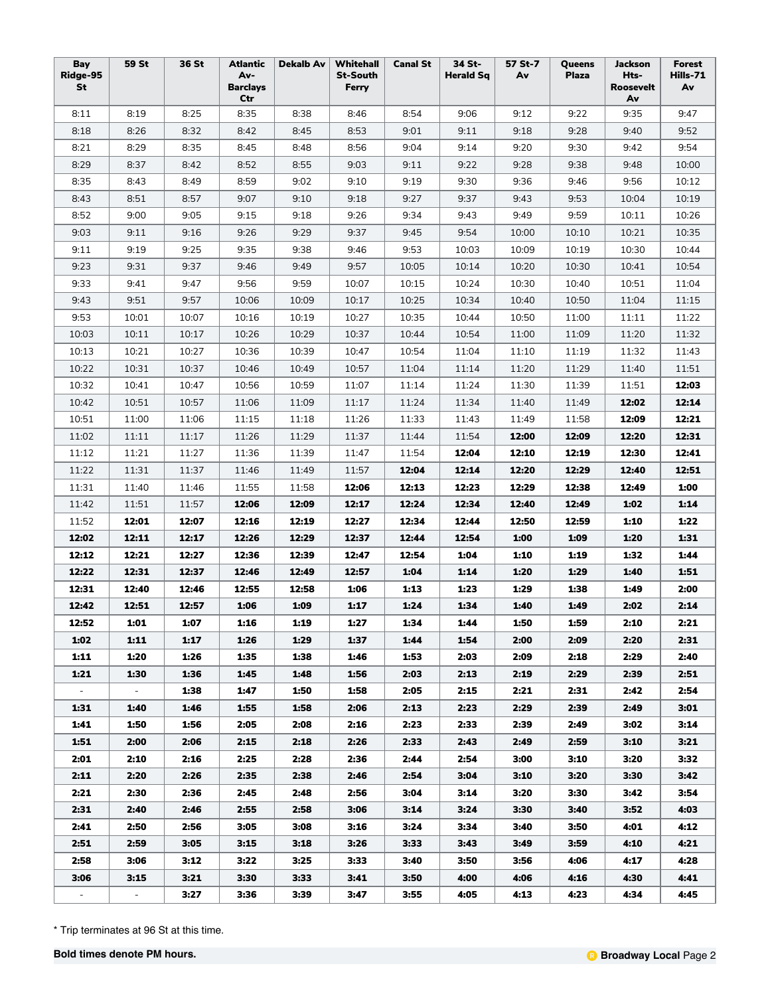| Bay<br>Ridge-95<br>St | <b>59 St</b>   | 36 St | <b>Atlantic</b><br>Av-<br><b>Barclays</b><br>Ctr | <b>Dekalb Av</b> | Whitehall<br><b>St-South</b><br>Ferry | <b>Canal St</b> | 34 St-<br>Herald Sq | 57 St-7<br>Av | Queens<br><b>Plaza</b> | <b>Jackson</b><br>Hts-<br>Roosevelt<br>Av | <b>Forest</b><br>Hills-71<br>Av |
|-----------------------|----------------|-------|--------------------------------------------------|------------------|---------------------------------------|-----------------|---------------------|---------------|------------------------|-------------------------------------------|---------------------------------|
| 8:11                  | 8:19           | 8:25  | 8:35                                             | 8:38             | 8:46                                  | 8:54            | 9:06                | 9:12          | 9:22                   | 9:35                                      | 9:47                            |
| 8:18                  | 8:26           | 8:32  | 8:42                                             | 8:45             | 8:53                                  | 9:01            | 9:11                | 9:18          | 9:28                   | 9:40                                      | 9:52                            |
| 8:21                  | 8:29           | 8:35  | 8:45                                             | 8:48             | 8:56                                  | 9:04            | 9:14                | 9:20          | 9:30                   | 9:42                                      | 9:54                            |
| 8:29                  | 8:37           | 8:42  | 8:52                                             | 8:55             | 9:03                                  | 9:11            | 9:22                | 9:28          | 9:38                   | 9:48                                      | 10:00                           |
| 8:35                  | 8:43           | 8:49  | 8:59                                             | 9:02             | 9:10                                  | 9:19            | 9:30                | 9:36          | 9:46                   | 9:56                                      | 10:12                           |
| 8:43                  | 8:51           | 8:57  | 9:07                                             | 9:10             | 9:18                                  | 9:27            | 9:37                | 9:43          | 9:53                   | 10:04                                     | 10:19                           |
| 8:52                  | 9:00           | 9:05  | 9:15                                             | 9:18             | 9:26                                  | 9:34            | 9:43                | 9:49          | 9:59                   | 10:11                                     | 10:26                           |
| 9:03                  | 9:11           | 9:16  | 9:26                                             | 9:29             | 9:37                                  | 9:45            | 9:54                | 10:00         | 10:10                  | 10:21                                     | 10:35                           |
| 9:11                  | 9:19           | 9:25  | 9:35                                             | 9:38             | 9:46                                  | 9:53            | 10:03               | 10:09         | 10:19                  | 10:30                                     | 10:44                           |
| 9:23                  | 9:31           | 9:37  | 9:46                                             | 9:49             | 9:57                                  | 10:05           | 10:14               | 10:20         | 10:30                  | 10:41                                     | 10:54                           |
| 9:33                  | 9:41           | 9:47  | 9:56                                             | 9:59             | 10:07                                 | 10:15           | 10:24               | 10:30         | 10:40                  | 10:51                                     | 11:04                           |
| 9:43                  | 9:51           | 9:57  | 10:06                                            | 10:09            | 10:17                                 | 10:25           | 10:34               | 10:40         | 10:50                  | 11:04                                     | 11:15                           |
| 9:53                  | 10:01          | 10:07 | 10:16                                            | 10:19            | 10:27                                 | 10:35           | 10:44               | 10:50         | 11:00                  | 11:11                                     | 11:22                           |
| 10:03                 | 10:11          | 10:17 | 10:26                                            | 10:29            | 10:37                                 | 10:44           | 10:54               | 11:00         | 11:09                  | 11:20                                     | 11:32                           |
| 10:13                 | 10:21          | 10:27 | 10:36                                            | 10:39            | 10:47                                 | 10:54           | 11:04               | 11:10         | 11:19                  | 11:32                                     | 11:43                           |
| 10:22                 | 10:31          | 10:37 | 10:46                                            | 10:49            | 10:57                                 | 11:04           | 11:14               | 11:20         | 11:29                  | 11:40                                     | 11:51                           |
| 10:32                 | 10:41          | 10:47 | 10:56                                            | 10:59            | 11:07                                 |                 |                     |               | 11:39                  | 11:51                                     | 12:03                           |
| 10:42                 | 10:51          | 10:57 | 11:06                                            |                  |                                       | 11:14           | 11:24               | 11:30         | 11:49                  | 12:02                                     | 12:14                           |
|                       |                |       |                                                  | 11:09            | 11:17                                 | 11:24           | 11:34               | 11:40         |                        |                                           |                                 |
| 10:51                 | 11:00          | 11:06 | 11:15                                            | 11:18            | 11:26                                 | 11:33           | 11:43               | 11:49         | 11:58                  | 12:09                                     | 12:21<br>12:31                  |
| 11:02                 | 11:11          | 11:17 | 11:26                                            | 11:29            | 11:37                                 | 11:44           | 11:54               | 12:00         | 12:09                  | 12:20                                     |                                 |
| 11:12                 | 11:21          | 11:27 | 11:36                                            | 11:39            | 11:47                                 | 11:54           | 12:04               | 12:10         | 12:19                  | 12:30                                     | 12:41                           |
| 11:22                 | 11:31          | 11:37 | 11:46                                            | 11:49            | 11:57                                 | 12:04           | 12:14               | 12:20         | 12:29                  | 12:40                                     | 12:51                           |
| 11:31                 | 11:40          | 11:46 | 11:55                                            | 11:58            | 12:06                                 | 12:13           | 12:23               | 12:29         | 12:38                  | 12:49                                     | 1:00                            |
| 11:42                 | 11:51          | 11:57 | 12:06                                            | 12:09            | 12:17                                 | 12:24           | 12:34               | 12:40         | 12:49                  | 1:02                                      | 1:14                            |
| 11:52                 | 12:01          | 12:07 | 12:16                                            | 12:19            | 12:27                                 | 12:34           | 12:44               | 12:50         | 12:59                  | 1:10                                      | 1:22                            |
| 12:02                 | 12:11          | 12:17 | 12:26                                            | 12:29            | 12:37                                 | 12:44           | 12:54               | 1:00          | 1:09                   | 1:20                                      | 1:31                            |
| 12:12                 | 12:21          | 12:27 | 12:36                                            | 12:39            | 12:47                                 | 12:54           | 1:04                | 1:10          | 1:19                   | 1:32                                      | 1:44                            |
| 12:22                 | 12:31          | 12:37 | 12:46                                            | 12:49            | 12:57                                 | 1:04            | 1:14                | 1:20          | 1:29                   | 1:40                                      | 1:51                            |
| 12:31                 | 12:40          | 12:46 | 12:55                                            | 12:58            | 1:06                                  | 1:13            | 1:23                | 1:29          | 1:38                   | 1:49                                      | 2:00                            |
| 12:42                 | 12:51          | 12:57 | 1:06                                             | 1:09             | 1:17                                  | 1:24            | 1:34                | 1:40          | 1:49                   | 2:02                                      | 2:14                            |
| 12:52                 | 1:01           | 1:07  | 1:16                                             | 1:19             | 1:27                                  | 1:34            | 1:44                | 1:50          | 1:59                   | 2:10                                      | 2:21                            |
| 1:02                  | 1:11           | 1:17  | 1:26                                             | 1:29             | 1:37                                  | 1:44            | 1:54                | 2:00          | 2:09                   | 2:20                                      | 2:31                            |
| 1:11                  | 1:20           | 1:26  | 1:35                                             | 1:38             | 1:46                                  | 1:53            | 2:03                | 2:09          | 2:18                   | 2:29                                      | 2:40                            |
| 1:21                  | 1:30           | 1:36  | 1:45                                             | 1:48             | 1:56                                  | 2:03            | 2:13                | 2:19          | 2:29                   | 2:39                                      | 2:51                            |
| $\sim$                | $\blacksquare$ | 1:38  | 1:47                                             | 1:50             | 1:58                                  | 2:05            | 2:15                | 2:21          | 2:31                   | 2:42                                      | 2:54                            |
| 1:31                  | 1:40           | 1:46  | 1:55                                             | 1:58             | 2:06                                  | 2:13            | 2:23                | 2:29          | 2:39                   | 2:49                                      | 3:01                            |
| 1:41                  | 1:50           | 1:56  | 2:05                                             | 2:08             | 2:16                                  | 2:23            | 2:33                | 2:39          | 2:49                   | 3:02                                      | 3:14                            |
| 1:51                  | 2:00           | 2:06  | 2:15                                             | 2:18             | 2:26                                  | 2:33            | 2:43                | 2:49          | 2:59                   | 3:10                                      | 3:21                            |
| 2:01                  | 2:10           | 2:16  | 2:25                                             | 2:28             | 2:36                                  | 2:44            | 2:54                | 3:00          | 3:10                   | 3:20                                      | 3:32                            |
| 2:11                  | 2:20           | 2:26  | 2:35                                             | 2:38             | 2:46                                  | 2:54            | 3:04                | 3:10          | 3:20                   | 3:30                                      | 3:42                            |
| 2:21                  | 2:30           | 2:36  | 2:45                                             | 2:48             | 2:56                                  | 3:04            | 3:14                | 3:20          | 3:30                   | 3:42                                      | 3:54                            |
| 2:31                  | 2:40           | 2:46  | 2:55                                             | 2:58             | 3:06                                  | 3:14            | 3:24                | 3:30          | 3:40                   | 3:52                                      | 4:03                            |
| 2:41                  | 2:50           | 2:56  | 3:05                                             | 3:08             | 3:16                                  | 3:24            | 3:34                | 3:40          | 3:50                   | 4:01                                      | 4:12                            |
| 2:51                  | 2:59           | 3:05  | 3:15                                             | 3:18             | 3:26                                  | 3:33            | 3:43                | 3:49          | 3:59                   | 4:10                                      | 4:21                            |
| 2:58                  | 3:06           | 3:12  | 3:22                                             | 3:25             | 3:33                                  | 3:40            | 3:50                | 3:56          | 4:06                   | 4:17                                      | 4:28                            |
| 3:06                  | 3:15           | 3:21  | 3:30                                             | 3:33             | 3:41                                  | 3:50            | 4:00                | 4:06          | 4:16                   | 4:30                                      | 4:41                            |
| $\sim$                | $\sim$         | 3:27  | 3:36                                             | 3:39             | 3:47                                  | 3:55            | 4:05                | 4:13          | 4:23                   | 4:34                                      | 4:45                            |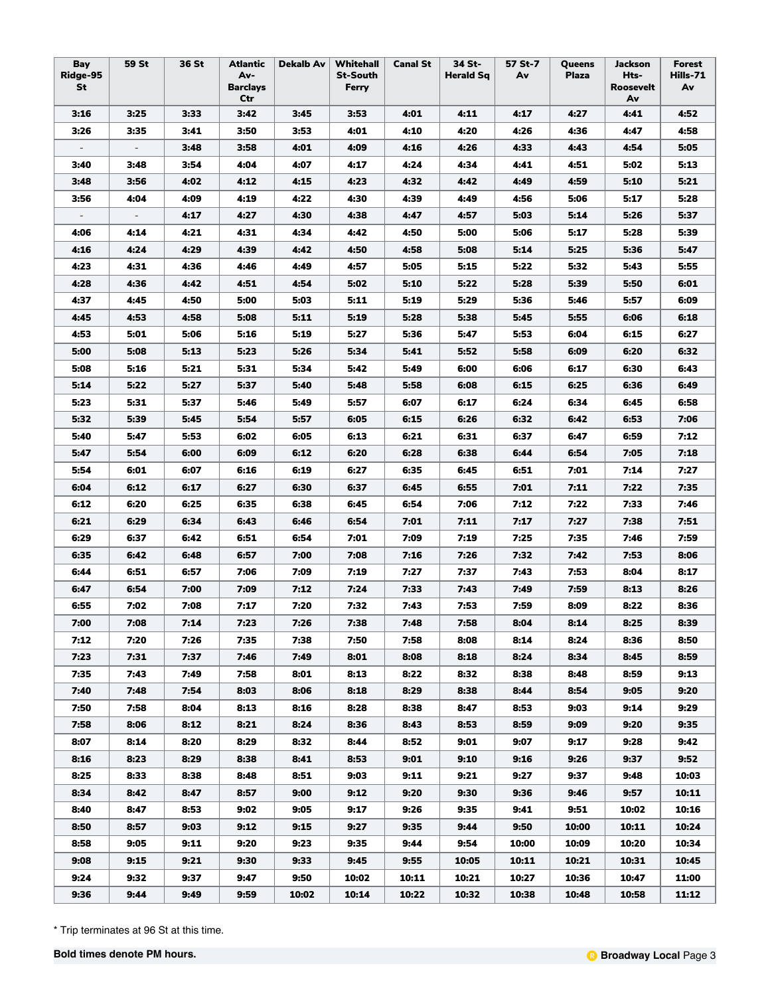| Bay<br>Ridge-95<br>St    | 59 St                    | 36 St | <b>Atlantic</b><br>Av-<br><b>Barclays</b><br>Ctr | <b>Dekalb Av</b> | Whitehall<br><b>St-South</b><br>Ferry | <b>Canal St</b> | 34 St-<br>Herald Sq | 57 St-7<br>Av | Queens<br><b>Plaza</b> | Jackson<br>Hts-<br>Roosevelt<br>Av | <b>Forest</b><br>Hills-71<br>Av |
|--------------------------|--------------------------|-------|--------------------------------------------------|------------------|---------------------------------------|-----------------|---------------------|---------------|------------------------|------------------------------------|---------------------------------|
| 3:16                     | 3:25                     | 3:33  | 3:42                                             | 3:45             | 3:53                                  | 4:01            | 4:11                | 4:17          | 4:27                   | 4:41                               | 4:52                            |
| 3:26                     | 3:35                     | 3:41  | 3:50                                             | 3:53             | 4:01                                  | 4:10            | 4:20                | 4:26          | 4:36                   | 4:47                               | 4:58                            |
| $\overline{\phantom{a}}$ | $\overline{\phantom{a}}$ | 3:48  | 3:58                                             | 4:01             | 4:09                                  | 4:16            | 4:26                | 4:33          | 4:43                   | 4:54                               | 5:05                            |
| 3:40                     | 3:48                     | 3:54  | 4:04                                             | 4:07             | 4:17                                  | 4:24            | 4:34                | 4:41          | 4:51                   | 5:02                               | 5:13                            |
| 3:48                     | 3:56                     | 4:02  | 4:12                                             | 4:15             | 4:23                                  | 4:32            | 4:42                | 4:49          | 4:59                   | 5:10                               | 5:21                            |
| 3:56                     | 4:04                     | 4:09  | 4:19                                             | 4:22             | 4:30                                  | 4:39            | 4:49                | 4:56          | 5:06                   | 5:17                               | 5:28                            |
| $\overline{\phantom{a}}$ | $\overline{\phantom{a}}$ | 4:17  | 4:27                                             | 4:30             | 4:38                                  | 4:47            | 4:57                | 5:03          | 5:14                   | 5:26                               | 5:37                            |
| 4:06                     | 4:14                     | 4:21  | 4:31                                             | 4:34             | 4:42                                  | 4:50            | 5:00                | 5:06          | 5:17                   | 5:28                               | 5:39                            |
| 4:16                     | 4:24                     | 4:29  | 4:39                                             | 4:42             | 4:50                                  | 4:58            | 5:08                | 5:14          | 5:25                   | 5:36                               | 5:47                            |
| 4:23                     | 4:31                     | 4:36  | 4:46                                             | 4:49             | 4:57                                  | 5:05            | 5:15                | 5:22          | 5:32                   | 5:43                               | 5:55                            |
| 4:28                     | 4:36                     | 4:42  | 4:51                                             | 4:54             | 5:02                                  | 5:10            | 5:22                | 5:28          | 5:39                   | 5:50                               | 6:01                            |
| 4:37                     | 4:45                     | 4:50  | 5:00                                             | 5:03             | 5:11                                  | 5:19            | 5:29                | 5:36          | 5:46                   | 5:57                               | 6:09                            |
| 4:45                     | 4:53                     | 4:58  | 5:08                                             | 5:11             | 5:19                                  | 5:28            | 5:38                | 5:45          | 5:55                   | 6:06                               | 6:18                            |
| 4:53                     | 5:01                     | 5:06  | 5:16                                             | 5:19             | 5:27                                  | 5:36            | 5:47                | 5:53          | 6:04                   | 6:15                               | 6:27                            |
| 5:00                     | 5:08                     | 5:13  | 5:23                                             | 5:26             | 5:34                                  | 5:41            | 5:52                | 5:58          | 6:09                   | 6:20                               | 6:32                            |
| 5:08                     | 5:16                     | 5:21  | 5:31                                             | 5:34             | 5:42                                  | 5:49            | 6:00                | 6:06          | 6:17                   | 6:30                               | 6:43                            |
| 5:14                     | 5:22                     | 5:27  | 5:37                                             | 5:40             | 5:48                                  | 5:58            | 6:08                | 6:15          | 6:25                   | 6:36                               | 6:49                            |
| 5:23                     | 5:31                     | 5:37  | 5:46                                             | 5:49             | 5:57                                  | 6:07            | 6:17                | 6:24          | 6:34                   | 6:45                               | 6:58                            |
| 5:32                     | 5:39                     | 5:45  | 5:54                                             | 5:57             | 6:05                                  | 6:15            | 6:26                | 6:32          | 6:42                   | 6:53                               | 7:06                            |
| 5:40                     | 5:47                     | 5:53  | 6:02                                             | 6:05             | 6:13                                  | 6:21            | 6:31                | 6:37          | 6:47                   | 6:59                               | 7:12                            |
| 5:47                     | 5:54                     | 6:00  | 6:09                                             | 6:12             | 6:20                                  | 6:28            | 6:38                | 6:44          | 6:54                   | 7:05                               | 7:18                            |
| 5:54                     | 6:01                     | 6:07  | 6:16                                             | 6:19             | 6:27                                  | 6:35            | 6:45                | 6:51          | 7:01                   | 7:14                               | 7:27                            |
| 6:04                     | 6:12                     | 6:17  | 6:27                                             | 6:30             | 6:37                                  | 6:45            | 6:55                | 7:01          | 7:11                   | 7:22                               | 7:35                            |
| 6:12                     | 6:20                     | 6:25  | 6:35                                             | 6:38             | 6:45                                  | 6:54            | 7:06                | 7:12          | 7:22                   | 7:33                               | 7:46                            |
| 6:21                     | 6:29                     | 6:34  | 6:43                                             | 6:46             | 6:54                                  | 7:01            | 7:11                | 7:17          | 7:27                   | 7:38                               | 7:51                            |
| 6:29                     | 6:37                     | 6:42  | 6:51                                             | 6:54             | 7:01                                  | 7:09            | 7:19                | 7:25          | 7:35                   | 7:46                               | 7:59                            |
| 6:35                     | 6:42                     | 6:48  | 6:57                                             | 7:00             | 7:08                                  | 7:16            | 7:26                | 7:32          | 7:42                   | 7:53                               | 8:06                            |
| 6:44                     | 6:51                     | 6:57  | 7:06                                             | 7:09             | 7:19                                  | 7:27            | 7:37                | 7:43          | 7:53                   | 8:04                               | 8:17                            |
| 6:47                     | 6:54                     | 7:00  | 7:09                                             | 7:12             | 7:24                                  | 7:33            | 7:43                | 7:49          | 7:59                   | 8:13                               | 8:26                            |
| 6:55                     | 7:02                     | 7:08  | 7:17                                             | 7:20             | 7:32                                  | 7:43            | 7:53                | 7:59          | 8:09                   | 8:22                               | 8:36                            |
| 7:00                     | 7:08                     | 7:14  | 7:23                                             | 7:26             | 7:38                                  | 7:48            | 7:58                | 8:04          | 8:14                   | 8:25                               | 8:39                            |
| 7:12                     | 7:20                     | 7:26  | 7:35                                             | 7:38             | 7:50                                  | 7:58            | 8:08                | 8:14          | 8:24                   | 8:36                               | 8:50                            |
| 7:23                     | 7:31                     | 7:37  | 7:46                                             | 7:49             | 8:01                                  | 8:08            | 8:18                | 8:24          | 8:34                   | 8:45                               | 8:59                            |
| 7:35                     | 7:43                     | 7:49  | 7:58                                             | 8:01             | 8:13                                  | 8:22            | 8:32                | 8:38          | 8:48                   | 8:59                               | 9:13                            |
| 7:40                     | 7:48                     | 7:54  | 8:03                                             | 8:06             | 8:18                                  | 8:29            | 8:38                | 8:44          | 8:54                   | 9:05                               | 9:20                            |
| 7:50                     | 7:58                     | 8:04  | 8:13                                             | 8:16             | 8:28                                  | 8:38            | 8:47                | 8:53          | 9:03                   | 9:14                               | 9:29                            |
| 7:58                     | 8:06                     | 8:12  | 8:21                                             | 8:24             | 8:36                                  | 8:43            | 8:53                | 8:59          | 9:09                   | 9:20                               | 9:35                            |
| 8:07                     | 8:14                     | 8:20  | 8:29                                             | 8:32             | 8:44                                  | 8:52            | 9:01                | 9:07          | 9:17                   | 9:28                               | 9:42                            |
| 8:16                     | 8:23                     | 8:29  | 8:38                                             | 8:41             | 8:53                                  | 9:01            | 9:10                | 9:16          | 9:26                   | 9:37                               | 9:52                            |
| 8:25                     | 8:33                     | 8:38  | 8:48                                             | 8:51             | 9:03                                  | 9:11            | 9:21                | 9:27          | 9:37                   | 9:48                               | 10:03                           |
| 8:34                     | 8:42                     | 8:47  | 8:57                                             | 9:00             | 9:12                                  | 9:20            | 9:30                | 9:36          | 9:46                   | 9:57                               | 10:11                           |
| 8:40                     | 8:47                     | 8:53  | 9:02                                             | 9:05             | 9:17                                  | 9:26            | 9:35                | 9:41          | 9:51                   | 10:02                              | 10:16                           |
| 8:50                     | 8:57                     | 9:03  | 9:12                                             | 9:15             | 9:27                                  | 9:35            | 9:44                | 9:50          | 10:00                  | 10:11                              | 10:24                           |
| 8:58                     | 9:05                     | 9:11  | 9:20                                             | 9:23             | 9:35                                  | 9:44            | 9:54                | 10:00         | 10:09                  | 10:20                              | 10:34                           |
| 9:08                     | 9:15                     | 9:21  | 9:30                                             | 9:33             | 9:45                                  | 9:55            | 10:05               | 10:11         | 10:21                  | 10:31                              | 10:45                           |
| 9:24                     | 9:32                     | 9:37  | 9:47                                             | 9:50             | 10:02                                 | 10:11           | 10:21               | 10:27         | 10:36                  | 10:47                              | 11:00                           |
| 9:36                     | 9:44                     | 9:49  | 9:59                                             | 10:02            | 10:14                                 | 10:22           | 10:32               | 10:38         | 10:48                  | 10:58                              | 11:12                           |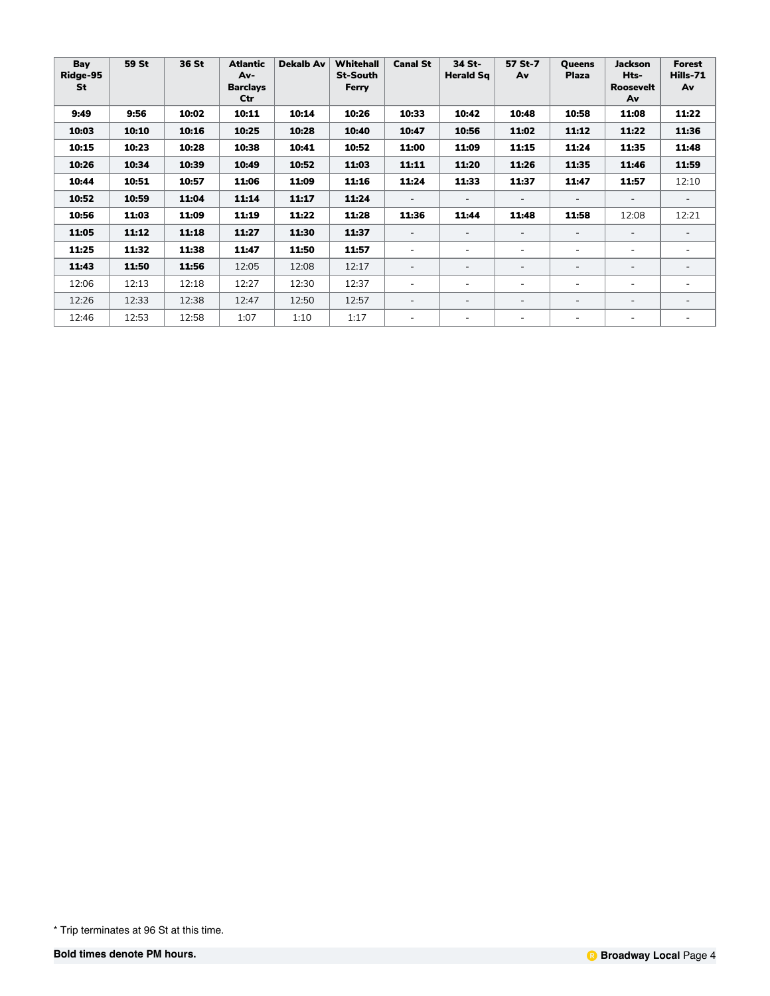| Bay<br>Ridge-95<br>St | 59 St | 36 St | <b>Atlantic</b><br>Av-<br><b>Barclays</b><br>Ctr | <b>Dekalb Av</b> | Whitehall<br><b>St-South</b><br>Ferry | <b>Canal St</b>          | 34 St-<br><b>Herald Sq</b> | 57 St-7<br>Av            | <b>Oueens</b><br><b>Plaza</b> | <b>Jackson</b><br>Hts-<br><b>Roosevelt</b><br>Av | Forest<br>Hills-71<br>Av |
|-----------------------|-------|-------|--------------------------------------------------|------------------|---------------------------------------|--------------------------|----------------------------|--------------------------|-------------------------------|--------------------------------------------------|--------------------------|
| 9:49                  | 9:56  | 10:02 | 10:11                                            | 10:14            | 10:26                                 | 10:33                    | 10:42                      | 10:48                    | 10:58                         | 11:08                                            | 11:22                    |
| 10:03                 | 10:10 | 10:16 | 10:25                                            | 10:28            | 10:40                                 | 10:47                    | 10:56                      | 11:02                    | 11:12                         | 11:22                                            | 11:36                    |
| 10:15                 | 10:23 | 10:28 | 10:38                                            | 10:41            | 10:52                                 | 11:00                    | 11:09                      | 11:15                    | 11:24                         | 11:35                                            | 11:48                    |
| 10:26                 | 10:34 | 10:39 | 10:49                                            | 10:52            | 11:03                                 | 11:11                    | 11:20                      | 11:26                    | 11:35                         | 11:46                                            | 11:59                    |
| 10:44                 | 10:51 | 10:57 | 11:06                                            | 11:09            | 11:16                                 | 11:24                    | 11:33                      | 11:37                    | 11:47                         | 11:57                                            | 12:10                    |
| 10:52                 | 10:59 | 11:04 | 11:14                                            | 11:17            | 11:24                                 | $\overline{\phantom{a}}$ |                            |                          |                               | $\qquad \qquad -$                                |                          |
| 10:56                 | 11:03 | 11:09 | 11:19                                            | 11:22            | 11:28                                 | 11:36                    | 11:44                      | 11:48                    | 11:58                         | 12:08                                            | 12:21                    |
| 11:05                 | 11:12 | 11:18 | 11:27                                            | 11:30            | 11:37                                 | $\overline{\phantom{a}}$ |                            |                          |                               |                                                  |                          |
| 11:25                 | 11:32 | 11:38 | 11:47                                            | 11:50            | 11:57                                 | $\overline{\phantom{a}}$ | $\overline{\phantom{a}}$   | ۰                        | ۰                             | ٠                                                | ٠                        |
| 11:43                 | 11:50 | 11:56 | 12:05                                            | 12:08            | 12:17                                 | $\overline{\phantom{a}}$ | $\qquad \qquad -$          |                          |                               | $\overline{\phantom{0}}$                         | $\overline{\phantom{0}}$ |
| 12:06                 | 12:13 | 12:18 | 12:27                                            | 12:30            | 12:37                                 | $\overline{\phantom{a}}$ | $\overline{\phantom{a}}$   | $\overline{\phantom{0}}$ | ۰                             | ٠                                                | $\overline{\phantom{0}}$ |
| 12:26                 | 12:33 | 12:38 | 12:47                                            | 12:50            | 12:57                                 | $\overline{\phantom{a}}$ |                            |                          |                               |                                                  |                          |
| 12:46                 | 12:53 | 12:58 | 1:07                                             | 1:10             | 1:17                                  | $\blacksquare$           |                            |                          |                               | ٠                                                | $\equiv$                 |

<sup>\*</sup> Trip terminates at 96 St at this time.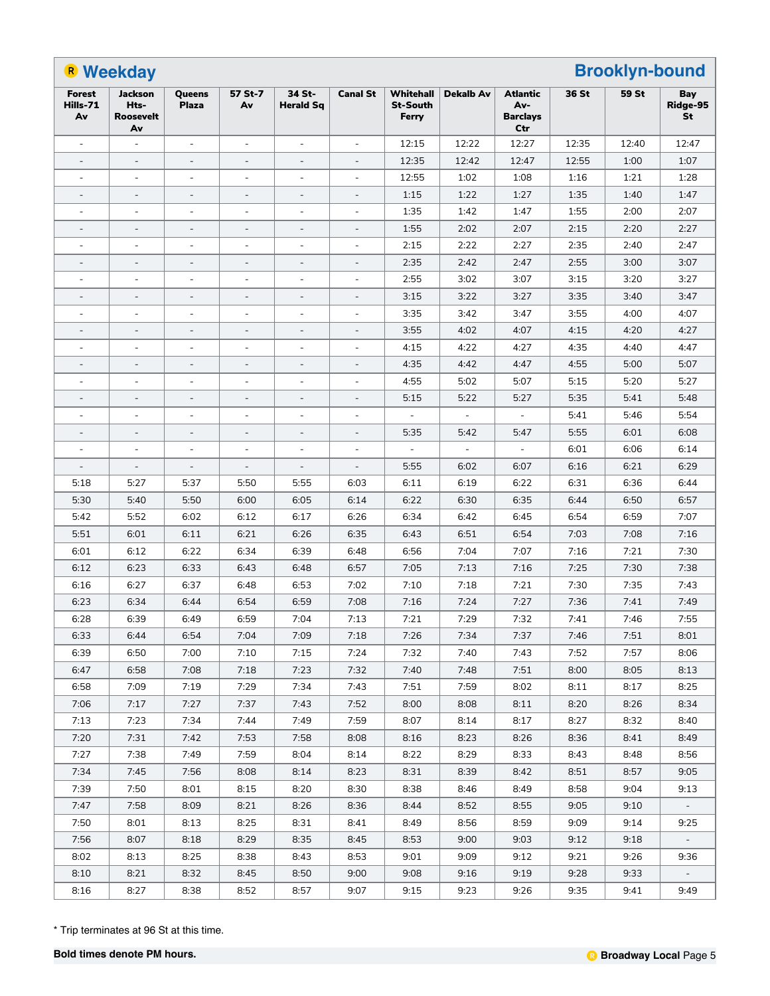|                                 | <b>B</b> Weekday                                 |                              |                          |                            |                          |                                              | <b>Brooklyn-bound</b><br><b>Dekalb Av</b><br>36 St<br>59 St<br><b>Atlantic</b><br>Bay |                               |       |       |                          |
|---------------------------------|--------------------------------------------------|------------------------------|--------------------------|----------------------------|--------------------------|----------------------------------------------|---------------------------------------------------------------------------------------|-------------------------------|-------|-------|--------------------------|
| <b>Forest</b><br>Hills-71<br>Av | <b>Jackson</b><br>Hts-<br><b>Roosevelt</b><br>Av | Queens<br><b>Plaza</b>       | 57 St-7<br>Av            | 34 St-<br><b>Herald Sg</b> | <b>Canal St</b>          | <b>Whitehall</b><br><b>St-South</b><br>Ferry |                                                                                       | Av-<br><b>Barclays</b><br>Ctr |       |       | Ridge-95<br>St           |
|                                 |                                                  | $\overline{\phantom{a}}$     |                          |                            |                          | 12:15                                        | 12:22                                                                                 | 12:27                         | 12:35 | 12:40 | 12:47                    |
| $\overline{\phantom{a}}$        | $\overline{\phantom{a}}$                         | $\frac{1}{2}$                | $\overline{\phantom{a}}$ | $\overline{\phantom{a}}$   | $\overline{\phantom{a}}$ | 12:35                                        | 12:42                                                                                 | 12:47                         | 12:55 | 1:00  | 1:07                     |
|                                 |                                                  | $\overline{\phantom{a}}$     | $\overline{\phantom{a}}$ |                            | $\blacksquare$           | 12:55                                        | 1:02                                                                                  | 1:08                          | 1:16  | 1:21  | 1:28                     |
|                                 | $\overline{\phantom{a}}$                         |                              | $\overline{\phantom{a}}$ | $\blacksquare$             |                          | 1:15                                         | 1:22                                                                                  | 1:27                          | 1:35  | 1:40  | 1:47                     |
|                                 |                                                  | $\overline{\phantom{a}}$     | $\overline{\phantom{a}}$ | $\blacksquare$             |                          | 1:35                                         | 1:42                                                                                  | 1:47                          | 1:55  | 2:00  | 2:07                     |
| $\overline{\phantom{a}}$        | $\overline{\phantom{a}}$                         | $\overline{\phantom{a}}$     | $\overline{\phantom{a}}$ | $\overline{\phantom{a}}$   | $\overline{\phantom{a}}$ | 1:55                                         | 2:02                                                                                  | 2:07                          | 2:15  | 2:20  | 2:27                     |
|                                 | $\overline{a}$                                   | $\overline{a}$               | ÷,                       | $\overline{a}$             | $\equiv$                 | 2:15                                         | 2:22                                                                                  | 2:27                          | 2:35  | 2:40  | 2:47                     |
|                                 | $\overline{\phantom{a}}$                         | $\overline{\phantom{a}}$     | $\overline{\phantom{a}}$ | $\overline{\phantom{a}}$   |                          | 2:35                                         | 2:42                                                                                  | 2:47                          | 2:55  | 3:00  | 3:07                     |
|                                 |                                                  | $\overline{\phantom{a}}$     |                          |                            |                          | 2:55                                         | 3:02                                                                                  | 3:07                          | 3:15  | 3:20  | 3:27                     |
| $\overline{\phantom{a}}$        | $\overline{\phantom{a}}$                         | $\overline{\phantom{a}}$     | $\overline{\phantom{a}}$ | $\overline{\phantom{a}}$   | $\overline{\phantom{a}}$ | 3:15                                         | 3:22                                                                                  | 3:27                          | 3:35  | 3:40  | 3:47                     |
|                                 |                                                  | L,                           | ÷,                       |                            | $\blacksquare$           | 3:35                                         | 3:42                                                                                  | 3:47                          | 3:55  | 4:00  | 4:07                     |
|                                 | $\overline{\phantom{a}}$                         |                              | $\overline{\phantom{a}}$ | $\overline{\phantom{a}}$   | ÷,                       | 3:55                                         | 4:02                                                                                  | 4:07                          | 4:15  | 4:20  | 4:27                     |
|                                 |                                                  | $\overline{\phantom{a}}$     | $\overline{\phantom{a}}$ | $\blacksquare$             |                          | 4:15                                         | 4:22                                                                                  | 4:27                          | 4:35  | 4:40  | 4:47                     |
| $\overline{\phantom{a}}$        | $\overline{\phantom{a}}$                         | $\overline{\phantom{a}}$     | $\overline{\phantom{a}}$ | $\overline{\phantom{a}}$   | $\overline{\phantom{a}}$ | 4:35                                         | 4:42                                                                                  | 4:47                          | 4:55  | 5:00  | 5:07                     |
|                                 |                                                  | $\overline{\phantom{a}}$     | $\overline{\phantom{a}}$ | ÷,                         | $\blacksquare$           | 4:55                                         | 5:02                                                                                  | 5:07                          | 5:15  | 5:20  | 5:27                     |
|                                 | $\overline{\phantom{a}}$                         |                              | $\overline{\phantom{a}}$ | $\overline{\phantom{a}}$   |                          | 5:15                                         | 5:22                                                                                  | 5:27                          | 5:35  | 5:41  | 5:48                     |
|                                 |                                                  | $\overline{a}$               |                          |                            |                          |                                              | $\blacksquare$                                                                        |                               | 5:41  | 5:46  | 5:54                     |
| $\overline{\phantom{a}}$        | $\overline{\phantom{a}}$                         | $\qquad \qquad \blacksquare$ | $\overline{\phantom{a}}$ | $\overline{\phantom{a}}$   | $\overline{\phantom{a}}$ | 5:35                                         | 5:42                                                                                  | 5:47                          | 5:55  | 6:01  | 6:08                     |
|                                 |                                                  | $\overline{a}$               | ÷,                       |                            | $\blacksquare$           | $\bar{\phantom{a}}$                          | $\Box$                                                                                | $\equiv$                      | 6:01  | 6:06  | 6:14                     |
|                                 |                                                  |                              | $\overline{\phantom{a}}$ |                            |                          | 5:55                                         | 6:02                                                                                  | 6:07                          | 6:16  | 6:21  | 6:29                     |
| 5:18                            | 5:27                                             | 5:37                         | 5:50                     | 5:55                       | 6:03                     | 6:11                                         | 6:19                                                                                  | 6:22                          | 6:31  | 6:36  | 6:44                     |
| 5:30                            | 5:40                                             | 5:50                         | 6:00                     | 6:05                       | 6:14                     | 6:22                                         | 6:30                                                                                  | 6:35                          | 6:44  | 6:50  | 6:57                     |
| 5:42                            | 5:52                                             | 6:02                         | 6:12                     | 6:17                       | 6:26                     | 6:34                                         | 6:42                                                                                  | 6:45                          | 6:54  | 6:59  | 7:07                     |
| 5:51                            | 6:01                                             | 6:11                         | 6:21                     | 6:26                       | 6:35                     | 6:43                                         | 6:51                                                                                  | 6:54                          | 7:03  | 7:08  | 7:16                     |
| 6:01                            | 6:12                                             | 6:22                         | 6:34                     | 6:39                       | 6:48                     | 6:56                                         | 7:04                                                                                  | 7:07                          | 7:16  | 7:21  | 7:30                     |
| 6:12                            | 6:23                                             | 6:33                         | 6:43                     | 6:48                       | 6:57                     | 7:05                                         | 7:13                                                                                  | 7:16                          | 7:25  | 7:30  | 7:38                     |
| 6:16                            | 6:27                                             | 6:37                         | 6:48                     | 6:53                       | 7:02                     | 7:10                                         | 7:18                                                                                  | 7:21                          | 7:30  | 7:35  | 7:43                     |
| 6:23                            | 6:34                                             | 6:44                         | 6:54                     | 6:59                       | 7:08                     | 7:16                                         | 7:24                                                                                  | 7:27                          | 7:36  | 7:41  | 7:49                     |
| 6:28                            | 6:39                                             | 6:49                         | 6:59                     | 7:04                       | 7:13                     | 7:21                                         | 7:29                                                                                  | 7:32                          | 7:41  | 7:46  | 7:55                     |
| 6:33                            | 6:44                                             | 6:54                         | 7:04                     | 7:09                       | 7:18                     | 7:26                                         | 7:34                                                                                  | 7:37                          | 7:46  | 7:51  | 8:01                     |
| 6:39                            | 6:50                                             | 7:00                         | 7:10                     | 7:15                       | 7:24                     | 7:32                                         | 7:40                                                                                  | 7:43                          | 7:52  | 7:57  | 8:06                     |
| 6:47                            | 6:58                                             | 7:08                         | 7:18                     | 7:23                       | 7:32                     | 7:40                                         | 7:48                                                                                  | 7:51                          | 8:00  | 8:05  | 8:13                     |
| 6:58                            | 7:09                                             | 7:19                         | 7:29                     | 7:34                       | 7:43                     | 7:51                                         | 7:59                                                                                  | 8:02                          | 8:11  | 8:17  | 8:25                     |
| 7:06                            | 7:17                                             | 7:27                         | 7:37                     | 7:43                       | 7:52                     | 8:00                                         | 8:08                                                                                  | 8:11                          | 8:20  | 8:26  | 8:34                     |
| 7:13                            | 7:23                                             | 7:34                         | 7:44                     | 7:49                       | 7:59                     | 8:07                                         | 8:14                                                                                  | 8:17                          | 8:27  | 8:32  | 8:40                     |
| 7:20                            | 7:31                                             | 7:42                         | 7:53                     | 7:58                       | 8:08                     | 8:16                                         | 8:23                                                                                  | 8:26                          | 8:36  | 8:41  | 8:49                     |
| 7:27                            | 7:38                                             | 7:49                         | 7:59                     | 8:04                       | 8:14                     | 8:22                                         | 8:29                                                                                  | 8:33                          | 8:43  | 8:48  | 8:56                     |
| 7:34                            | 7:45                                             | 7:56                         | 8:08                     | 8:14                       | 8:23                     | 8:31                                         | 8:39                                                                                  | 8:42                          | 8:51  | 8:57  | 9:05                     |
| 7:39                            | 7:50                                             | 8:01                         | 8:15                     | 8:20                       | 8:30                     | 8:38                                         | 8:46                                                                                  | 8:49                          | 8:58  | 9:04  | 9:13                     |
| 7:47                            | 7:58                                             | 8:09                         | 8:21                     | 8:26                       | 8:36                     | 8:44                                         | 8:52                                                                                  | 8:55                          | 9:05  | 9:10  |                          |
| 7:50                            | 8:01                                             | 8:13                         | 8:25                     | 8:31                       | 8:41                     | 8:49                                         | 8:56                                                                                  | 8:59                          | 9:09  | 9:14  | 9:25                     |
| 7:56                            | 8:07                                             | 8:18                         | 8:29                     | 8:35                       | 8:45                     | 8:53                                         | 9:00                                                                                  | 9:03                          | 9:12  | 9:18  | $\overline{\phantom{a}}$ |
| 8:02                            | 8:13                                             | 8:25                         | 8:38                     | 8:43                       | 8:53                     | 9:01                                         | 9:09                                                                                  | 9:12                          | 9:21  | 9:26  | 9:36                     |
| 8:10                            | 8:21                                             | 8:32                         | 8:45                     | 8:50                       | 9:00                     | 9:08                                         | 9:16                                                                                  | 9:19                          | 9:28  | 9:33  |                          |
| 8:16                            | 8:27                                             | 8:38                         | 8:52                     | 8:57                       | 9:07                     | 9:15                                         | 9:23                                                                                  | 9:26                          | 9:35  | 9:41  | 9:49                     |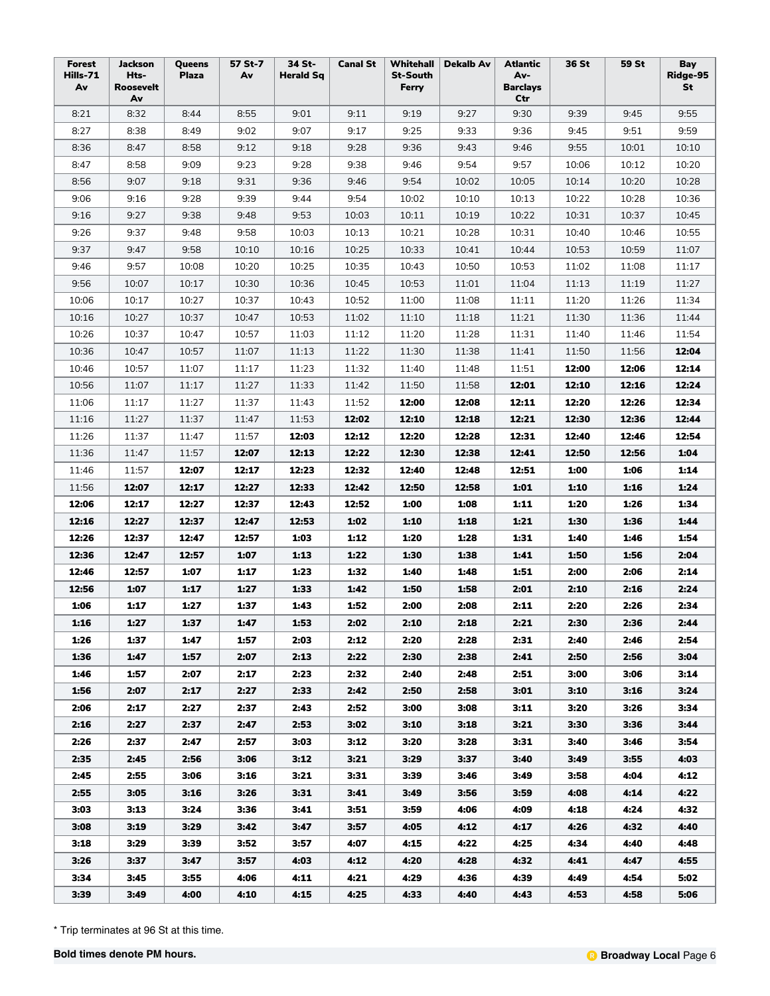| Forest<br>Hills-71<br>Av | <b>Jackson</b><br>Hts-<br>Roosevelt<br>Av | Queens<br><b>Plaza</b> | 57 St-7<br>Av | 34 St-<br><b>Herald Sq</b> | <b>Canal St</b> | Whitehall<br><b>St-South</b><br>Ferry | <b>Dekalb Av</b> | Atlantic<br>Av-<br><b>Barclays</b><br>Ctr | 36 St | 59 St | Bay<br>Ridge-95<br>St |
|--------------------------|-------------------------------------------|------------------------|---------------|----------------------------|-----------------|---------------------------------------|------------------|-------------------------------------------|-------|-------|-----------------------|
| 8:21                     | 8:32                                      | 8:44                   | 8:55          | 9:01                       | 9:11            | 9:19                                  | 9:27             | 9:30                                      | 9:39  | 9:45  | 9:55                  |
| 8:27                     | 8:38                                      | 8:49                   | 9:02          | 9:07                       | 9:17            | 9:25                                  | 9:33             | 9:36                                      | 9:45  | 9:51  | 9:59                  |
| 8:36                     | 8:47                                      | 8:58                   | 9:12          | 9:18                       | 9:28            | 9:36                                  | 9:43             | 9:46                                      | 9:55  | 10:01 | 10:10                 |
| 8:47                     | 8:58                                      | 9:09                   | 9:23          | 9:28                       | 9:38            | 9:46                                  | 9:54             | 9:57                                      | 10:06 | 10:12 | 10:20                 |
| 8:56                     | 9:07                                      | 9:18                   | 9:31          | 9:36                       | 9:46            | 9:54                                  | 10:02            | 10:05                                     | 10:14 | 10:20 | 10:28                 |
| 9:06                     | 9:16                                      | 9:28                   | 9:39          | 9:44                       | 9:54            | 10:02                                 | 10:10            | 10:13                                     | 10:22 | 10:28 | 10:36                 |
| 9:16                     | 9:27                                      | 9:38                   | 9:48          | 9:53                       | 10:03           | 10:11                                 | 10:19            | 10:22                                     | 10:31 | 10:37 | 10:45                 |
| 9:26                     | 9:37                                      | 9:48                   | 9:58          | 10:03                      | 10:13           | 10:21                                 | 10:28            | 10:31                                     | 10:40 | 10:46 | 10:55                 |
| 9:37                     | 9:47                                      | 9:58                   | 10:10         | 10:16                      | 10:25           | 10:33                                 | 10:41            | 10:44                                     | 10:53 | 10:59 | 11:07                 |
| 9:46                     | 9:57                                      | 10:08                  | 10:20         | 10:25                      | 10:35           | 10:43                                 | 10:50            | 10:53                                     | 11:02 | 11:08 | 11:17                 |
| 9:56                     | 10:07                                     | 10:17                  | 10:30         | 10:36                      | 10:45           | 10:53                                 | 11:01            | 11:04                                     | 11:13 | 11:19 | 11:27                 |
| 10:06                    | 10:17                                     | 10:27                  | 10:37         | 10:43                      | 10:52           | 11:00                                 | 11:08            | 11:11                                     | 11:20 | 11:26 | 11:34                 |
| 10:16                    | 10:27                                     | 10:37                  | 10:47         | 10:53                      | 11:02           | 11:10                                 | 11:18            | 11:21                                     | 11:30 | 11:36 | 11:44                 |
| 10:26                    | 10:37                                     | 10:47                  | 10:57         | 11:03                      | 11:12           | 11:20                                 | 11:28            | 11:31                                     | 11:40 | 11:46 | 11:54                 |
| 10:36                    | 10:47                                     | 10:57                  | 11:07         | 11:13                      | 11:22           | 11:30                                 | 11:38            | 11:41                                     | 11:50 | 11:56 | 12:04                 |
| 10:46                    | 10:57                                     | 11:07                  | 11:17         | 11:23                      | 11:32           | 11:40                                 | 11:48            | 11:51                                     | 12:00 | 12:06 | 12:14                 |
| 10:56                    | 11:07                                     | 11:17                  | 11:27         | 11:33                      | 11:42           | 11:50                                 | 11:58            | 12:01                                     | 12:10 | 12:16 | 12:24                 |
| 11:06                    | 11:17                                     | 11:27                  | 11:37         | 11:43                      | 11:52           | 12:00                                 | 12:08            | 12:11                                     | 12:20 | 12:26 | 12:34                 |
| 11:16                    | 11:27                                     | 11:37                  | 11:47         | 11:53                      | 12:02           | 12:10                                 | 12:18            | 12:21                                     | 12:30 | 12:36 | 12:44                 |
| 11:26                    | 11:37                                     | 11:47                  | 11:57         | 12:03                      | 12:12           | 12:20                                 | 12:28            | 12:31                                     | 12:40 | 12:46 | 12:54                 |
| 11:36                    | 11:47                                     | 11:57                  | 12:07         | 12:13                      | 12:22           | 12:30                                 | 12:38            | 12:41                                     | 12:50 | 12:56 | 1:04                  |
| 11:46                    | 11:57                                     | 12:07                  | 12:17         | 12:23                      | 12:32           | 12:40                                 | 12:48            | 12:51                                     | 1:00  | 1:06  | 1:14                  |
| 11:56                    | 12:07                                     | 12:17                  | 12:27         | 12:33                      | 12:42           | 12:50                                 | 12:58            | 1:01                                      | 1:10  | 1:16  | 1:24                  |
| 12:06                    | 12:17                                     | 12:27                  | 12:37         | 12:43                      | 12:52           | 1:00                                  | 1:08             | 1:11                                      | 1:20  | 1:26  | 1:34                  |
| 12:16                    | 12:27                                     | 12:37                  | 12:47         | 12:53                      | 1:02            | 1:10                                  | 1:18             | 1:21                                      | 1:30  | 1:36  | 1:44                  |
| 12:26                    | 12:37                                     | 12:47                  | 12:57         | 1:03                       | 1:12            | 1:20                                  | 1:28             | 1:31                                      | 1:40  | 1:46  | 1:54                  |
| 12:36                    | 12:47                                     | 12:57                  | 1:07          | 1:13                       | 1:22            | 1:30                                  | 1:38             | 1:41                                      | 1:50  | 1:56  | 2:04                  |
| 12:46                    | 12:57                                     | 1:07                   | 1:17          | 1:23                       | 1:32            | 1:40                                  | 1:48             | 1:51                                      | 2:00  | 2:06  | 2:14                  |
| 12:56                    | 1:07                                      | 1:17                   | 1:27          | 1:33                       | 1:42            | 1:50                                  | 1:58             | 2:01                                      | 2:10  | 2:16  | 2:24                  |
| 1:06                     | 1:17                                      | 1:27                   | 1:37          | 1:43                       | 1:52            | 2:00                                  | 2:08             | 2:11                                      | 2:20  | 2:26  | 2:34                  |
| 1:16                     | 1:27                                      | 1:37                   | 1:47          | 1:53                       | 2:02            | 2:10                                  | 2:18             | 2:21                                      | 2:30  | 2:36  | 2:44                  |
| 1:26                     | 1:37                                      | 1:47                   | 1:57          | 2:03                       | 2:12            | 2:20                                  | 2:28             | 2:31                                      | 2:40  | 2:46  | 2:54                  |
| 1:36                     | 1:47                                      | 1:57                   | 2:07          | 2:13                       | 2:22            | 2:30                                  | 2:38             | 2:41                                      | 2:50  | 2:56  | 3:04                  |
| 1:46                     | 1:57                                      | 2:07                   | 2:17          | 2:23                       | 2:32            | 2:40                                  | 2:48             | 2:51                                      | 3:00  | 3:06  | 3:14                  |
| 1:56                     | 2:07                                      | 2:17                   | 2:27          | 2:33                       | 2:42            | 2:50                                  | 2:58             | 3:01                                      | 3:10  | 3:16  | 3:24                  |
| 2:06                     | 2:17                                      | 2:27                   | 2:37          | 2:43                       | 2:52            | 3:00                                  | 3:08             | 3:11                                      | 3:20  | 3:26  | 3:34                  |
| 2:16                     | 2:27                                      | 2:37                   | 2:47          | 2:53                       | 3:02            | 3:10                                  | 3:18             | 3:21                                      | 3:30  | 3:36  | 3:44                  |
| 2:26                     | 2:37                                      | 2:47                   | 2:57          | 3:03                       | 3:12            | 3:20                                  | 3:28             | 3:31                                      | 3:40  | 3:46  | 3:54                  |
| 2:35                     | 2:45                                      | 2:56                   | 3:06          | 3:12                       | 3:21            | 3:29                                  | 3:37             | 3:40                                      | 3:49  | 3:55  | 4:03                  |
| 2:45                     | 2:55                                      | 3:06                   | 3:16          | 3:21                       | 3:31            | 3:39                                  | 3:46             | 3:49                                      | 3:58  | 4:04  | 4:12                  |
| 2:55                     | 3:05                                      | 3:16                   | 3:26          | 3:31                       | 3:41            | 3:49                                  | 3:56             | 3:59                                      | 4:08  | 4:14  | 4:22                  |
| 3:03                     | 3:13                                      | 3:24                   | 3:36          | 3:41                       | 3:51            | 3:59                                  | 4:06             | 4:09                                      | 4:18  | 4:24  | 4:32                  |
| 3:08                     | 3:19                                      | 3:29                   | 3:42          | 3:47                       | 3:57            | 4:05                                  | 4:12             | 4:17                                      | 4:26  | 4:32  | 4:40                  |
| 3:18                     | 3:29                                      | 3:39                   | 3:52          | 3:57                       | 4:07            | 4:15                                  | 4:22             | 4:25                                      | 4:34  | 4:40  | 4:48                  |
| 3:26                     | 3:37                                      | 3:47                   | 3:57          | 4:03                       | 4:12            | 4:20                                  | 4:28             | 4:32                                      | 4:41  | 4:47  | 4:55                  |
| 3:34                     | 3:45                                      | 3:55                   | 4:06          | 4:11                       | 4:21            | 4:29                                  | 4:36             | 4:39                                      | 4:49  | 4:54  | 5:02                  |
| 3:39                     | 3:49                                      | 4:00                   | 4:10          | 4:15                       | 4:25            | 4:33                                  | 4:40             | 4:43                                      | 4:53  | 4:58  | 5:06                  |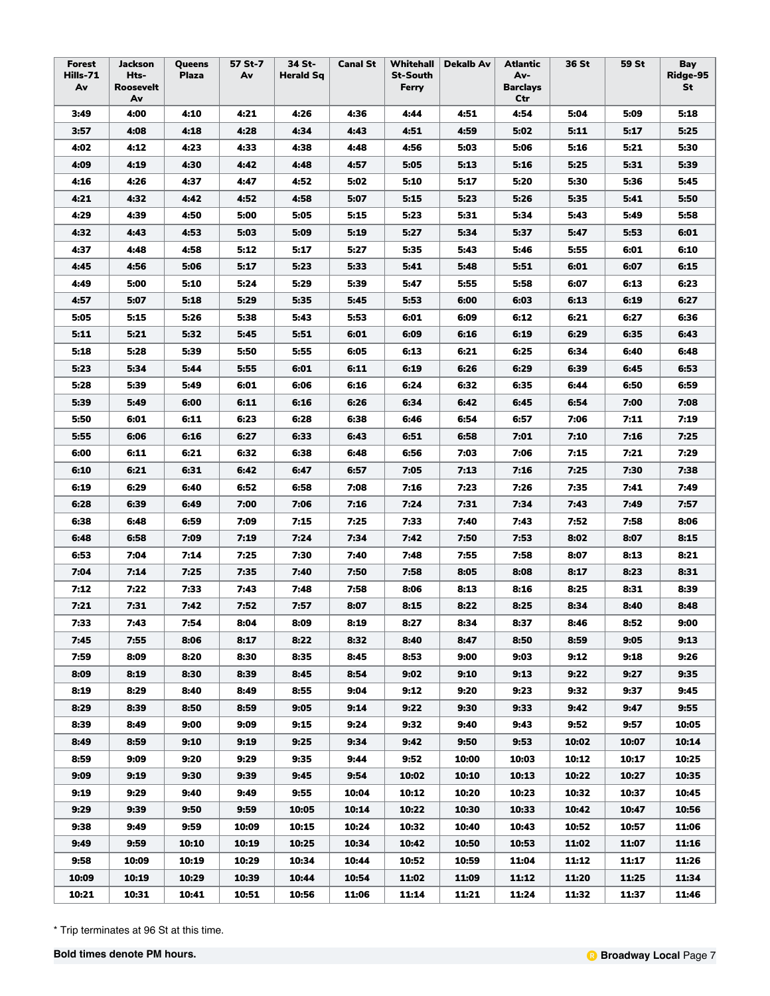| Forest<br>Hills-71<br>Av | Jackson<br>Hts-<br>Roosevelt<br>Av | Queens<br><b>Plaza</b> | 57 St-7<br>Av | 34 St-<br><b>Herald Sq</b> | <b>Canal St</b> | Whitehall<br><b>St-South</b><br>Ferry | <b>Dekalb Av</b> | Atlantic<br>Av-<br><b>Barclays</b><br>Ctr | 36 St | 59 St | Bay<br>Ridge-95<br>St |
|--------------------------|------------------------------------|------------------------|---------------|----------------------------|-----------------|---------------------------------------|------------------|-------------------------------------------|-------|-------|-----------------------|
| 3:49                     | 4:00                               | 4:10                   | 4:21          | 4:26                       | 4:36            | 4:44                                  | 4:51             | 4:54                                      | 5:04  | 5:09  | 5:18                  |
| 3:57                     | 4:08                               | 4:18                   | 4:28          | 4:34                       | 4:43            | 4:51                                  | 4:59             | 5:02                                      | 5:11  | 5:17  | 5:25                  |
| 4:02                     | 4:12                               | 4:23                   | 4:33          | 4:38                       | 4:48            | 4:56                                  | 5:03             | 5:06                                      | 5:16  | 5:21  | 5:30                  |
| 4:09                     | 4:19                               | 4:30                   | 4:42          | 4:48                       | 4:57            | 5:05                                  | 5:13             | 5:16                                      | 5:25  | 5:31  | 5:39                  |
| 4:16                     | 4:26                               | 4:37                   | 4:47          | 4:52                       | 5:02            | 5:10                                  | 5:17             | 5:20                                      | 5:30  | 5:36  | 5:45                  |
| 4:21                     | 4:32                               | 4:42                   | 4:52          | 4:58                       | 5:07            | 5:15                                  | 5:23             | 5:26                                      | 5:35  | 5:41  | 5:50                  |
| 4:29                     | 4:39                               | 4:50                   | 5:00          | 5:05                       | 5:15            | 5:23                                  | 5:31             | 5:34                                      | 5:43  | 5:49  | 5:58                  |
| 4:32                     | 4:43                               | 4:53                   | 5:03          | 5:09                       | 5:19            | 5:27                                  | 5:34             | 5:37                                      | 5:47  | 5:53  | 6:01                  |
| 4:37                     | 4:48                               | 4:58                   | 5:12          | 5:17                       | 5:27            | 5:35                                  | 5:43             | 5:46                                      | 5:55  | 6:01  | 6:10                  |
| 4:45                     | 4:56                               | 5:06                   | 5:17          | 5:23                       | 5:33            | 5:41                                  | 5:48             | 5:51                                      | 6:01  | 6:07  | 6:15                  |
| 4:49                     | 5:00                               | 5:10                   | 5:24          | 5:29                       | 5:39            | 5:47                                  | 5:55             | 5:58                                      | 6:07  | 6:13  | 6:23                  |
| 4:57                     | 5:07                               | 5:18                   | 5:29          | 5:35                       | 5:45            | 5:53                                  | 6:00             | 6:03                                      | 6:13  | 6:19  | 6:27                  |
| 5:05                     | 5:15                               | 5:26                   | 5:38          | 5:43                       | 5:53            | 6:01                                  | 6:09             | 6:12                                      | 6:21  | 6:27  | 6:36                  |
| 5:11                     | 5:21                               | 5:32                   | 5:45          | 5:51                       | 6:01            | 6:09                                  | 6:16             | 6:19                                      | 6:29  | 6:35  | 6:43                  |
| 5:18                     | 5:28                               | 5:39                   | 5:50          | 5:55                       | 6:05            | 6:13                                  | 6:21             | 6:25                                      | 6:34  | 6:40  | 6:48                  |
| 5:23                     | 5:34                               | 5:44                   | 5:55          | 6:01                       | 6:11            | 6:19                                  | 6:26             | 6:29                                      | 6:39  | 6:45  | 6:53                  |
| 5:28                     | 5:39                               | 5:49                   | 6:01          | 6:06                       | 6:16            | 6:24                                  | 6:32             | 6:35                                      | 6:44  | 6:50  | 6:59                  |
| 5:39                     | 5:49                               | 6:00                   | 6:11          | 6:16                       | 6:26            | 6:34                                  | 6:42             | 6:45                                      | 6:54  | 7:00  | 7:08                  |
| 5:50                     | 6:01                               | 6:11                   | 6:23          | 6:28                       | 6:38            | 6:46                                  | 6:54             | 6:57                                      | 7:06  | 7:11  | 7:19                  |
| 5:55                     | 6:06                               | 6:16                   | 6:27          | 6:33                       | 6:43            | 6:51                                  | 6:58             | 7:01                                      | 7:10  | 7:16  | 7:25                  |
| 6:00                     | 6:11                               | 6:21                   | 6:32          | 6:38                       | 6:48            | 6:56                                  | 7:03             | 7:06                                      | 7:15  | 7:21  | 7:29                  |
| 6:10                     | 6:21                               | 6:31                   | 6:42          | 6:47                       | 6:57            | 7:05                                  | 7:13             | 7:16                                      | 7:25  | 7:30  | 7:38                  |
| 6:19                     | 6:29                               | 6:40                   | 6:52          | 6:58                       | 7:08            | 7:16                                  | 7:23             | 7:26                                      | 7:35  | 7:41  | 7:49                  |
|                          |                                    |                        |               |                            |                 |                                       |                  |                                           |       |       |                       |
| 6:28                     | 6:39                               | 6:49                   | 7:00          | 7:06                       | 7:16            | 7:24                                  | 7:31             | 7:34                                      | 7:43  | 7:49  | 7:57                  |
| 6:38                     | 6:48                               | 6:59                   | 7:09          | 7:15                       | 7:25            | 7:33                                  | 7:40             | 7:43                                      | 7:52  | 7:58  | 8:06                  |
| 6:48                     | 6:58                               | 7:09                   | 7:19          | 7:24                       | 7:34            | 7:42                                  | 7:50             | 7:53                                      | 8:02  | 8:07  | 8:15                  |
| 6:53                     | 7:04                               | 7:14                   | 7:25          | 7:30                       | 7:40            | 7:48                                  | 7:55             | 7:58                                      | 8:07  | 8:13  | 8:21                  |
| 7:04                     | 7:14                               | 7:25                   | 7:35          | 7:40                       | 7:50            | 7:58                                  | 8:05             | 8:08                                      | 8:17  | 8:23  | 8:31                  |
| 7:12                     | 7:22                               | 7:33                   | 7:43          | 7:48                       | 7:58            | 8:06                                  | 8:13             | 8:16                                      | 8:25  | 8:31  | 8:39                  |
| 7:21                     | 7:31                               | 7:42                   | 7:52          | 7:57                       | 8:07            | 8:15                                  | 8:22             | 8:25                                      | 8:34  | 8:40  | 8:48                  |
| 7:33                     | 7:43                               | 7:54                   | 8:04          | 8:09                       | 8:19            | 8:27                                  | 8:34             | 8:37                                      | 8:46  | 8:52  | 9:00                  |
| 7:45                     | 7:55                               | 8:06                   | 8:17          | 8:22                       | 8:32            | 8:40                                  | 8:47             | 8:50                                      | 8:59  | 9:05  | 9:13                  |
| 7:59                     | 8:09                               | 8:20                   | 8:30          | 8:35                       | 8:45            | 8:53                                  | 9:00             | 9:03                                      | 9:12  | 9:18  | 9:26                  |
| 8:09                     | 8:19                               | 8:30                   | 8:39          | 8:45                       | 8:54            | 9:02                                  | 9:10             | 9:13                                      | 9:22  | 9:27  | 9:35                  |
| 8:19                     | 8:29                               | 8:40                   | 8:49          | 8:55                       | 9:04            | 9:12                                  | 9:20             | 9:23                                      | 9:32  | 9:37  | 9:45                  |
| 8:29                     | 8:39                               | 8:50                   | 8:59          | 9:05                       | 9:14            | 9:22                                  | 9:30             | 9:33                                      | 9:42  | 9:47  | 9:55                  |
| 8:39                     | 8:49                               | 9:00                   | 9:09          | 9:15                       | 9:24            | 9:32                                  | 9:40             | 9:43                                      | 9:52  | 9:57  | 10:05                 |
| 8:49                     | 8:59                               | 9:10                   | 9:19          | 9:25                       | 9:34            | 9:42                                  | 9:50             | 9:53                                      | 10:02 | 10:07 | 10:14                 |
| 8:59                     | 9:09                               | 9:20                   | 9:29          | 9:35                       | 9:44            | 9:52                                  | 10:00            | 10:03                                     | 10:12 | 10:17 | 10:25                 |
| 9:09                     | 9:19                               | 9:30                   | 9:39          | 9:45                       | 9:54            | 10:02                                 | 10:10            | 10:13                                     | 10:22 | 10:27 | 10:35                 |
| 9:19                     | 9:29                               | 9:40                   | 9:49          | 9:55                       | 10:04           | 10:12                                 | 10:20            | 10:23                                     | 10:32 | 10:37 | 10:45                 |
| 9:29                     | 9:39                               | 9:50                   | 9:59          | 10:05                      | 10:14           | 10:22                                 | 10:30            | 10:33                                     | 10:42 | 10:47 | 10:56                 |
| 9:38                     | 9:49                               | 9:59                   | 10:09         | 10:15                      | 10:24           | 10:32                                 | 10:40            | 10:43                                     | 10:52 | 10:57 | 11:06                 |
| 9:49                     | 9:59                               | 10:10                  | 10:19         | 10:25                      | 10:34           | 10:42                                 | 10:50            | 10:53                                     | 11:02 | 11:07 | 11:16                 |
| 9:58                     | 10:09                              | 10:19                  | 10:29         | 10:34                      | 10:44           | 10:52                                 | 10:59            | 11:04                                     | 11:12 | 11:17 | 11:26                 |
| 10:09                    | 10:19                              | 10:29                  | 10:39         | 10:44                      | 10:54           | 11:02                                 | 11:09            | 11:12                                     | 11:20 | 11:25 | 11:34                 |
| 10:21                    | 10:31                              | 10:41                  | 10:51         | 10:56                      | 11:06           | 11:14                                 | 11:21            | 11:24                                     | 11:32 | 11:37 | 11:46                 |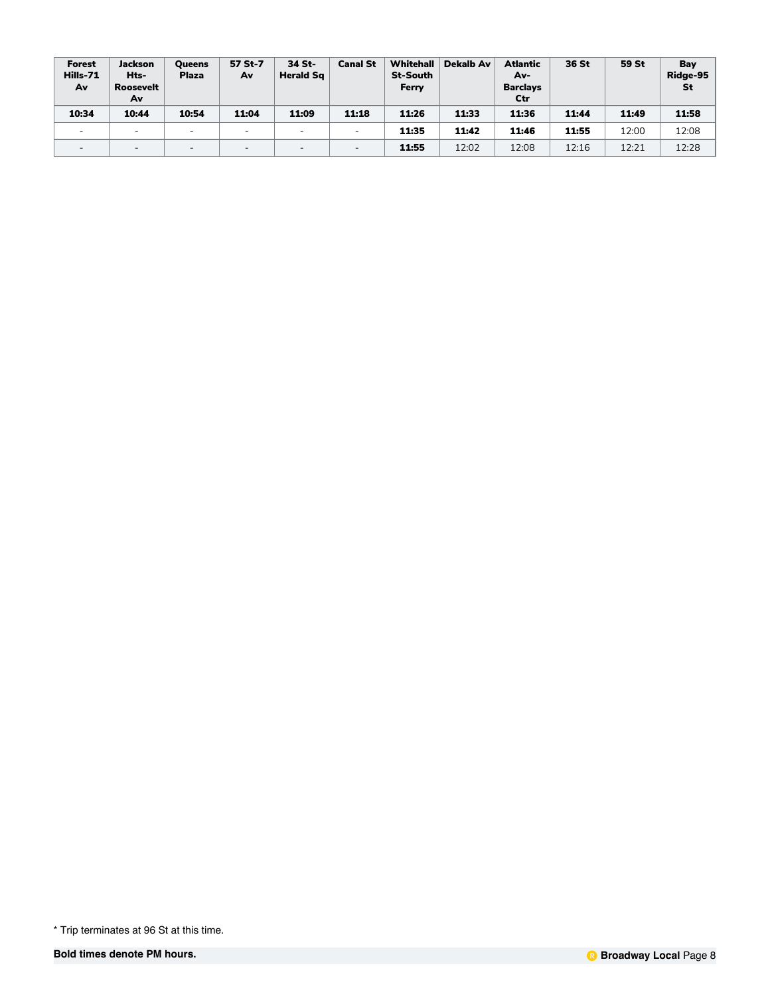| Forest<br>Hills-71<br>Av | Jackson<br>Hts-<br><b>Roosevelt</b><br>Av | <b>Oueens</b><br><b>Plaza</b> | 57 St-7<br>Av | 34 St-<br><b>Herald Sq</b> | <b>Canal St</b>          | Whitehall<br><b>St-South</b><br>Ferry | Dekalb Av | <b>Atlantic</b><br>Av-<br><b>Barclays</b><br>Ctr | 36 St | 59 St | Bay<br>Ridge-95<br>St |
|--------------------------|-------------------------------------------|-------------------------------|---------------|----------------------------|--------------------------|---------------------------------------|-----------|--------------------------------------------------|-------|-------|-----------------------|
| 10:34                    | 10:44                                     | 10:54                         | 11:04         | 11:09                      | 11:18                    | 11:26                                 | 11:33     | 11:36                                            | 11:44 | 11:49 | 11:58                 |
| $\overline{\phantom{0}}$ | $\sim$                                    | $\overline{\phantom{0}}$      | -             | $\overline{\phantom{a}}$   | $\overline{\phantom{0}}$ | 11:35                                 | 11:42     | 11:46                                            | 11:55 | 12:00 | 12:08                 |
| $\overline{\phantom{0}}$ | $\overline{\phantom{a}}$                  |                               |               |                            | $\overline{\phantom{0}}$ | 11:55                                 | 12:02     | 12:08                                            | 12:16 | 12:21 | 12:28                 |

<sup>\*</sup> Trip terminates at 96 St at this time.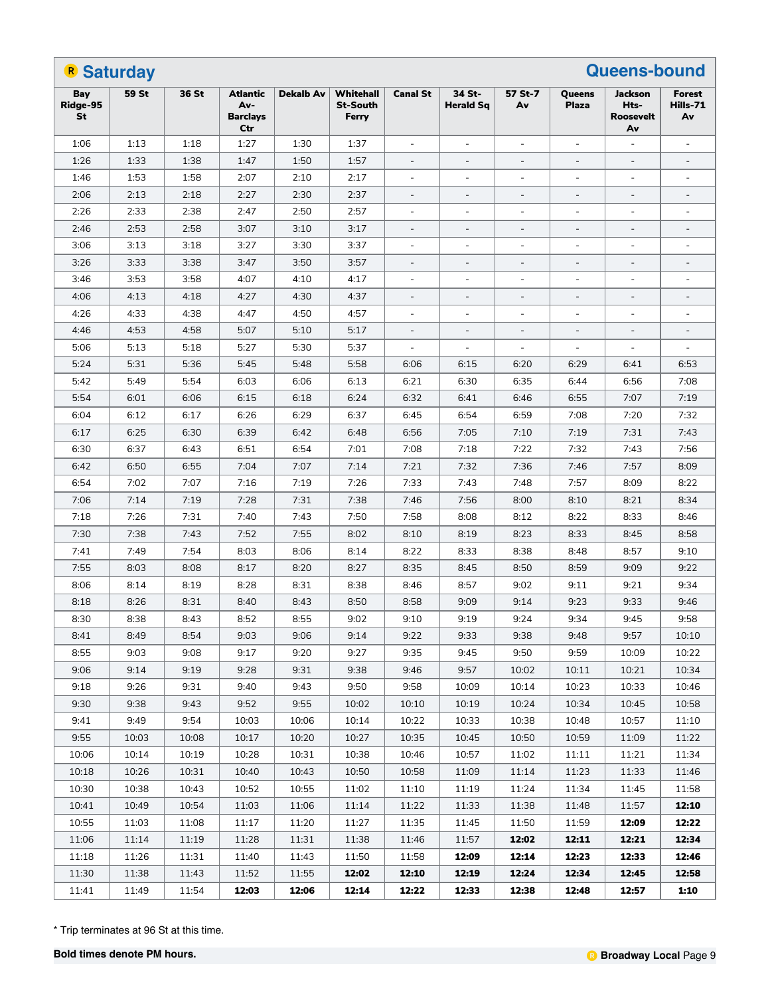|                       | <b>B</b> Saturday |       |                                                  |                  |                                       |                          |                            |                          |                          | <b>Queens-bound</b>                |                                 |
|-----------------------|-------------------|-------|--------------------------------------------------|------------------|---------------------------------------|--------------------------|----------------------------|--------------------------|--------------------------|------------------------------------|---------------------------------|
| Bay<br>Ridge-95<br>St | 59 St             | 36 St | <b>Atlantic</b><br>Av-<br><b>Barclays</b><br>Ctr | <b>Dekalb Av</b> | Whitehall<br><b>St-South</b><br>Ferry | <b>Canal St</b>          | 34 St-<br><b>Herald Sq</b> | 57 St-7<br>Av            | Queens<br><b>Plaza</b>   | Jackson<br>Hts-<br>Roosevelt<br>Av | <b>Forest</b><br>Hills-71<br>Av |
| 1:06                  | 1:13              | 1:18  | 1:27                                             | 1:30             | 1:37                                  | $\overline{\phantom{a}}$ | ÷,                         | $\overline{\phantom{a}}$ | $\blacksquare$           | $\overline{\phantom{a}}$           | $\blacksquare$                  |
| 1:26                  | 1:33              | 1:38  | 1:47                                             | 1:50             | 1:57                                  | $\overline{\phantom{a}}$ | $\blacksquare$             | $\blacksquare$           | $\overline{\phantom{a}}$ | $\overline{\phantom{a}}$           | $\blacksquare$                  |
| 1:46                  | 1:53              | 1:58  | 2:07                                             | 2:10             | 2:17                                  | $\overline{\phantom{a}}$ | $\overline{\phantom{a}}$   | $\blacksquare$           | $\blacksquare$           | $\blacksquare$                     | $\blacksquare$                  |
| 2:06                  | 2:13              | 2:18  | 2:27                                             | 2:30             | 2:37                                  | $\overline{\phantom{a}}$ | $\blacksquare$             |                          | $\overline{\phantom{a}}$ | $\blacksquare$                     |                                 |
| 2:26                  | 2:33              | 2:38  | 2:47                                             | 2:50             | 2:57                                  | $\overline{\phantom{a}}$ | $\overline{\phantom{a}}$   | $\overline{\phantom{a}}$ | $\blacksquare$           | $\blacksquare$                     | $\overline{\phantom{a}}$        |
| 2:46                  | 2:53              | 2:58  | 3:07                                             | 3:10             | 3:17                                  | $\overline{\phantom{a}}$ | $\overline{\phantom{a}}$   | $\blacksquare$           | $\overline{\phantom{a}}$ | $\overline{\phantom{a}}$           | $\equiv$                        |
| 3:06                  | 3:13              | 3:18  | 3:27                                             | 3:30             | 3:37                                  | $\overline{\phantom{a}}$ | $\overline{\phantom{a}}$   | $\blacksquare$           | $\overline{a}$           | $\blacksquare$                     | $\blacksquare$                  |
| 3:26                  | 3:33              | 3:38  | 3:47                                             | 3:50             | 3:57                                  | $\overline{\phantom{a}}$ | $\blacksquare$             |                          |                          | $\blacksquare$                     |                                 |
| 3:46                  | 3:53              | 3:58  | 4:07                                             | 4:10             | 4:17                                  | $\overline{\phantom{a}}$ | ÷,                         | $\overline{\phantom{a}}$ | $\blacksquare$           | $\blacksquare$                     | $\overline{\phantom{a}}$        |
| 4:06                  | 4:13              | 4:18  | 4:27                                             | 4:30             | 4:37                                  | $\overline{\phantom{a}}$ | $\overline{\phantom{a}}$   | $\overline{\phantom{a}}$ | $\overline{\phantom{a}}$ | $\overline{\phantom{a}}$           | $\blacksquare$                  |
| 4:26                  | 4:33              | 4:38  | 4:47                                             | 4:50             | 4:57                                  | $\overline{\phantom{a}}$ | $\overline{\phantom{a}}$   | $\blacksquare$           | $\blacksquare$           | $\blacksquare$                     | $\blacksquare$                  |
| 4:46                  | 4:53              | 4:58  | 5:07                                             | 5:10             | 5:17                                  | $\overline{\phantom{a}}$ | $\blacksquare$             | $\blacksquare$           | $\blacksquare$           | $\equiv$                           |                                 |
| 5:06                  | 5:13              | 5:18  | 5:27                                             | 5:30             | 5:37                                  | $\overline{\phantom{a}}$ | $\overline{\phantom{a}}$   | $\overline{\phantom{a}}$ | $\blacksquare$           | $\blacksquare$                     | $\blacksquare$                  |
| 5:24                  | 5:31              | 5:36  | 5:45                                             | 5:48             | 5:58                                  | 6:06                     | 6:15                       | 6:20                     | 6:29                     | 6:41                               | 6:53                            |
| 5:42                  | 5:49              | 5:54  | 6:03                                             | 6:06             | 6:13                                  | 6:21                     | 6:30                       | 6:35                     | 6:44                     | 6:56                               | 7:08                            |
| 5:54                  | 6:01              | 6:06  | 6:15                                             | 6:18             | 6:24                                  | 6:32                     | 6:41                       | 6:46                     | 6:55                     | 7:07                               | 7:19                            |
| 6:04                  | 6:12              | 6:17  | 6:26                                             | 6:29             | 6:37                                  | 6:45                     | 6:54                       | 6:59                     | 7:08                     | 7:20                               | 7:32                            |
| 6:17                  | 6:25              | 6:30  | 6:39                                             | 6:42             | 6:48                                  | 6:56                     | 7:05                       | 7:10                     | 7:19                     | 7:31                               | 7:43                            |
| 6:30                  | 6:37              | 6:43  | 6:51                                             | 6:54             | 7:01                                  | 7:08                     | 7:18                       | 7:22                     | 7:32                     | 7:43                               | 7:56                            |
| 6:42                  | 6:50              | 6:55  | 7:04                                             | 7:07             | 7:14                                  | 7:21                     | 7:32                       | 7:36                     | 7:46                     | 7:57                               | 8:09                            |
| 6:54                  | 7:02              | 7:07  | 7:16                                             | 7:19             | 7:26                                  | 7:33                     | 7:43                       | 7:48                     | 7:57                     | 8:09                               | 8:22                            |
| 7:06                  | 7:14              | 7:19  | 7:28                                             | 7:31             | 7:38                                  | 7:46                     | 7:56                       | 8:00                     | 8:10                     | 8:21                               | 8:34                            |
| 7:18                  | 7:26              | 7:31  | 7:40                                             | 7:43             | 7:50                                  | 7:58                     | 8:08                       | 8:12                     | 8:22                     | 8:33                               | 8:46                            |
| 7:30                  | 7:38              | 7:43  | 7:52                                             | 7:55             | 8:02                                  | 8:10                     | 8:19                       | 8:23                     | 8:33                     | 8:45                               | 8:58                            |
| 7:41                  | 7:49              | 7:54  | 8:03                                             | 8:06             | 8:14                                  | 8:22                     | 8:33                       | 8:38                     | 8:48                     | 8:57                               | 9:10                            |
| 7:55                  | 8:03              | 8:08  | 8:17                                             | 8:20             | 8:27                                  | 8:35                     | 8:45                       | 8:50                     | 8:59                     | 9:09                               | 9:22                            |
| 8:06                  | 8:14              | 8:19  | 8:28                                             | 8:31             | 8:38                                  | 8:46                     | 8:57                       | 9:02                     | 9:11                     | 9:21                               | 9:34                            |
| 8:18                  | 8:26              | 8:31  | 8:40                                             | 8:43             | 8:50                                  | 8:58                     | 9:09                       | 9:14                     | 9:23                     | 9:33                               | 9:46                            |
| 8:30                  | 8:38              | 8:43  | 8:52                                             | 8:55             | 9:02                                  | 9:10                     | 9:19                       | 9:24                     | 9:34                     | 9:45                               | 9:58                            |
| 8:41                  | 8:49              | 8:54  | 9:03                                             | 9:06             | 9:14                                  | 9:22                     | 9:33                       | 9:38                     | 9:48                     | 9:57                               | 10:10                           |
| 8:55                  | 9:03              | 9:08  | 9:17                                             | 9:20             | 9:27                                  | 9:35                     | 9:45                       | 9:50                     | 9:59                     | 10:09                              | 10:22                           |
| 9:06                  | 9:14              | 9:19  | 9:28                                             | 9:31             | 9:38                                  | 9:46                     | 9:57                       | 10:02                    | 10:11                    | 10:21                              | 10:34                           |
| 9:18                  | 9:26              | 9:31  | 9:40                                             | 9:43             | 9:50                                  | 9:58                     | 10:09                      | 10:14                    | 10:23                    | 10:33                              | 10:46                           |
| 9:30                  | 9:38              | 9:43  | 9:52                                             | 9:55             | 10:02                                 | 10:10                    | 10:19                      | 10:24                    | 10:34                    | 10:45                              | 10:58                           |
| 9:41                  | 9:49              | 9:54  | 10:03                                            | 10:06            | 10:14                                 | 10:22                    | 10:33                      | 10:38                    | 10:48                    | 10:57                              | 11:10                           |
| 9:55                  | 10:03             | 10:08 | 10:17                                            | 10:20            | 10:27                                 | 10:35                    | 10:45                      | 10:50                    | 10:59                    | 11:09                              | 11:22                           |
| 10:06                 | 10:14             | 10:19 | 10:28                                            | 10:31            | 10:38                                 | 10:46                    | 10:57                      | 11:02                    | 11:11                    | 11:21                              | 11:34                           |
| 10:18                 | 10:26             | 10:31 | 10:40                                            | 10:43            | 10:50                                 | 10:58                    | 11:09                      | 11:14                    | 11:23                    | 11:33                              | 11:46                           |
| 10:30                 | 10:38             | 10:43 | 10:52                                            | 10:55            | 11:02                                 | 11:10                    | 11:19                      | 11:24                    | 11:34                    | 11:45                              | 11:58                           |
| 10:41                 | 10:49             | 10:54 | 11:03                                            | 11:06            | 11:14                                 | 11:22                    | 11:33                      | 11:38                    | 11:48                    | 11:57                              | 12:10                           |
| 10:55                 | 11:03             | 11:08 | 11:17                                            | 11:20            | 11:27                                 | 11:35                    | 11:45                      | 11:50                    | 11:59                    | 12:09                              | 12:22                           |
| 11:06                 | 11:14             | 11:19 | 11:28                                            | 11:31            | 11:38                                 | 11:46                    | 11:57                      | 12:02                    | 12:11                    | 12:21                              | 12:34                           |
| 11:18                 | 11:26             | 11:31 | 11:40                                            | 11:43            | 11:50                                 | 11:58                    | 12:09                      | 12:14                    | 12:23                    | 12:33                              | 12:46                           |
| 11:30                 | 11:38             | 11:43 | 11:52                                            | 11:55            | 12:02                                 | 12:10                    | 12:19                      | 12:24                    | 12:34                    | 12:45                              | 12:58                           |
| 11:41                 | 11:49             | 11:54 | 12:03                                            | 12:06            | 12:14                                 | 12:22                    | 12:33                      | 12:38                    | 12:48                    | 12:57                              | 1:10                            |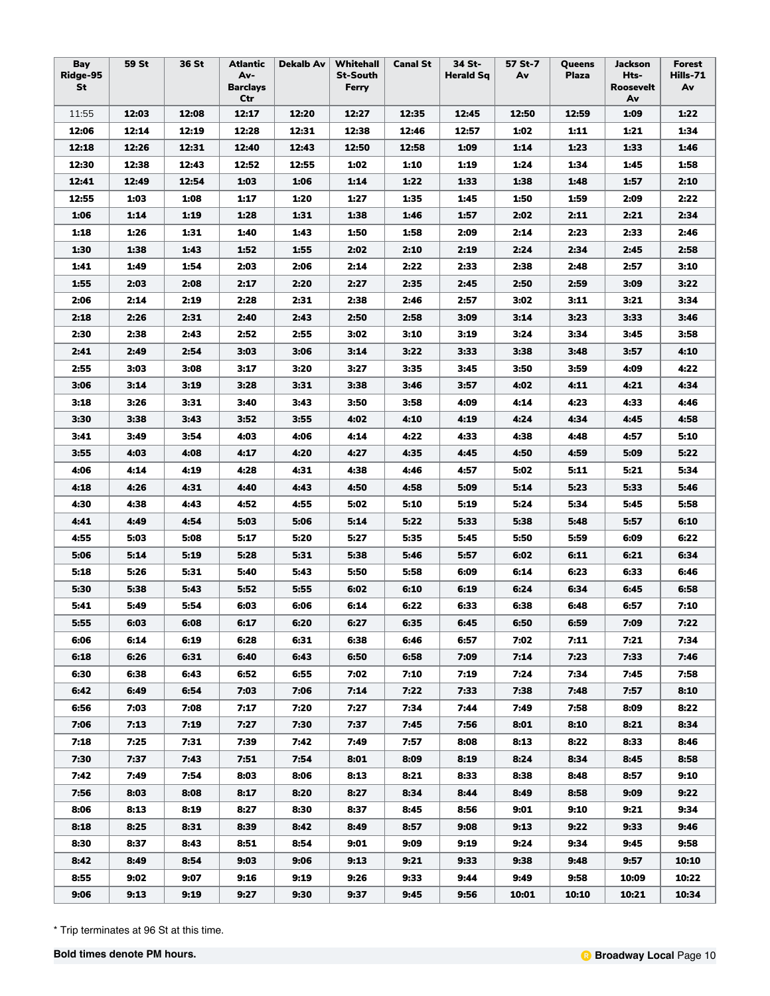| Bay<br>Ridge-95<br>St | 59 St | 36 St | Atlantic<br>Av-<br><b>Barclays</b><br>Ctr | <b>Dekalb Av</b> | Whitehall<br><b>St-South</b><br>Ferry | <b>Canal St</b> | 34 St-<br>Herald Sq | 57 St-7<br>Av | Queens<br><b>Plaza</b> | <b>Jackson</b><br>Hts-<br><b>Roosevelt</b><br>Av | <b>Forest</b><br>Hills-71<br>Av |
|-----------------------|-------|-------|-------------------------------------------|------------------|---------------------------------------|-----------------|---------------------|---------------|------------------------|--------------------------------------------------|---------------------------------|
| 11:55                 | 12:03 | 12:08 | 12:17                                     | 12:20            | 12:27                                 | 12:35           | 12:45               | 12:50         | 12:59                  | 1:09                                             | 1:22                            |
| 12:06                 | 12:14 | 12:19 | 12:28                                     | 12:31            | 12:38                                 | 12:46           | 12:57               | 1:02          | 1:11                   | 1:21                                             | 1:34                            |
| 12:18                 | 12:26 | 12:31 | 12:40                                     | 12:43            | 12:50                                 | 12:58           | 1:09                | 1:14          | 1:23                   | 1:33                                             | 1:46                            |
| 12:30                 | 12:38 | 12:43 | 12:52                                     | 12:55            | 1:02                                  | 1:10            | 1:19                | 1:24          | 1:34                   | 1:45                                             | 1:58                            |
| 12:41                 | 12:49 | 12:54 | 1:03                                      | 1:06             | 1:14                                  | 1:22            | 1:33                | 1:38          | 1:48                   | 1:57                                             | 2:10                            |
| 12:55                 | 1:03  | 1:08  | 1:17                                      | 1:20             | 1:27                                  | 1:35            | 1:45                | 1:50          | 1:59                   | 2:09                                             | 2:22                            |
| 1:06                  | 1:14  | 1:19  | 1:28                                      | 1:31             | 1:38                                  | 1:46            | 1:57                | 2:02          | 2:11                   | 2:21                                             | 2:34                            |
| 1:18                  | 1:26  | 1:31  | 1:40                                      | 1:43             | 1:50                                  | 1:58            | 2:09                | 2:14          | 2:23                   | 2:33                                             | 2:46                            |
| 1:30                  | 1:38  | 1:43  | 1:52                                      | 1:55             | 2:02                                  | 2:10            | 2:19                | 2:24          | 2:34                   | 2:45                                             | 2:58                            |
| 1:41                  | 1:49  | 1:54  | 2:03                                      | 2:06             | 2:14                                  | 2:22            | 2:33                | 2:38          | 2:48                   | 2:57                                             | 3:10                            |
| 1:55                  | 2:03  | 2:08  | 2:17                                      | 2:20             | 2:27                                  | 2:35            | 2:45                | 2:50          | 2:59                   | 3:09                                             | 3:22                            |
| 2:06                  | 2:14  | 2:19  | 2:28                                      | 2:31             | 2:38                                  | 2:46            | 2:57                | 3:02          | 3:11                   | 3:21                                             | 3:34                            |
| 2:18                  | 2:26  | 2:31  | 2:40                                      | 2:43             | 2:50                                  | 2:58            | 3:09                | 3:14          | 3:23                   | 3:33                                             | 3:46                            |
| 2:30                  | 2:38  | 2:43  | 2:52                                      | 2:55             | 3:02                                  | 3:10            | 3:19                | 3:24          | 3:34                   | 3:45                                             | 3:58                            |
| 2:41                  | 2:49  | 2:54  | 3:03                                      | 3:06             | 3:14                                  | 3:22            | 3:33                | 3:38          | 3:48                   | 3:57                                             | 4:10                            |
| 2:55                  | 3:03  | 3:08  | 3:17                                      | 3:20             | 3:27                                  | 3:35            | 3:45                | 3:50          | 3:59                   | 4:09                                             | 4:22                            |
| 3:06                  | 3:14  | 3:19  | 3:28                                      | 3:31             | 3:38                                  | 3:46            | 3:57                | 4:02          | 4:11                   | 4:21                                             | 4:34                            |
| 3:18                  | 3:26  | 3:31  | 3:40                                      | 3:43             | 3:50                                  | 3:58            | 4:09                | 4:14          | 4:23                   | 4:33                                             | 4:46                            |
| 3:30                  | 3:38  | 3:43  | 3:52                                      | 3:55             | 4:02                                  | 4:10            | 4:19                | 4:24          | 4:34                   | 4:45                                             | 4:58                            |
| 3:41                  | 3:49  | 3:54  | 4:03                                      | 4:06             | 4:14                                  | 4:22            | 4:33                | 4:38          | 4:48                   | 4:57                                             | 5:10                            |
| 3:55                  | 4:03  | 4:08  | 4:17                                      | 4:20             | 4:27                                  | 4:35            | 4:45                | 4:50          | 4:59                   | 5:09                                             | 5:22                            |
| 4:06                  | 4:14  | 4:19  | 4:28                                      | 4:31             | 4:38                                  | 4:46            | 4:57                | 5:02          | 5:11                   | 5:21                                             | 5:34                            |
| 4:18                  | 4:26  | 4:31  | 4:40                                      | 4:43             | 4:50                                  | 4:58            | 5:09                | 5:14          | 5:23                   | 5:33                                             | 5:46                            |
| 4:30                  | 4:38  | 4:43  | 4:52                                      | 4:55             | 5:02                                  | 5:10            | 5:19                | 5:24          | 5:34                   | 5:45                                             | 5:58                            |
| 4:41                  | 4:49  | 4:54  | 5:03                                      | 5:06             | 5:14                                  | 5:22            | 5:33                | 5:38          | 5:48                   | 5:57                                             | 6:10                            |
| 4:55                  | 5:03  | 5:08  | 5:17                                      | 5:20             | 5:27                                  | 5:35            | 5:45                | 5:50          | 5:59                   | 6:09                                             | 6:22                            |
| 5:06                  | 5:14  | 5:19  | 5:28                                      | 5:31             | 5:38                                  | 5:46            | 5:57                | 6:02          | 6:11                   | 6:21                                             | 6:34                            |
| 5:18                  | 5:26  | 5:31  | 5:40                                      | 5:43             | 5:50                                  | 5:58            | 6:09                | 6:14          | 6:23                   | 6:33                                             | 6:46                            |
| 5:30                  | 5:38  | 5:43  | 5:52                                      | 5:55             | 6:02                                  | 6:10            | 6:19                | 6:24          | 6:34                   | 6:45                                             | 6:58                            |
| 5:41                  | 5:49  | 5:54  | 6:03                                      | 6:06             | 6:14                                  | 6:22            | 6:33                | 6:38          | 6:48                   | 6:57                                             | 7:10                            |
| 5:55                  | 6:03  | 6:08  | 6:17                                      | 6:20             | 6:27                                  | 6:35            | 6:45                | 6:50          | 6:59                   | 7:09                                             | 7:22                            |
| 6:06                  | 6:14  | 6:19  | 6:28                                      | 6:31             | 6:38                                  | 6:46            | 6:57                | 7:02          | 7:11                   | 7:21                                             | 7:34                            |
| 6:18                  | 6:26  | 6:31  | 6:40                                      | 6:43             | 6:50                                  | 6:58            | 7:09                | 7:14          | 7:23                   | 7:33                                             | 7:46                            |
| 6:30                  | 6:38  | 6:43  | 6:52                                      | 6:55             | 7:02                                  | 7:10            | 7:19                | 7:24          | 7:34                   | 7:45                                             | 7:58                            |
| 6:42                  | 6:49  | 6:54  | 7:03                                      | 7:06             | 7:14                                  | 7:22            | 7:33                | 7:38          | 7:48                   | 7:57                                             | 8:10                            |
| 6:56                  | 7:03  | 7:08  | 7:17                                      | 7:20             | 7:27                                  | 7:34            | 7:44                | 7:49          | 7:58                   | 8:09                                             | 8:22                            |
| 7:06                  | 7:13  | 7:19  | 7:27                                      | 7:30             | 7:37                                  | 7:45            | 7:56                | 8:01          | 8:10                   | 8:21                                             | 8:34                            |
| 7:18                  | 7:25  | 7:31  | 7:39                                      | 7:42             | 7:49                                  | 7:57            | 8:08                | 8:13          | 8:22                   | 8:33                                             | 8:46                            |
| 7:30                  | 7:37  | 7:43  | 7:51                                      | 7:54             | 8:01                                  | 8:09            | 8:19                | 8:24          | 8:34                   | 8:45                                             | 8:58                            |
| 7:42                  | 7:49  | 7:54  | 8:03                                      | 8:06             | 8:13                                  | 8:21            | 8:33                | 8:38          | 8:48                   | 8:57                                             | 9:10                            |
| 7:56                  | 8:03  | 8:08  | 8:17                                      | 8:20             | 8:27                                  | 8:34            | 8:44                | 8:49          | 8:58                   | 9:09                                             | 9:22                            |
| 8:06                  | 8:13  | 8:19  | 8:27                                      | 8:30             | 8:37                                  | 8:45            | 8:56                | 9:01          | 9:10                   | 9:21                                             | 9:34                            |
| 8:18                  | 8:25  | 8:31  | 8:39                                      | 8:42             | 8:49                                  | 8:57            | 9:08                | 9:13          | 9:22                   | 9:33                                             | 9:46                            |
| 8:30                  | 8:37  | 8:43  | 8:51                                      | 8:54             | 9:01                                  | 9:09            | 9:19                | 9:24          | 9:34                   | 9:45                                             | 9:58                            |
| 8:42                  | 8:49  | 8:54  | 9:03                                      | 9:06             | 9:13                                  | 9:21            | 9:33                | 9:38          | 9:48                   | 9:57                                             | 10:10                           |
| 8:55                  | 9:02  | 9:07  | 9:16                                      | 9:19             | 9:26                                  | 9:33            | 9:44                | 9:49          | 9:58                   | 10:09                                            | 10:22                           |
| 9:06                  | 9:13  | 9:19  | 9:27                                      | 9:30             | 9:37                                  | 9:45            | 9:56                | 10:01         | 10:10                  | 10:21                                            | 10:34                           |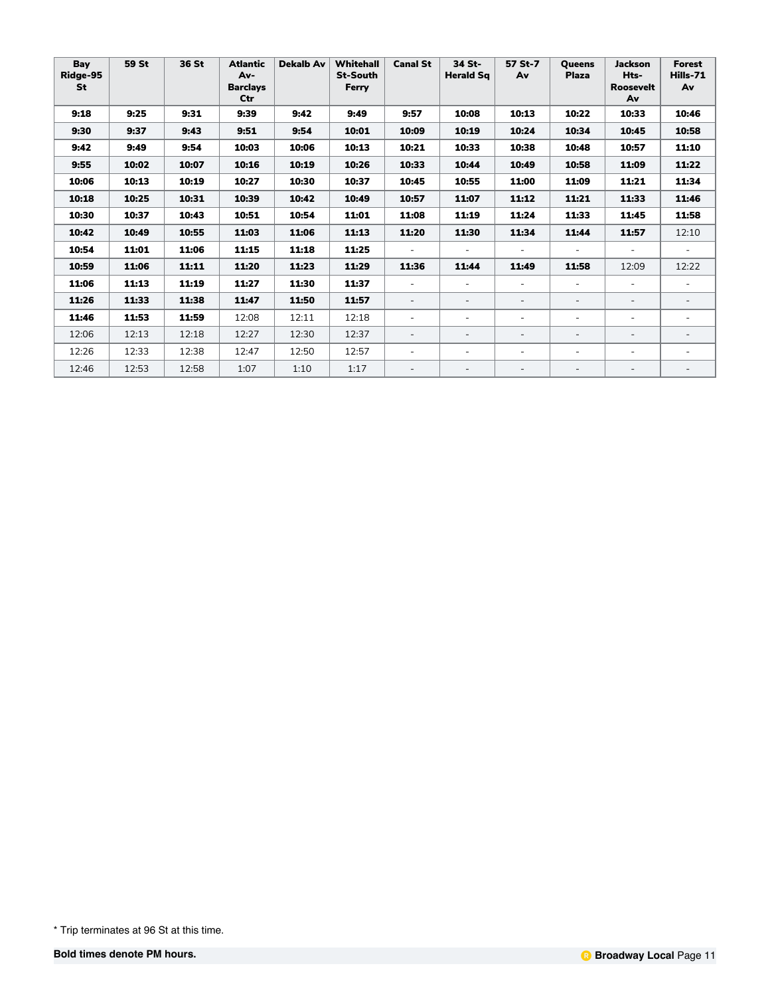| Bay<br>Ridge-95<br><b>St</b> | 59 St | 36 St | <b>Atlantic</b><br>Av-<br><b>Barclays</b><br>Ctr | <b>Dekalb Av</b> | Whitehall<br><b>St-South</b><br>Ferry | <b>Canal St</b>          | 34 St-<br><b>Herald Sg</b> | 57 St-7<br>Av            | <b>Oueens</b><br><b>Plaza</b> | <b>Jackson</b><br>Hts-<br><b>Roosevelt</b><br>Av | <b>Forest</b><br>Hills-71<br>Av |
|------------------------------|-------|-------|--------------------------------------------------|------------------|---------------------------------------|--------------------------|----------------------------|--------------------------|-------------------------------|--------------------------------------------------|---------------------------------|
| 9:18                         | 9:25  | 9:31  | 9:39                                             | 9:42             | 9:49                                  | 9:57                     | 10:08                      | 10:13                    | 10:22                         | 10:33                                            | 10:46                           |
| 9:30                         | 9:37  | 9:43  | 9:51                                             | 9:54             | 10:01                                 | 10:09                    | 10:19                      | 10:24                    | 10:34                         | 10:45                                            | 10:58                           |
| 9:42                         | 9:49  | 9:54  | 10:03                                            | 10:06            | 10:13                                 | 10:21                    | 10:33                      | 10:38                    | 10:48                         | 10:57                                            | 11:10                           |
| 9:55                         | 10:02 | 10:07 | 10:16                                            | 10:19            | 10:26                                 | 10:33                    | 10:44                      | 10:49                    | 10:58                         | 11:09                                            | 11:22                           |
| 10:06                        | 10:13 | 10:19 | 10:27                                            | 10:30            | 10:37                                 | 10:45                    | 10:55                      | 11:00                    | 11:09                         | 11:21                                            | 11:34                           |
| 10:18                        | 10:25 | 10:31 | 10:39                                            | 10:42            | 10:49                                 | 10:57                    | 11:07                      | 11:12                    | 11:21                         | 11:33                                            | 11:46                           |
| 10:30                        | 10:37 | 10:43 | 10:51                                            | 10:54            | 11:01                                 | 11:08                    | 11:19                      | 11:24                    | 11:33                         | 11:45                                            | 11:58                           |
| 10:42                        | 10:49 | 10:55 | 11:03                                            | 11:06            | 11:13                                 | 11:20                    | 11:30                      | 11:34                    | 11:44                         | 11:57                                            | 12:10                           |
| 10:54                        | 11:01 | 11:06 | 11:15                                            | 11:18            | 11:25                                 |                          |                            |                          |                               |                                                  |                                 |
| 10:59                        | 11:06 | 11:11 | 11:20                                            | 11:23            | 11:29                                 | 11:36                    | 11:44                      | 11:49                    | 11:58                         | 12:09                                            | 12:22                           |
| 11:06                        | 11:13 | 11:19 | 11:27                                            | 11:30            | 11:37                                 | $\sim$                   | $\equiv$                   | $\overline{\phantom{0}}$ | $\equiv$                      | $\equiv$                                         |                                 |
| 11:26                        | 11:33 | 11:38 | 11:47                                            | 11:50            | 11:57                                 | $\overline{\phantom{a}}$ |                            | $\overline{\phantom{0}}$ | $\qquad \qquad -$             | $\overline{\phantom{a}}$                         |                                 |
| 11:46                        | 11:53 | 11:59 | 12:08                                            | 12:11            | 12:18                                 |                          |                            | $\equiv$                 |                               | $\equiv$                                         |                                 |
| 12:06                        | 12:13 | 12:18 | 12:27                                            | 12:30            | 12:37                                 | $\overline{\phantom{a}}$ |                            | $\overline{\phantom{0}}$ | $\overline{\phantom{a}}$      | $\overline{\phantom{a}}$                         |                                 |
| 12:26                        | 12:33 | 12:38 | 12:47                                            | 12:50            | 12:57                                 | $\overline{\phantom{a}}$ |                            | $\overline{\phantom{0}}$ | $\equiv$                      | $\equiv$                                         |                                 |
| 12:46                        | 12:53 | 12:58 | 1:07                                             | 1:10             | 1:17                                  |                          |                            | $\overline{\phantom{0}}$ | $\qquad \qquad -$             | $\overline{\phantom{a}}$                         | $\overline{\phantom{a}}$        |

<sup>\*</sup> Trip terminates at 96 St at this time.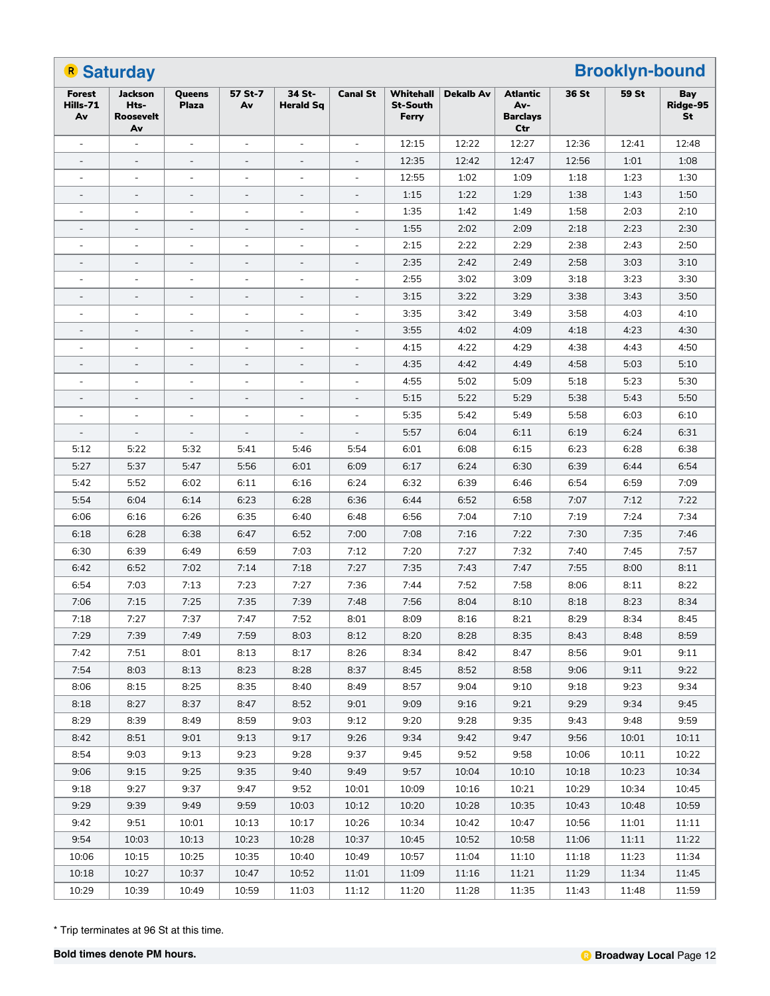|                                 | <b>R</b> Saturday                                |                              |                          |                            |                          |                                       | <b>Brooklyn-bound</b> |                                           |       |       |                       |  |
|---------------------------------|--------------------------------------------------|------------------------------|--------------------------|----------------------------|--------------------------|---------------------------------------|-----------------------|-------------------------------------------|-------|-------|-----------------------|--|
| <b>Forest</b><br>Hills-71<br>Av | <b>Jackson</b><br>Hts-<br><b>Roosevelt</b><br>Av | Queens<br><b>Plaza</b>       | 57 St-7<br>Av            | 34 St-<br><b>Herald Sq</b> | <b>Canal St</b>          | Whitehall<br><b>St-South</b><br>Ferry | <b>Dekalb Av</b>      | Atlantic<br>Av-<br><b>Barclays</b><br>Ctr | 36 St | 59 St | Bay<br>Ridge-95<br>St |  |
| $\blacksquare$                  |                                                  | $\overline{\phantom{a}}$     |                          |                            |                          | 12:15                                 | 12:22                 | 12:27                                     | 12:36 | 12:41 | 12:48                 |  |
| $\qquad \qquad \blacksquare$    | $\overline{\phantom{a}}$                         | $\qquad \qquad \blacksquare$ | $\overline{\phantom{a}}$ | $\overline{\phantom{a}}$   | $\overline{\phantom{a}}$ | 12:35                                 | 12:42                 | 12:47                                     | 12:56 | 1:01  | 1:08                  |  |
| $\blacksquare$                  | $\overline{a}$                                   | $\overline{\phantom{a}}$     | $\sim$                   | $\blacksquare$             | $\blacksquare$           | 12:55                                 | 1:02                  | 1:09                                      | 1:18  | 1:23  | 1:30                  |  |
|                                 | $\overline{\phantom{a}}$                         |                              |                          |                            |                          | 1:15                                  | 1:22                  | 1:29                                      | 1:38  | 1:43  | 1:50                  |  |
| ÷,                              |                                                  | $\blacksquare$               | ÷,                       | ÷,                         | $\overline{\phantom{a}}$ | 1:35                                  | 1:42                  | 1:49                                      | 1:58  | 2:03  | 2:10                  |  |
| $\overline{\phantom{a}}$        | $\overline{\phantom{a}}$                         | $\qquad \qquad -$            | $\overline{\phantom{a}}$ | $\overline{\phantom{a}}$   | $\overline{\phantom{a}}$ | 1:55                                  | 2:02                  | 2:09                                      | 2:18  | 2:23  | 2:30                  |  |
| $\blacksquare$                  | $\overline{a}$                                   | $\overline{a}$               | $\sim$                   | $\blacksquare$             | $\blacksquare$           | 2:15                                  | 2:22                  | 2:29                                      | 2:38  | 2:43  | 2:50                  |  |
|                                 | $\overline{\phantom{a}}$                         |                              | -                        |                            |                          | 2:35                                  | 2:42                  | 2:49                                      | 2:58  | 3:03  | 3:10                  |  |
|                                 |                                                  | $\overline{\phantom{a}}$     | L,                       |                            |                          | 2:55                                  | 3:02                  | 3:09                                      | 3:18  | 3:23  | 3:30                  |  |
| $\overline{a}$                  | $\overline{\phantom{a}}$                         | $\qquad \qquad \blacksquare$ | $\overline{\phantom{a}}$ | $\overline{\phantom{a}}$   | $\overline{\phantom{a}}$ | 3:15                                  | 3:22                  | 3:29                                      | 3:38  | 3:43  | 3:50                  |  |
| L,                              | $\sim$                                           | $\overline{\phantom{a}}$     | ÷,                       | $\blacksquare$             | $\blacksquare$           | 3:35                                  | 3:42                  | 3:49                                      | 3:58  | 4:03  | 4:10                  |  |
|                                 | $\overline{\phantom{a}}$                         |                              | $\overline{a}$           |                            | $\overline{\phantom{a}}$ | 3:55                                  | 4:02                  | 4:09                                      | 4:18  | 4:23  | 4:30                  |  |
|                                 |                                                  | $\overline{\phantom{a}}$     | L,                       | ÷,                         | $\overline{\phantom{a}}$ | 4:15                                  | 4:22                  | 4:29                                      | 4:38  | 4:43  | 4:50                  |  |
|                                 | $\overline{\phantom{a}}$                         | $\qquad \qquad -$            | $\overline{\phantom{a}}$ | $\overline{\phantom{a}}$   | $\overline{\phantom{a}}$ | 4:35                                  | 4:42                  | 4:49                                      | 4:58  | 5:03  | 5:10                  |  |
| $\blacksquare$                  | $\overline{a}$                                   | $\overline{a}$               | $\sim$                   | $\blacksquare$             | $\blacksquare$           | 4:55                                  | 5:02                  | 5:09                                      | 5:18  | 5:23  | 5:30                  |  |
|                                 | $\overline{\phantom{a}}$                         |                              |                          |                            |                          | 5:15                                  | 5:22                  | 5:29                                      | 5:38  | 5:43  | 5:50                  |  |
|                                 |                                                  | $\overline{\phantom{a}}$     |                          |                            |                          | 5:35                                  | 5:42                  | 5:49                                      | 5:58  | 6:03  | 6:10                  |  |
| $\overline{\phantom{a}}$        | $\overline{\phantom{a}}$                         | $\qquad \qquad -$            | $\overline{\phantom{a}}$ | $\overline{\phantom{a}}$   | $\overline{\phantom{a}}$ | 5:57                                  | 6:04                  | 6:11                                      | 6:19  | 6:24  | 6:31                  |  |
| 5:12                            | 5:22                                             | 5:32                         | 5:41                     | 5:46                       | 5:54                     | 6:01                                  | 6:08                  | 6:15                                      | 6:23  | 6:28  | 6:38                  |  |
| 5:27                            | 5:37                                             | 5:47                         | 5:56                     | 6:01                       | 6:09                     | 6:17                                  | 6:24                  | 6:30                                      | 6:39  | 6:44  | 6:54                  |  |
| 5:42                            | 5:52                                             | 6:02                         | 6:11                     | 6:16                       | 6:24                     | 6:32                                  | 6:39                  | 6:46                                      | 6:54  | 6:59  | 7:09                  |  |
| 5:54                            | 6:04                                             | 6:14                         | 6:23                     | 6:28                       | 6:36                     | 6:44                                  | 6:52                  | 6:58                                      | 7:07  | 7:12  | 7:22                  |  |
| 6:06                            | 6:16                                             | 6:26                         | 6:35                     | 6:40                       | 6:48                     | 6:56                                  | 7:04                  | 7:10                                      | 7:19  | 7:24  | 7:34                  |  |
| 6:18                            | 6:28                                             | 6:38                         | 6:47                     | 6:52                       | 7:00                     | 7:08                                  | 7:16                  | 7:22                                      | 7:30  | 7:35  | 7:46                  |  |
| 6:30                            | 6:39                                             | 6:49                         | 6:59                     | 7:03                       | 7:12                     | 7:20                                  | 7:27                  | 7:32                                      | 7:40  | 7:45  | 7:57                  |  |
| 6:42                            | 6:52                                             | 7:02                         | 7:14                     | 7:18                       | 7:27                     | 7:35                                  | 7:43                  | 7:47                                      | 7:55  | 8:00  | 8:11                  |  |
| 6:54                            | 7:03                                             | 7:13                         | 7:23                     | 7:27                       | 7:36                     | 7:44                                  | 7:52                  | 7:58                                      | 8:06  | 8:11  | 8:22                  |  |
| 7:06                            | 7:15                                             | 7:25                         | 7:35                     | 7:39                       | 7:48                     | 7:56                                  | 8:04                  | 8:10                                      | 8:18  | 8:23  | 8:34                  |  |
| 7:18                            | 7:27                                             | 7:37                         | 7:47                     | 7:52                       | 8:01                     | 8:09                                  | 8:16                  | 8:21                                      | 8:29  | 8:34  | 8:45                  |  |
| 7:29                            | 7:39                                             | 7:49                         | 7:59                     | 8:03                       | 8:12                     | 8:20                                  | 8:28                  | 8:35                                      | 8:43  | 8:48  | 8:59                  |  |
| 7:42                            | 7:51                                             | 8:01                         | 8:13                     | 8:17                       | 8:26                     | 8:34                                  | 8:42                  | 8:47                                      | 8:56  | 9:01  | 9:11                  |  |
| 7:54                            | 8:03                                             | 8:13                         | 8:23                     | 8:28                       | 8:37                     | 8:45                                  | 8:52                  | 8:58                                      | 9:06  | 9:11  | 9:22                  |  |
| 8:06                            | 8:15                                             | 8:25                         | 8:35                     | 8:40                       | 8:49                     | 8:57                                  | 9:04                  | 9:10                                      | 9:18  | 9:23  | 9:34                  |  |
| 8:18                            | 8:27                                             | 8:37                         | 8:47                     | 8:52                       | 9:01                     | 9:09                                  | 9:16                  | 9:21                                      | 9:29  | 9:34  | 9:45                  |  |
| 8:29                            | 8:39                                             | 8:49                         | 8:59                     | 9:03                       | 9:12                     | 9:20                                  | 9:28                  | 9:35                                      | 9:43  | 9:48  | 9:59                  |  |
| 8:42                            | 8:51                                             | 9:01                         | 9:13                     | 9:17                       | 9:26                     | 9:34                                  | 9:42                  | 9:47                                      | 9:56  | 10:01 | 10:11                 |  |
| 8:54                            | 9:03                                             | 9:13                         | 9:23                     | 9:28                       | 9:37                     | 9:45                                  | 9:52                  | 9:58                                      | 10:06 | 10:11 | 10:22                 |  |
| 9:06                            | 9:15                                             | 9:25                         | 9:35                     | 9:40                       | 9:49                     | 9:57                                  | 10:04                 | 10:10                                     | 10:18 | 10:23 | 10:34                 |  |
| 9:18                            | 9:27                                             | 9:37                         | 9:47                     | 9:52                       | 10:01                    | 10:09                                 | 10:16                 | 10:21                                     | 10:29 | 10:34 | 10:45                 |  |
| 9:29                            | 9:39                                             | 9:49                         | 9:59                     | 10:03                      | 10:12                    | 10:20                                 | 10:28                 | 10:35                                     | 10:43 | 10:48 | 10:59                 |  |
| 9:42                            | 9:51                                             | 10:01                        | 10:13                    | 10:17                      | 10:26                    | 10:34                                 | 10:42                 | 10:47                                     | 10:56 | 11:01 | 11:11                 |  |
| 9:54                            | 10:03                                            | 10:13                        | 10:23                    | 10:28                      | 10:37                    | 10:45                                 | 10:52                 | 10:58                                     | 11:06 | 11:11 | 11:22                 |  |
| 10:06                           | 10:15                                            | 10:25                        | 10:35                    | 10:40                      | 10:49                    | 10:57                                 | 11:04                 | 11:10                                     | 11:18 | 11:23 | 11:34                 |  |
| 10:18                           | 10:27                                            | 10:37                        | 10:47                    | 10:52                      | 11:01                    | 11:09                                 | 11:16                 | 11:21                                     | 11:29 | 11:34 | 11:45                 |  |
| 10:29                           | 10:39                                            | 10:49                        | 10:59                    | 11:03                      | 11:12                    | 11:20                                 | 11:28                 | 11:35                                     | 11:43 | 11:48 | 11:59                 |  |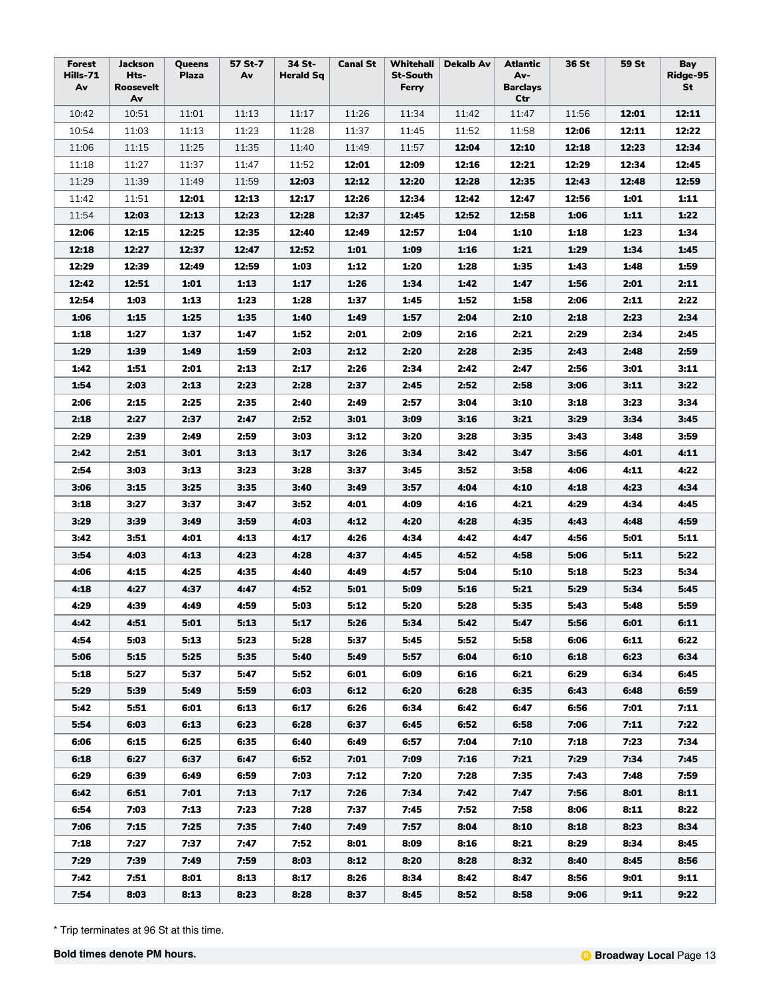| Forest<br>Hills-71<br>Av | Jackson<br>Hts-<br><b>Roosevelt</b> | Queens<br>Plaza | 57 St-7<br>Av | 34 St-<br><b>Herald Sq</b> | <b>Canal St</b> | Whitehall<br><b>St-South</b><br>Ferry | Dekalb Av | Atlantic<br>Av-<br><b>Barclays</b> | 36 St | 59 St | Bay<br>Ridge-95<br>St |
|--------------------------|-------------------------------------|-----------------|---------------|----------------------------|-----------------|---------------------------------------|-----------|------------------------------------|-------|-------|-----------------------|
|                          | Av                                  |                 |               |                            |                 |                                       |           | Ctr                                |       |       |                       |
| 10:42                    | 10:51                               | 11:01           | 11:13         | 11:17                      | 11:26           | 11:34                                 | 11:42     | 11:47                              | 11:56 | 12:01 | 12:11                 |
| 10:54                    | 11:03                               | 11:13           | 11:23         | 11:28                      | 11:37           | 11:45                                 | 11:52     | 11:58                              | 12:06 | 12:11 | 12:22                 |
| 11:06                    | 11:15                               | 11:25           | 11:35         | 11:40                      | 11:49           | 11:57                                 | 12:04     | 12:10                              | 12:18 | 12:23 | 12:34                 |
| 11:18                    | 11:27                               | 11:37           | 11:47         | 11:52                      | 12:01           | 12:09                                 | 12:16     | 12:21                              | 12:29 | 12:34 | 12:45                 |
| 11:29                    | 11:39                               | 11:49           | 11:59         | 12:03                      | 12:12           | 12:20                                 | 12:28     | 12:35                              | 12:43 | 12:48 | 12:59                 |
| 11:42                    | 11:51                               | 12:01           | 12:13         | 12:17                      | 12:26           | 12:34                                 | 12:42     | 12:47                              | 12:56 | 1:01  | 1:11                  |
| 11:54                    | 12:03                               | 12:13           | 12:23         | 12:28                      | 12:37           | 12:45                                 | 12:52     | 12:58                              | 1:06  | 1:11  | 1:22                  |
| 12:06                    | 12:15                               | 12:25           | 12:35         | 12:40                      | 12:49           | 12:57                                 | 1:04      | 1:10                               | 1:18  | 1:23  | 1:34                  |
| 12:18                    | 12:27                               | 12:37           | 12:47         | 12:52                      | 1:01            | 1:09                                  | 1:16      | 1:21                               | 1:29  | 1:34  | 1:45                  |
| 12:29                    | 12:39                               | 12:49           | 12:59         | 1:03                       | 1:12            | 1:20                                  | 1:28      | 1:35                               | 1:43  | 1:48  | 1:59                  |
| 12:42                    | 12:51                               | 1:01            | 1:13          | 1:17                       | 1:26            | 1:34                                  | 1:42      | 1:47                               | 1:56  | 2:01  | 2:11                  |
| 12:54                    | 1:03                                | 1:13            | 1:23          | 1:28                       | 1:37            | 1:45                                  | 1:52      | 1:58                               | 2:06  | 2:11  | 2:22                  |
| 1:06                     | 1:15                                | 1:25            | 1:35          | 1:40                       | 1:49            | 1:57                                  | 2:04      | 2:10                               | 2:18  | 2:23  | 2:34                  |
| 1:18                     | 1:27                                | 1:37            | 1:47          | 1:52                       | 2:01            | 2:09                                  | 2:16      | 2:21                               | 2:29  | 2:34  | 2:45                  |
| 1:29                     | 1:39                                | 1:49            | 1:59          | 2:03                       | 2:12            | 2:20                                  | 2:28      | 2:35                               | 2:43  | 2:48  | 2:59                  |
| 1:42                     | 1:51                                | 2:01            | 2:13          | 2:17                       | 2:26            | 2:34                                  | 2:42      | 2:47                               | 2:56  | 3:01  | 3:11                  |
| 1:54                     | 2:03                                | 2:13            | 2:23          | 2:28                       | 2:37            | 2:45                                  | 2:52      | 2:58                               | 3:06  | 3:11  | 3:22                  |
| 2:06                     | 2:15                                | 2:25            | 2:35          | 2:40                       | 2:49            | 2:57                                  | 3:04      | 3:10                               | 3:18  | 3:23  | 3:34                  |
| 2:18                     | 2:27                                | 2:37            | 2:47          | 2:52                       | 3:01            | 3:09                                  | 3:16      | 3:21                               | 3:29  | 3:34  | 3:45                  |
| 2:29                     | 2:39                                | 2:49            | 2:59          | 3:03                       | 3:12            | 3:20                                  | 3:28      | 3:35                               | 3:43  | 3:48  | 3:59                  |
| 2:42                     | 2:51                                | 3:01            | 3:13          | 3:17                       | 3:26            | 3:34                                  | 3:42      | 3:47                               | 3:56  | 4:01  | 4:11                  |
| 2:54                     | 3:03                                | 3:13            | 3:23          | 3:28                       | 3:37            | 3:45                                  | 3:52      | 3:58                               | 4:06  | 4:11  | 4:22                  |
| 3:06                     | 3:15                                | 3:25            | 3:35          | 3:40                       | 3:49            | 3:57                                  | 4:04      | 4:10                               | 4:18  | 4:23  | 4:34                  |
| 3:18                     | 3:27                                | 3:37            | 3:47          | 3:52                       | 4:01            | 4:09                                  | 4:16      | 4:21                               | 4:29  | 4:34  | 4:45                  |
| 3:29                     | 3:39                                | 3:49            | 3:59          | 4:03                       | 4:12            | 4:20                                  | 4:28      | 4:35                               | 4:43  | 4:48  | 4:59                  |
| 3:42                     | 3:51                                | 4:01            | 4:13          | 4:17                       | 4:26            | 4:34                                  | 4:42      | 4:47                               | 4:56  | 5:01  | 5:11                  |
| 3:54                     | 4:03                                | 4:13            | 4:23          | 4:28                       | 4:37            | 4:45                                  | 4:52      | 4:58                               | 5:06  | 5:11  | 5:22                  |
|                          |                                     |                 |               |                            |                 |                                       |           |                                    |       |       |                       |
| 4:06                     | 4:15                                | 4:25            | 4:35          | 4:40                       | 4:49            | 4:57                                  | 5:04      | 5:10                               | 5:18  | 5:23  | 5:34                  |
| 4:18                     | 4:27                                | 4:37            | 4:47          | 4:52                       | 5:01            | 5:09                                  | 5:16      | 5:21                               | 5:29  | 5:34  | 5:45                  |
| 4:29                     | 4:39                                | 4:49            | 4:59          | 5:03                       | 5:12            | 5:20                                  | 5:28      | 5:35                               | 5:43  | 5:48  | 5:59                  |
| 4:42                     | 4:51                                | 5:01            | 5:13          | 5:17                       | 5:26            | 5:34                                  | 5:42      | 5:47                               | 5:56  | 6:01  | 6:11                  |
| 4:54                     | 5:03                                | 5:13            | 5:23          | 5:28                       | 5:37            | 5:45                                  | 5:52      | 5:58                               | 6:06  | 6:11  | 6:22                  |
| 5:06                     | 5:15                                | 5:25            | 5:35          | 5:40                       | 5:49            | 5:57                                  | 6:04      | 6:10                               | 6:18  | 6:23  | 6:34                  |
| 5:18                     | 5:27                                | 5:37            | 5:47          | 5:52                       | 6:01            | 6:09                                  | 6:16      | 6:21                               | 6:29  | 6:34  | 6:45                  |
| 5:29                     | 5:39                                | 5:49            | 5:59          | 6:03                       | 6:12            | 6:20                                  | 6:28      | 6:35                               | 6:43  | 6:48  | 6:59                  |
| 5:42                     | 5:51                                | 6:01            | 6:13          | 6:17                       | 6:26            | 6:34                                  | 6:42      | 6:47                               | 6:56  | 7:01  | 7:11                  |
| 5:54                     | 6:03                                | 6:13            | 6:23          | 6:28                       | 6:37            | 6:45                                  | 6:52      | 6:58                               | 7:06  | 7:11  | 7:22                  |
| 6:06                     | 6:15                                | 6:25            | 6:35          | 6:40                       | 6:49            | 6:57                                  | 7:04      | 7:10                               | 7:18  | 7:23  | 7:34                  |
| 6:18                     | 6:27                                | 6:37            | 6:47          | 6:52                       | 7:01            | 7:09                                  | 7:16      | 7:21                               | 7:29  | 7:34  | 7:45                  |
| 6:29                     | 6:39                                | 6:49            | 6:59          | 7:03                       | 7:12            | 7:20                                  | 7:28      | 7:35                               | 7:43  | 7:48  | 7:59                  |
| 6:42                     | 6:51                                | 7:01            | 7:13          | 7:17                       | 7:26            | 7:34                                  | 7:42      | 7:47                               | 7:56  | 8:01  | 8:11                  |
| 6:54                     | 7:03                                | 7:13            | 7:23          | 7:28                       | 7:37            | 7:45                                  | 7:52      | 7:58                               | 8:06  | 8:11  | 8:22                  |
| 7:06                     | 7:15                                | 7:25            | 7:35          | 7:40                       | 7:49            | 7:57                                  | 8:04      | 8:10                               | 8:18  | 8:23  | 8:34                  |
| 7:18                     | 7:27                                | 7:37            | 7:47          | 7:52                       | 8:01            | 8:09                                  | 8:16      | 8:21                               | 8:29  | 8:34  | 8:45                  |
| 7:29                     | 7:39                                | 7:49            | 7:59          | 8:03                       | 8:12            | 8:20                                  | 8:28      | 8:32                               | 8:40  | 8:45  | 8:56                  |
| 7:42                     | 7:51                                | 8:01            | 8:13          | 8:17                       | 8:26            | 8:34                                  | 8:42      | 8:47                               | 8:56  | 9:01  | 9:11                  |
| 7:54                     | 8:03                                | 8:13            | 8:23          | 8:28                       | 8:37            | 8:45                                  | 8:52      | 8:58                               | 9:06  | 9:11  | 9:22                  |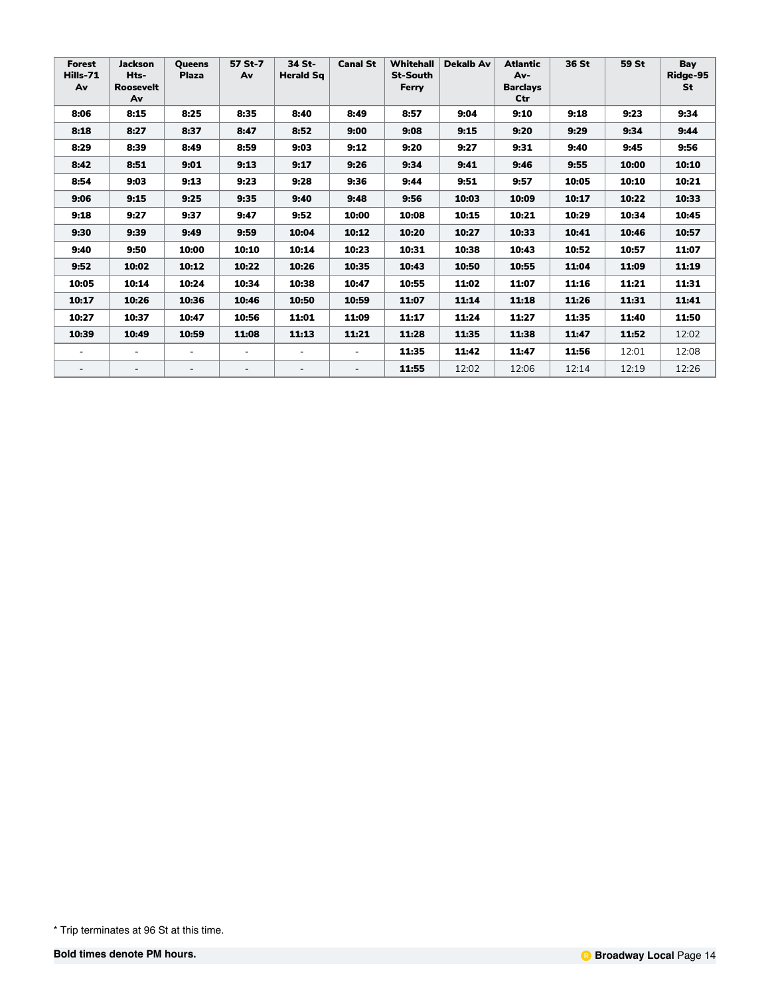| Forest<br>Hills-71<br>Av | <b>Jackson</b><br>Hts-<br><b>Roosevelt</b><br>Av | <b>Oueens</b><br><b>Plaza</b> | 57 St-7<br>Av            | 34 St-<br><b>Herald Sq</b> | <b>Canal St</b>          | <b>Whitehall</b><br><b>St-South</b><br>Ferry | <b>Dekalb Av</b> | <b>Atlantic</b><br>Av-<br><b>Barclays</b><br>Ctr | 36 St | 59 St | Bay<br>Ridge-95<br><b>St</b> |
|--------------------------|--------------------------------------------------|-------------------------------|--------------------------|----------------------------|--------------------------|----------------------------------------------|------------------|--------------------------------------------------|-------|-------|------------------------------|
| 8:06                     | 8:15                                             | 8:25                          | 8:35                     | 8:40                       | 8:49                     | 8:57                                         | 9:04             | 9:10                                             | 9:18  | 9:23  | 9:34                         |
| 8:18                     | 8:27                                             | 8:37                          | 8:47                     | 8:52                       | 9:00                     | 9:08                                         | 9:15             | 9:20                                             | 9:29  | 9:34  | 9:44                         |
| 8:29                     | 8:39                                             | 8:49                          | 8:59                     | 9:03                       | 9:12                     | 9:20                                         | 9:27             | 9:31                                             | 9:40  | 9:45  | 9:56                         |
| 8:42                     | 8:51                                             | 9:01                          | 9:13                     | 9:17                       | 9:26                     | 9:34                                         | 9:41             | 9:46                                             | 9:55  | 10:00 | 10:10                        |
| 8:54                     | 9:03                                             | 9:13                          | 9:23                     | 9:28                       | 9:36                     | 9:44                                         | 9:51             | 9:57                                             | 10:05 | 10:10 | 10:21                        |
| 9:06                     | 9:15                                             | 9:25                          | 9:35                     | 9:40                       | 9:48                     | 9:56                                         | 10:03            | 10:09                                            | 10:17 | 10:22 | 10:33                        |
| 9:18                     | 9:27                                             | 9:37                          | 9:47                     | 9:52                       | 10:00                    | 10:08                                        | 10:15            | 10:21                                            | 10:29 | 10:34 | 10:45                        |
| 9:30                     | 9:39                                             | 9:49                          | 9:59                     | 10:04                      | 10:12                    | 10:20                                        | 10:27            | 10:33                                            | 10:41 | 10:46 | 10:57                        |
| 9:40                     | 9:50                                             | 10:00                         | 10:10                    | 10:14                      | 10:23                    | 10:31                                        | 10:38            | 10:43                                            | 10:52 | 10:57 | 11:07                        |
| 9:52                     | 10:02                                            | 10:12                         | 10:22                    | 10:26                      | 10:35                    | 10:43                                        | 10:50            | 10:55                                            | 11:04 | 11:09 | 11:19                        |
| 10:05                    | 10:14                                            | 10:24                         | 10:34                    | 10:38                      | 10:47                    | 10:55                                        | 11:02            | 11:07                                            | 11:16 | 11:21 | 11:31                        |
| 10:17                    | 10:26                                            | 10:36                         | 10:46                    | 10:50                      | 10:59                    | 11:07                                        | 11:14            | 11:18                                            | 11:26 | 11:31 | 11:41                        |
| 10:27                    | 10:37                                            | 10:47                         | 10:56                    | 11:01                      | 11:09                    | 11:17                                        | 11:24            | 11:27                                            | 11:35 | 11:40 | 11:50                        |
| 10:39                    | 10:49                                            | 10:59                         | 11:08                    | 11:13                      | 11:21                    | 11:28                                        | 11:35            | 11:38                                            | 11:47 | 11:52 | 12:02                        |
| $\overline{\phantom{a}}$ | $\overline{a}$                                   |                               | $\overline{\phantom{0}}$ | $\overline{a}$             | $\overline{\phantom{a}}$ | 11:35                                        | 11:42            | 11:47                                            | 11:56 | 12:01 | 12:08                        |
| $\overline{\phantom{a}}$ |                                                  |                               |                          |                            | $\overline{\phantom{a}}$ | 11:55                                        | 12:02            | 12:06                                            | 12:14 | 12:19 | 12:26                        |

<sup>\*</sup> Trip terminates at 96 St at this time.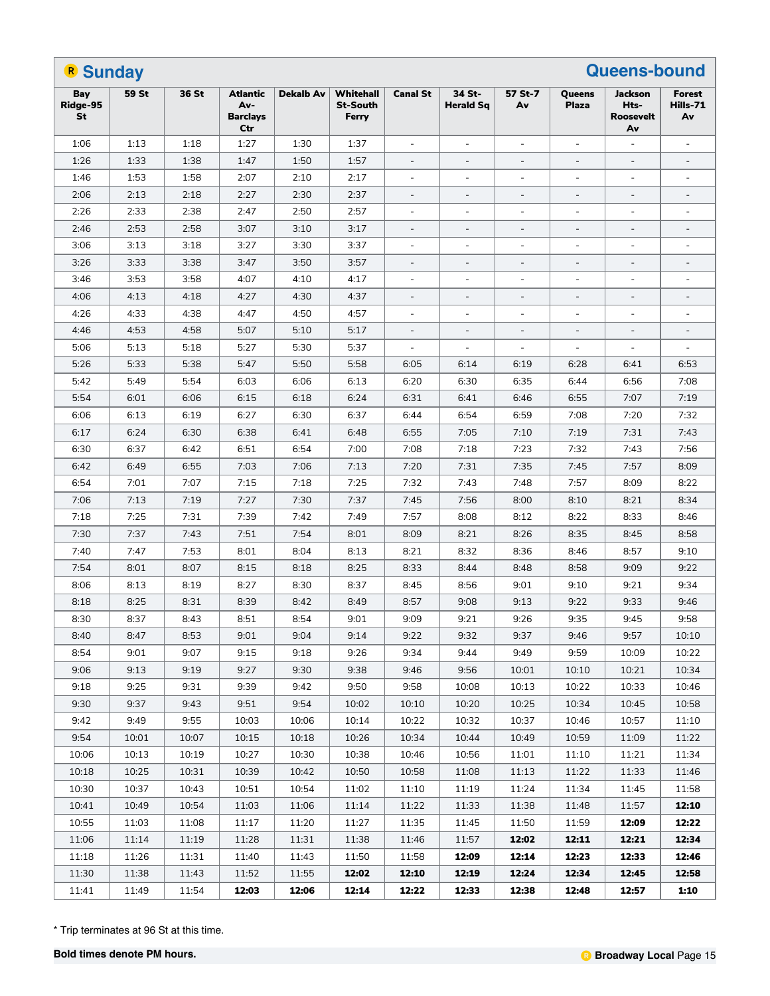| <b>R</b> Sunday       |       |       |                                                  |                  |                                       |                          |                            |                          |                          | <b>Queens-bound</b>                |                                 |
|-----------------------|-------|-------|--------------------------------------------------|------------------|---------------------------------------|--------------------------|----------------------------|--------------------------|--------------------------|------------------------------------|---------------------------------|
| Bay<br>Ridge-95<br>St | 59 St | 36 St | <b>Atlantic</b><br>Av-<br><b>Barclays</b><br>Ctr | <b>Dekalb Av</b> | Whitehall<br><b>St-South</b><br>Ferry | <b>Canal St</b>          | 34 St-<br><b>Herald Sq</b> | 57 St-7<br>Av            | Queens<br><b>Plaza</b>   | Jackson<br>Hts-<br>Roosevelt<br>Av | <b>Forest</b><br>Hills-71<br>Av |
| 1:06                  | 1:13  | 1:18  | 1:27                                             | 1:30             | 1:37                                  | $\overline{\phantom{a}}$ | ÷,                         | $\overline{\phantom{a}}$ | $\blacksquare$           | $\blacksquare$                     | $\overline{\phantom{a}}$        |
| 1:26                  | 1:33  | 1:38  | 1:47                                             | 1:50             | 1:57                                  | $\overline{\phantom{a}}$ | $\blacksquare$             | $\blacksquare$           | $\overline{\phantom{a}}$ | $\overline{\phantom{a}}$           | $\blacksquare$                  |
| 1:46                  | 1:53  | 1:58  | 2:07                                             | 2:10             | 2:17                                  | $\overline{\phantom{a}}$ | $\overline{\phantom{a}}$   | $\blacksquare$           | $\blacksquare$           | $\blacksquare$                     | $\blacksquare$                  |
| 2:06                  | 2:13  | 2:18  | 2:27                                             | 2:30             | 2:37                                  | $\overline{\phantom{a}}$ | $\blacksquare$             |                          | $\overline{\phantom{a}}$ | $\blacksquare$                     |                                 |
| 2:26                  | 2:33  | 2:38  | 2:47                                             | 2:50             | 2:57                                  | $\overline{\phantom{a}}$ | $\overline{\phantom{a}}$   | $\overline{\phantom{a}}$ | $\blacksquare$           | $\blacksquare$                     | $\overline{\phantom{a}}$        |
| 2:46                  | 2:53  | 2:58  | 3:07                                             | 3:10             | 3:17                                  | $\overline{\phantom{a}}$ | $\overline{\phantom{a}}$   | $\overline{\phantom{a}}$ | $\overline{\phantom{a}}$ | $\overline{\phantom{a}}$           | $\blacksquare$                  |
| 3:06                  | 3:13  | 3:18  | 3:27                                             | 3:30             | 3:37                                  | $\overline{\phantom{a}}$ | $\overline{\phantom{a}}$   | $\blacksquare$           | $\overline{a}$           | $\blacksquare$                     | $\blacksquare$                  |
| 3:26                  | 3:33  | 3:38  | 3:47                                             | 3:50             | 3:57                                  | $\overline{\phantom{a}}$ | $\blacksquare$             |                          |                          | $\blacksquare$                     |                                 |
| 3:46                  | 3:53  | 3:58  | 4:07                                             | 4:10             | 4:17                                  | $\overline{\phantom{a}}$ | ÷,                         | $\overline{\phantom{a}}$ | $\blacksquare$           | $\blacksquare$                     | $\overline{\phantom{a}}$        |
| 4:06                  | 4:13  | 4:18  | 4:27                                             | 4:30             | 4:37                                  | $\overline{\phantom{a}}$ | $\overline{\phantom{a}}$   | $\overline{\phantom{a}}$ | $\overline{\phantom{a}}$ | $\overline{\phantom{a}}$           | $\blacksquare$                  |
| 4:26                  | 4:33  | 4:38  | 4:47                                             | 4:50             | 4:57                                  | $\overline{\phantom{a}}$ | $\overline{\phantom{a}}$   | $\blacksquare$           | $\blacksquare$           | $\blacksquare$                     | $\blacksquare$                  |
| 4:46                  | 4:53  | 4:58  | 5:07                                             | 5:10             | 5:17                                  | $\overline{\phantom{a}}$ | $\blacksquare$             | $\blacksquare$           | $\blacksquare$           | $\blacksquare$                     |                                 |
| 5:06                  | 5:13  | 5:18  | 5:27                                             | 5:30             | 5:37                                  | $\overline{\phantom{a}}$ | $\overline{\phantom{a}}$   | $\overline{\phantom{a}}$ | $\blacksquare$           | $\blacksquare$                     | $\blacksquare$                  |
| 5:26                  | 5:33  | 5:38  | 5:47                                             | 5:50             | 5:58                                  | 6:05                     | 6:14                       | 6:19                     | 6:28                     | 6:41                               | 6:53                            |
| 5:42                  | 5:49  | 5:54  | 6:03                                             | 6:06             | 6:13                                  | 6:20                     | 6:30                       | 6:35                     | 6:44                     | 6:56                               | 7:08                            |
| 5:54                  | 6:01  | 6:06  | 6:15                                             | 6:18             | 6:24                                  | 6:31                     | 6:41                       | 6:46                     | 6:55                     | 7:07                               | 7:19                            |
| 6:06                  | 6:13  | 6:19  | 6:27                                             | 6:30             | 6:37                                  | 6:44                     | 6:54                       | 6:59                     | 7:08                     | 7:20                               | 7:32                            |
| 6:17                  | 6:24  | 6:30  | 6:38                                             | 6:41             | 6:48                                  | 6:55                     | 7:05                       | 7:10                     | 7:19                     | 7:31                               | 7:43                            |
| 6:30                  | 6:37  | 6:42  | 6:51                                             | 6:54             | 7:00                                  | 7:08                     | 7:18                       | 7:23                     | 7:32                     | 7:43                               | 7:56                            |
| 6:42                  | 6:49  | 6:55  | 7:03                                             | 7:06             | 7:13                                  | 7:20                     | 7:31                       | 7:35                     | 7:45                     | 7:57                               | 8:09                            |
| 6:54                  | 7:01  | 7:07  | 7:15                                             | 7:18             | 7:25                                  | 7:32                     | 7:43                       | 7:48                     | 7:57                     | 8:09                               | 8:22                            |
| 7:06                  | 7:13  | 7:19  | 7:27                                             | 7:30             | 7:37                                  | 7:45                     | 7:56                       | 8:00                     | 8:10                     | 8:21                               | 8:34                            |
| 7:18                  | 7:25  | 7:31  | 7:39                                             | 7:42             | 7:49                                  | 7:57                     | 8:08                       | 8:12                     | 8:22                     | 8:33                               | 8:46                            |
| 7:30                  | 7:37  | 7:43  | 7:51                                             | 7:54             | 8:01                                  | 8:09                     | 8:21                       | 8:26                     | 8:35                     | 8:45                               | 8:58                            |
| 7:40                  | 7:47  | 7:53  | 8:01                                             | 8:04             | 8:13                                  | 8:21                     | 8:32                       | 8:36                     | 8:46                     | 8:57                               | 9:10                            |
| 7:54                  | 8:01  | 8:07  | 8:15                                             | 8:18             | 8:25                                  | 8:33                     | 8:44                       | 8:48                     | 8:58                     | 9:09                               | 9:22                            |
| 8:06                  | 8:13  | 8:19  | 8:27                                             | 8:30             | 8:37                                  | 8:45                     | 8:56                       | 9:01                     | 9:10                     | 9:21                               | 9:34                            |
| 8:18                  | 8:25  | 8:31  | 8:39                                             | 8:42             | 8:49                                  | 8:57                     | 9:08                       | 9:13                     | 9:22                     | 9:33                               | 9:46                            |
| 8:30                  | 8:37  | 8:43  | 8:51                                             | 8:54             | 9:01                                  | 9:09                     | 9:21                       | 9:26                     | 9:35                     | 9:45                               | 9:58                            |
| 8:40                  | 8:47  | 8:53  | 9:01                                             | 9:04             | 9:14                                  | 9:22                     | 9:32                       | 9:37                     | 9:46                     | 9:57                               | 10:10                           |
| 8:54                  | 9:01  | 9:07  | 9:15                                             | 9:18             | 9:26                                  | 9:34                     | 9:44                       | 9:49                     | 9:59                     | 10:09                              | 10:22                           |
| 9:06                  | 9:13  | 9:19  | 9:27                                             | 9:30             | 9:38                                  | 9:46                     | 9:56                       | 10:01                    | 10:10                    | 10:21                              | 10:34                           |
| 9:18                  | 9:25  | 9:31  | 9:39                                             | 9:42             | 9:50                                  | 9:58                     | 10:08                      | 10:13                    | 10:22                    | 10:33                              | 10:46                           |
| 9:30                  | 9:37  | 9:43  | 9:51                                             | 9:54             | 10:02                                 | 10:10                    | 10:20                      | 10:25                    | 10:34                    | 10:45                              | 10:58                           |
| 9:42                  | 9:49  | 9:55  | 10:03                                            | 10:06            | 10:14                                 | 10:22                    | 10:32                      | 10:37                    | 10:46                    | 10:57                              | 11:10                           |
| 9:54                  | 10:01 | 10:07 | 10:15                                            | 10:18            | 10:26                                 | 10:34                    | 10:44                      | 10:49                    | 10:59                    | 11:09                              | 11:22                           |
| 10:06                 | 10:13 | 10:19 | 10:27                                            | 10:30            | 10:38                                 | 10:46                    | 10:56                      | 11:01                    | 11:10                    | 11:21                              | 11:34                           |
| 10:18                 | 10:25 | 10:31 | 10:39                                            | 10:42            | 10:50                                 | 10:58                    | 11:08                      | 11:13                    | 11:22                    | 11:33                              | 11:46                           |
| 10:30                 | 10:37 | 10:43 | 10:51                                            | 10:54            | 11:02                                 | 11:10                    | 11:19                      | 11:24                    | 11:34                    | 11:45                              | 11:58                           |
| 10:41                 | 10:49 | 10:54 | 11:03                                            | 11:06            | 11:14                                 | 11:22                    | 11:33                      | 11:38                    | 11:48                    | 11:57                              | 12:10                           |
| 10:55                 | 11:03 | 11:08 | 11:17                                            | 11:20            | 11:27                                 | 11:35                    | 11:45                      | 11:50                    | 11:59                    | 12:09                              | 12:22                           |
| 11:06                 | 11:14 | 11:19 | 11:28                                            | 11:31            | 11:38                                 | 11:46                    | 11:57                      | 12:02                    | 12:11                    | 12:21                              | 12:34                           |
| 11:18                 | 11:26 | 11:31 | 11:40                                            | 11:43            | 11:50                                 | 11:58                    | 12:09                      | 12:14                    | 12:23                    | 12:33                              | 12:46                           |
| 11:30                 | 11:38 | 11:43 | 11:52                                            | 11:55            | 12:02                                 | 12:10                    | 12:19                      | 12:24                    | 12:34                    | 12:45                              | 12:58                           |
| 11:41                 | 11:49 | 11:54 | 12:03                                            | 12:06            | 12:14                                 | 12:22                    | 12:33                      | 12:38                    | 12:48                    | 12:57                              | 1:10                            |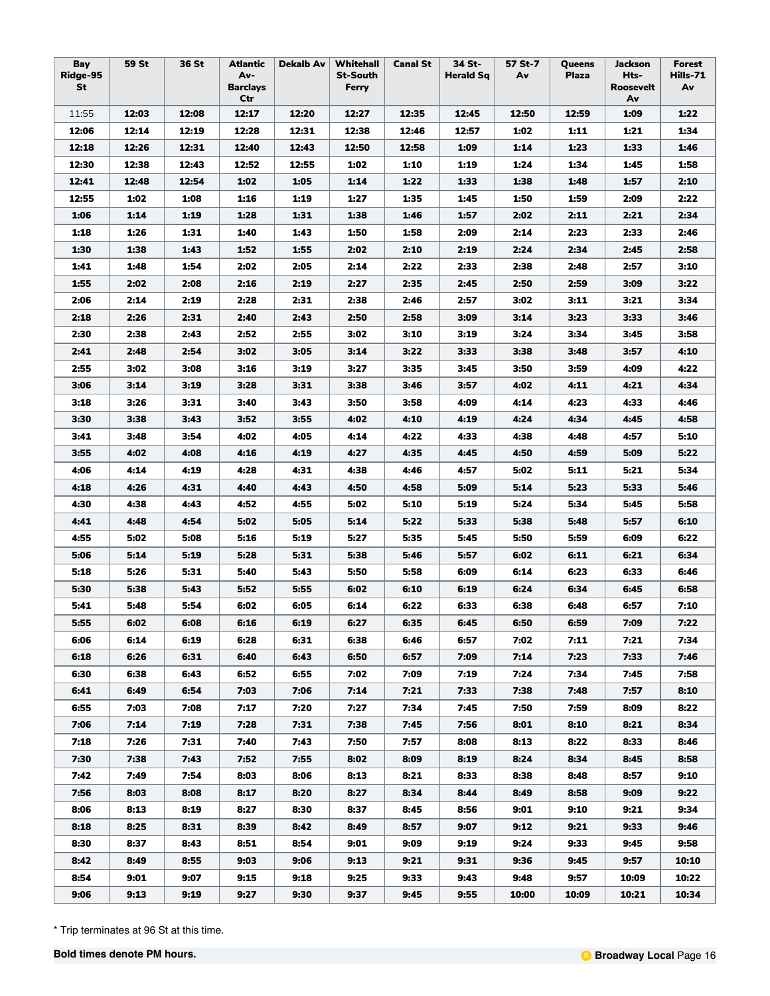| Bay<br>Ridge-95<br>St | 59 St | 36 St | Atlantic<br>Av-<br><b>Barclays</b><br>Ctr | <b>Dekalb Av</b> | Whitehall<br><b>St-South</b><br>Ferry | <b>Canal St</b> | 34 St-<br><b>Herald Sq</b> | 57 St-7<br>Av | Queens<br><b>Plaza</b> | Jackson<br>Hts-<br>Roosevelt<br>Av | <b>Forest</b><br>Hills-71<br>Av |
|-----------------------|-------|-------|-------------------------------------------|------------------|---------------------------------------|-----------------|----------------------------|---------------|------------------------|------------------------------------|---------------------------------|
| 11:55                 | 12:03 | 12:08 | 12:17                                     | 12:20            | 12:27                                 | 12:35           | 12:45                      | 12:50         | 12:59                  | 1:09                               | 1:22                            |
| 12:06                 | 12:14 | 12:19 | 12:28                                     | 12:31            | 12:38                                 | 12:46           | 12:57                      | 1:02          | 1:11                   | 1:21                               | 1:34                            |
| 12:18                 | 12:26 | 12:31 | 12:40                                     | 12:43            | 12:50                                 | 12:58           | 1:09                       | 1:14          | 1:23                   | 1:33                               | 1:46                            |
| 12:30                 | 12:38 | 12:43 | 12:52                                     | 12:55            | 1:02                                  | 1:10            | 1:19                       | 1:24          | 1:34                   | 1:45                               | 1:58                            |
| 12:41                 | 12:48 | 12:54 | 1:02                                      | 1:05             | 1:14                                  | 1:22            | 1:33                       | 1:38          | 1:48                   | 1:57                               | 2:10                            |
| 12:55                 | 1:02  | 1:08  | 1:16                                      | 1:19             | 1:27                                  | 1:35            | 1:45                       | 1:50          | 1:59                   | 2:09                               | 2:22                            |
| 1:06                  | 1:14  | 1:19  | 1:28                                      | 1:31             | 1:38                                  | 1:46            | 1:57                       | 2:02          | 2:11                   | 2:21                               | 2:34                            |
| 1:18                  | 1:26  | 1:31  | 1:40                                      | 1:43             | 1:50                                  | 1:58            | 2:09                       | 2:14          | 2:23                   | 2:33                               | 2:46                            |
| 1:30                  | 1:38  | 1:43  | 1:52                                      | 1:55             | 2:02                                  | 2:10            | 2:19                       | 2:24          | 2:34                   | 2:45                               | 2:58                            |
| 1:41                  | 1:48  | 1:54  | 2:02                                      | 2:05             | 2:14                                  | 2:22            | 2:33                       | 2:38          | 2:48                   | 2:57                               | 3:10                            |
| 1:55                  | 2:02  | 2:08  | 2:16                                      | 2:19             | 2:27                                  | 2:35            | 2:45                       | 2:50          | 2:59                   | 3:09                               | 3:22                            |
| 2:06                  | 2:14  | 2:19  | 2:28                                      | 2:31             | 2:38                                  | 2:46            | 2:57                       | 3:02          | 3:11                   | 3:21                               | 3:34                            |
| 2:18                  | 2:26  | 2:31  | 2:40                                      | 2:43             | 2:50                                  | 2:58            | 3:09                       | 3:14          | 3:23                   | 3:33                               | 3:46                            |
| 2:30                  | 2:38  | 2:43  | 2:52                                      | 2:55             | 3:02                                  | 3:10            | 3:19                       | 3:24          | 3:34                   | 3:45                               | 3:58                            |
| 2:41                  | 2:48  | 2:54  | 3:02                                      | 3:05             | 3:14                                  | 3:22            | 3:33                       | 3:38          | 3:48                   | 3:57                               | 4:10                            |
| 2:55                  | 3:02  | 3:08  | 3:16                                      | 3:19             | 3:27                                  | 3:35            | 3:45                       | 3:50          | 3:59                   | 4:09                               | 4:22                            |
| 3:06                  | 3:14  | 3:19  | 3:28                                      | 3:31             | 3:38                                  | 3:46            | 3:57                       | 4:02          | 4:11                   | 4:21                               | 4:34                            |
| 3:18                  | 3:26  | 3:31  | 3:40                                      | 3:43             | 3:50                                  | 3:58            | 4:09                       | 4:14          | 4:23                   | 4:33                               | 4:46                            |
| 3:30                  | 3:38  | 3:43  | 3:52                                      | 3:55             | 4:02                                  | 4:10            | 4:19                       | 4:24          | 4:34                   | 4:45                               | 4:58                            |
| 3:41                  | 3:48  | 3:54  | 4:02                                      | 4:05             | 4:14                                  | 4:22            | 4:33                       | 4:38          | 4:48                   | 4:57                               | 5:10                            |
| 3:55                  | 4:02  | 4:08  | 4:16                                      | 4:19             | 4:27                                  | 4:35            | 4:45                       | 4:50          | 4:59                   | 5:09                               | 5:22                            |
| 4:06                  | 4:14  | 4:19  | 4:28                                      | 4:31             | 4:38                                  | 4:46            | 4:57                       | 5:02          | 5:11                   | 5:21                               | 5:34                            |
| 4:18                  | 4:26  | 4:31  | 4:40                                      | 4:43             | 4:50                                  | 4:58            | 5:09                       | 5:14          | 5:23                   | 5:33                               | 5:46                            |
| 4:30                  | 4:38  | 4:43  | 4:52                                      | 4:55             | 5:02                                  | 5:10            | 5:19                       | 5:24          | 5:34                   | 5:45                               | 5:58                            |
| 4:41                  | 4:48  | 4:54  | 5:02                                      | 5:05             | 5:14                                  | 5:22            | 5:33                       | 5:38          | 5:48                   | 5:57                               | 6:10                            |
| 4:55                  | 5:02  | 5:08  | 5:16                                      | 5:19             | 5:27                                  | 5:35            | 5:45                       | 5:50          | 5:59                   | 6:09                               | 6:22                            |
| 5:06                  | 5:14  | 5:19  | 5:28                                      | 5:31             | 5:38                                  | 5:46            | 5:57                       | 6:02          | 6:11                   | 6:21                               | 6:34                            |
| 5:18                  | 5:26  | 5:31  | 5:40                                      | 5:43             | 5:50                                  | 5:58            | 6:09                       | 6:14          | 6:23                   | 6:33                               | 6:46                            |
| 5:30                  | 5:38  | 5:43  | 5:52                                      | 5:55             | 6:02                                  | 6:10            | 6:19                       | 6:24          | 6:34                   | 6:45                               | 6:58                            |
| 5:41                  | 5:48  | 5:54  | 6:02                                      | 6:05             | 6:14                                  | 6:22            | 6:33                       | 6:38          | 6:48                   | 6:57                               | 7:10                            |
| 5:55                  | 6:02  | 6:08  | 6:16                                      | 6:19             | 6:27                                  | 6:35            | 6:45                       | 6:50          | 6:59                   | 7:09                               | 7:22                            |
| 6:06                  | 6:14  | 6:19  | 6:28                                      | 6:31             | 6:38                                  | 6:46            | 6:57                       | 7:02          | 7:11                   | 7:21                               | 7:34                            |
| 6:18                  | 6:26  | 6:31  | 6:40                                      | 6:43             | 6:50                                  | 6:57            | 7:09                       | 7:14          | 7:23                   | 7:33                               | 7:46                            |
| 6:30                  | 6:38  | 6:43  | 6:52                                      | 6:55             | 7:02                                  | 7:09            | 7:19                       | 7:24          | 7:34                   | 7:45                               | 7:58                            |
| 6:41                  | 6:49  | 6:54  | 7:03                                      | 7:06             | 7:14                                  | 7:21            | 7:33                       | 7:38          | 7:48                   | 7:57                               | 8:10                            |
| 6:55                  | 7:03  | 7:08  | 7:17                                      | 7:20             | 7:27                                  | 7:34            | 7:45                       | 7:50          | 7:59                   | 8:09                               | 8:22                            |
| 7:06                  | 7:14  | 7:19  | 7:28                                      | 7:31             | 7:38                                  | 7:45            | 7:56                       | 8:01          | 8:10                   | 8:21                               | 8:34                            |
| 7:18                  | 7:26  | 7:31  | 7:40                                      | 7:43             | 7:50                                  | 7:57            | 8:08                       | 8:13          | 8:22                   | 8:33                               | 8:46                            |
| 7:30                  | 7:38  | 7:43  | 7:52                                      | 7:55             | 8:02                                  | 8:09            | 8:19                       | 8:24          | 8:34                   | 8:45                               | 8:58                            |
| 7:42                  | 7:49  | 7:54  | 8:03                                      | 8:06             | 8:13                                  | 8:21            | 8:33                       | 8:38          | 8:48                   | 8:57                               | 9:10                            |
| 7:56                  | 8:03  | 8:08  | 8:17                                      | 8:20             | 8:27                                  | 8:34            | 8:44                       | 8:49          | 8:58                   | 9:09                               | 9:22                            |
| 8:06                  | 8:13  | 8:19  | 8:27                                      | 8:30             | 8:37                                  | 8:45            | 8:56                       | 9:01          | 9:10                   | 9:21                               | 9:34                            |
| 8:18                  | 8:25  | 8:31  | 8:39                                      | 8:42             | 8:49                                  | 8:57            | 9:07                       | 9:12          | 9:21                   | 9:33                               | 9:46                            |
| 8:30                  | 8:37  | 8:43  | 8:51                                      | 8:54             | 9:01                                  | 9:09            | 9:19                       | 9:24          | 9:33                   | 9:45                               | 9:58                            |
| 8:42                  | 8:49  | 8:55  | 9:03                                      | 9:06             | 9:13                                  | 9:21            | 9:31                       | 9:36          | 9:45                   | 9:57                               | 10:10                           |
| 8:54                  | 9:01  | 9:07  | 9:15                                      | 9:18             | 9:25                                  | 9:33            | 9:43                       | 9:48          | 9:57                   | 10:09                              | 10:22                           |
| 9:06                  | 9:13  | 9:19  | 9:27                                      | 9:30             | 9:37                                  | 9:45            | 9:55                       | 10:00         | 10:09                  | 10:21                              | 10:34                           |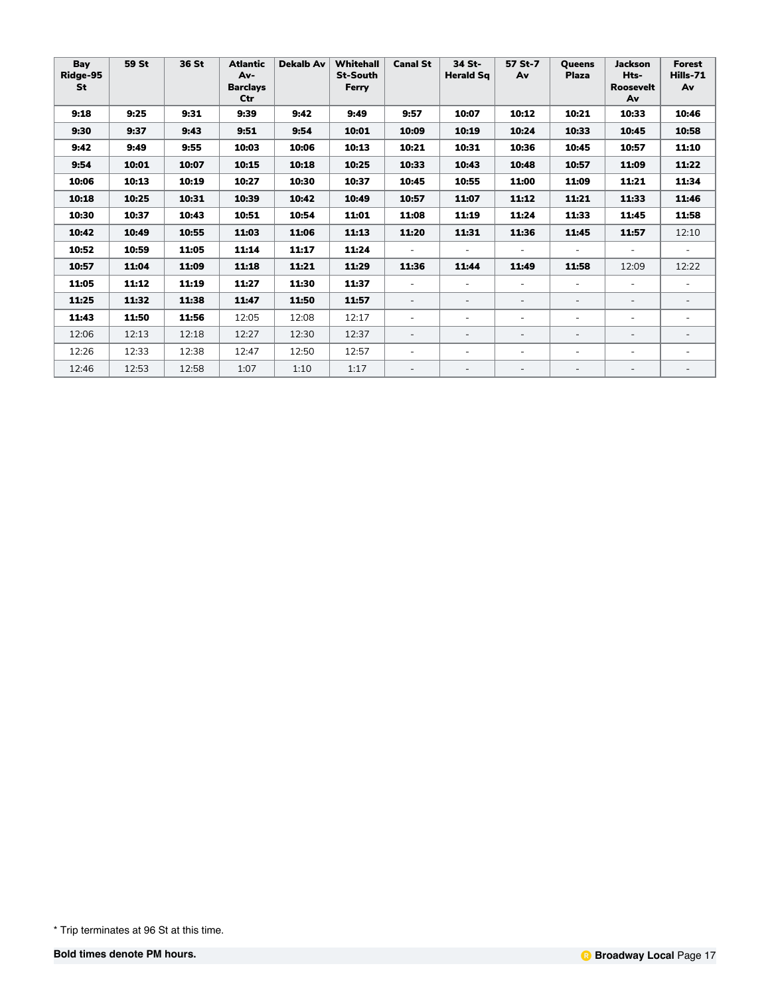| Bay<br>Ridge-95<br><b>St</b> | 59 St | 36 St | <b>Atlantic</b><br>Av-<br><b>Barclays</b><br>Ctr | <b>Dekalb Av</b> | Whitehall<br><b>St-South</b><br>Ferry | <b>Canal St</b>          | 34 St-<br><b>Herald Sg</b> | 57 St-7<br>Av            | <b>Oueens</b><br><b>Plaza</b> | <b>Jackson</b><br>Hts-<br><b>Roosevelt</b><br>Av | <b>Forest</b><br>Hills-71<br>Av |
|------------------------------|-------|-------|--------------------------------------------------|------------------|---------------------------------------|--------------------------|----------------------------|--------------------------|-------------------------------|--------------------------------------------------|---------------------------------|
| 9:18                         | 9:25  | 9:31  | 9:39                                             | 9:42             | 9:49                                  | 9:57                     | 10:07                      | 10:12                    | 10:21                         | 10:33                                            | 10:46                           |
| 9:30                         | 9:37  | 9:43  | 9:51                                             | 9:54             | 10:01                                 | 10:09                    | 10:19                      | 10:24                    | 10:33                         | 10:45                                            | 10:58                           |
| 9:42                         | 9:49  | 9:55  | 10:03                                            | 10:06            | 10:13                                 | 10:21                    | 10:31                      | 10:36                    | 10:45                         | 10:57                                            | 11:10                           |
| 9:54                         | 10:01 | 10:07 | 10:15                                            | 10:18            | 10:25                                 | 10:33                    | 10:43                      | 10:48                    | 10:57                         | 11:09                                            | 11:22                           |
| 10:06                        | 10:13 | 10:19 | 10:27                                            | 10:30            | 10:37                                 | 10:45                    | 10:55                      | 11:00                    | 11:09                         | 11:21                                            | 11:34                           |
| 10:18                        | 10:25 | 10:31 | 10:39                                            | 10:42            | 10:49                                 | 10:57                    | 11:07                      | 11:12                    | 11:21                         | 11:33                                            | 11:46                           |
| 10:30                        | 10:37 | 10:43 | 10:51                                            | 10:54            | 11:01                                 | 11:08                    | 11:19                      | 11:24                    | 11:33                         | 11:45                                            | 11:58                           |
| 10:42                        | 10:49 | 10:55 | 11:03                                            | 11:06            | 11:13                                 | 11:20                    | 11:31                      | 11:36                    | 11:45                         | 11:57                                            | 12:10                           |
| 10:52                        | 10:59 | 11:05 | 11:14                                            | 11:17            | 11:24                                 |                          |                            |                          |                               |                                                  |                                 |
| 10:57                        | 11:04 | 11:09 | 11:18                                            | 11:21            | 11:29                                 | 11:36                    | 11:44                      | 11:49                    | 11:58                         | 12:09                                            | 12:22                           |
| 11:05                        | 11:12 | 11:19 | 11:27                                            | 11:30            | 11:37                                 |                          |                            | $\overline{\phantom{0}}$ |                               | $\equiv$                                         |                                 |
| 11:25                        | 11:32 | 11:38 | 11:47                                            | 11:50            | 11:57                                 |                          |                            | $\overline{\phantom{0}}$ | $\overline{a}$                | $\overline{\phantom{a}}$                         |                                 |
| 11:43                        | 11:50 | 11:56 | 12:05                                            | 12:08            | 12:17                                 | $\overline{\phantom{a}}$ |                            | $\overline{\phantom{0}}$ |                               |                                                  |                                 |
| 12:06                        | 12:13 | 12:18 | 12:27                                            | 12:30            | 12:37                                 | $\overline{\phantom{a}}$ |                            | $\overline{\phantom{0}}$ | $\overline{\phantom{a}}$      | $\overline{\phantom{a}}$                         |                                 |
| 12:26                        | 12:33 | 12:38 | 12:47                                            | 12:50            | 12:57                                 | $\overline{\phantom{a}}$ |                            | $\overline{\phantom{0}}$ | $\overline{\phantom{a}}$      | $\overline{a}$                                   |                                 |
| 12:46                        | 12:53 | 12:58 | 1:07                                             | 1:10             | 1:17                                  | $\overline{\phantom{a}}$ | $\overline{\phantom{0}}$   | $\overline{\phantom{0}}$ | $\overline{\phantom{a}}$      | $\overline{\phantom{a}}$                         | $\overline{\phantom{a}}$        |

<sup>\*</sup> Trip terminates at 96 St at this time.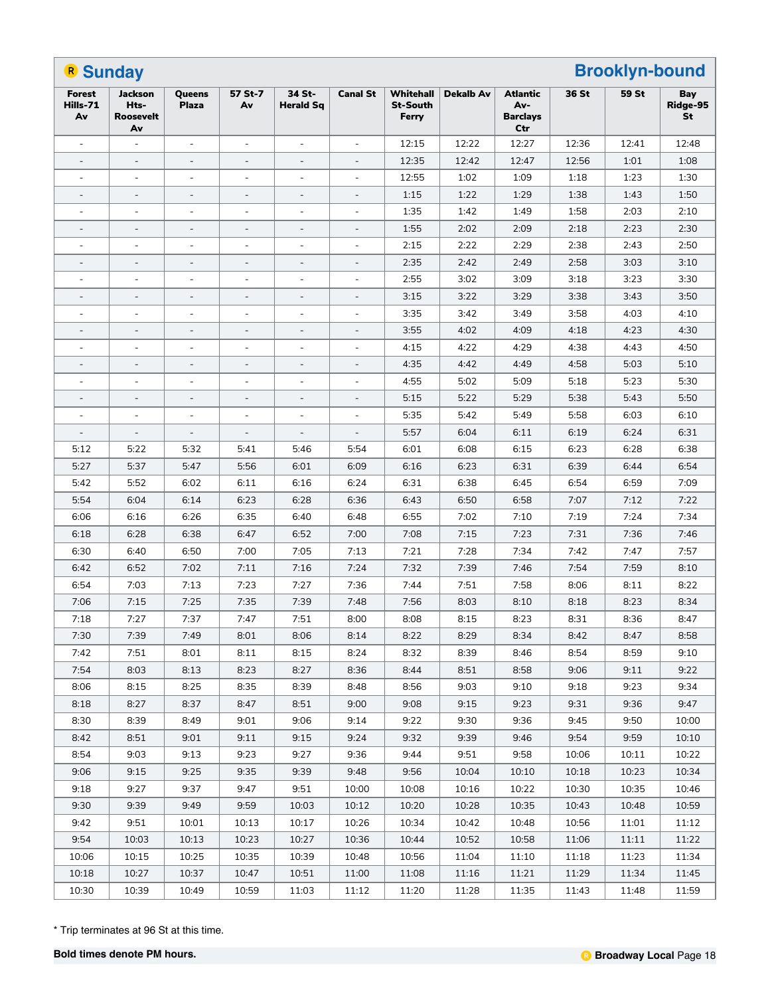| <b>B</b> Sunday                 |                                           |                              |                          |                            |                          |                                       |                  | <b>Brooklyn-bound</b>                     |       |       |                       |
|---------------------------------|-------------------------------------------|------------------------------|--------------------------|----------------------------|--------------------------|---------------------------------------|------------------|-------------------------------------------|-------|-------|-----------------------|
| <b>Forest</b><br>Hills-71<br>Av | Jackson<br>Hts-<br><b>Roosevelt</b><br>Av | Queens<br><b>Plaza</b>       | 57 St-7<br>Av            | 34 St-<br><b>Herald Sq</b> | <b>Canal St</b>          | Whitehall<br><b>St-South</b><br>Ferry | <b>Dekalb Av</b> | Atlantic<br>Av-<br><b>Barclays</b><br>Ctr | 36 St | 59 St | Bay<br>Ridge-95<br>St |
| $\blacksquare$                  |                                           | $\overline{\phantom{a}}$     |                          |                            |                          | 12:15                                 | 12:22            | 12:27                                     | 12:36 | 12:41 | 12:48                 |
| $\qquad \qquad \blacksquare$    | $\overline{\phantom{a}}$                  | $\qquad \qquad \blacksquare$ | $\overline{\phantom{a}}$ | $\overline{\phantom{a}}$   | $\overline{\phantom{a}}$ | 12:35                                 | 12:42            | 12:47                                     | 12:56 | 1:01  | 1:08                  |
| $\blacksquare$                  | $\overline{a}$                            | $\overline{\phantom{a}}$     | $\sim$                   | $\blacksquare$             | $\blacksquare$           | 12:55                                 | 1:02             | 1:09                                      | 1:18  | 1:23  | 1:30                  |
|                                 | $\overline{\phantom{a}}$                  |                              |                          |                            |                          | 1:15                                  | 1:22             | 1:29                                      | 1:38  | 1:43  | 1:50                  |
| ÷,                              |                                           | $\blacksquare$               | ÷,                       | ÷,                         | $\overline{\phantom{a}}$ | 1:35                                  | 1:42             | 1:49                                      | 1:58  | 2:03  | 2:10                  |
| $\overline{\phantom{a}}$        | $\overline{\phantom{a}}$                  | $\qquad \qquad -$            | $\overline{\phantom{a}}$ | $\overline{\phantom{a}}$   | $\overline{\phantom{a}}$ | 1:55                                  | 2:02             | 2:09                                      | 2:18  | 2:23  | 2:30                  |
| $\blacksquare$                  | $\overline{a}$                            | $\overline{a}$               | $\sim$                   | $\blacksquare$             | $\blacksquare$           | 2:15                                  | 2:22             | 2:29                                      | 2:38  | 2:43  | 2:50                  |
|                                 | $\overline{\phantom{a}}$                  |                              | -                        |                            |                          | 2:35                                  | 2:42             | 2:49                                      | 2:58  | 3:03  | 3:10                  |
|                                 |                                           | $\overline{\phantom{a}}$     | L,                       |                            |                          | 2:55                                  | 3:02             | 3:09                                      | 3:18  | 3:23  | 3:30                  |
| $\overline{a}$                  | $\overline{\phantom{a}}$                  | $\qquad \qquad \blacksquare$ | $\overline{\phantom{a}}$ | $\overline{\phantom{a}}$   | $\overline{\phantom{a}}$ | 3:15                                  | 3:22             | 3:29                                      | 3:38  | 3:43  | 3:50                  |
| L,                              | $\sim$                                    | $\overline{\phantom{a}}$     | $\sim$                   | $\blacksquare$             | $\blacksquare$           | 3:35                                  | 3:42             | 3:49                                      | 3:58  | 4:03  | 4:10                  |
|                                 | $\overline{\phantom{a}}$                  |                              | $\overline{\phantom{a}}$ |                            | $\overline{\phantom{a}}$ | 3:55                                  | 4:02             | 4:09                                      | 4:18  | 4:23  | 4:30                  |
|                                 |                                           | $\overline{\phantom{a}}$     | L,                       | ÷,                         | $\overline{\phantom{a}}$ | 4:15                                  | 4:22             | 4:29                                      | 4:38  | 4:43  | 4:50                  |
|                                 | $\overline{\phantom{a}}$                  | $\qquad \qquad -$            | $\overline{\phantom{a}}$ | $\overline{\phantom{a}}$   | $\overline{\phantom{a}}$ | 4:35                                  | 4:42             | 4:49                                      | 4:58  | 5:03  | 5:10                  |
| $\blacksquare$                  | $\overline{a}$                            | $\overline{a}$               | $\sim$                   | $\blacksquare$             | $\blacksquare$           | 4:55                                  | 5:02             | 5:09                                      | 5:18  | 5:23  | 5:30                  |
|                                 | $\overline{\phantom{a}}$                  |                              |                          |                            |                          | 5:15                                  | 5:22             | 5:29                                      | 5:38  | 5:43  | 5:50                  |
|                                 |                                           | $\overline{\phantom{a}}$     |                          |                            |                          | 5:35                                  | 5:42             | 5:49                                      | 5:58  | 6:03  | 6:10                  |
| $\overline{\phantom{a}}$        | $\overline{\phantom{a}}$                  | $\qquad \qquad -$            | $\overline{\phantom{a}}$ | $\overline{\phantom{a}}$   | $\overline{\phantom{a}}$ | 5:57                                  | 6:04             | 6:11                                      | 6:19  | 6:24  | 6:31                  |
| 5:12                            | 5:22                                      | 5:32                         | 5:41                     | 5:46                       | 5:54                     | 6:01                                  | 6:08             | 6:15                                      | 6:23  | 6:28  | 6:38                  |
| 5:27                            | 5:37                                      | 5:47                         | 5:56                     | 6:01                       | 6:09                     | 6:16                                  | 6:23             | 6:31                                      | 6:39  | 6:44  | 6:54                  |
| 5:42                            | 5:52                                      | 6:02                         | 6:11                     | 6:16                       | 6:24                     | 6:31                                  | 6:38             | 6:45                                      | 6:54  | 6:59  | 7:09                  |
| 5:54                            | 6:04                                      | 6:14                         | 6:23                     | 6:28                       | 6:36                     | 6:43                                  | 6:50             | 6:58                                      | 7:07  | 7:12  | 7:22                  |
| 6:06                            | 6:16                                      | 6:26                         | 6:35                     | 6:40                       | 6:48                     | 6:55                                  | 7:02             | 7:10                                      | 7:19  | 7:24  | 7:34                  |
| 6:18                            | 6:28                                      | 6:38                         | 6:47                     | 6:52                       | 7:00                     | 7:08                                  | 7:15             | 7:23                                      | 7:31  | 7:36  | 7:46                  |
| 6:30                            | 6:40                                      | 6:50                         | 7:00                     | 7:05                       | 7:13                     | 7:21                                  | 7:28             | 7:34                                      | 7:42  | 7:47  | 7:57                  |
| 6:42                            | 6:52                                      | 7:02                         | 7:11                     | 7:16                       | 7:24                     | 7:32                                  | 7:39             | 7:46                                      | 7:54  | 7:59  | 8:10                  |
| 6:54                            | 7:03                                      | 7:13                         | 7:23                     | 7:27                       | 7:36                     | 7:44                                  | 7:51             | 7:58                                      | 8:06  | 8:11  | 8:22                  |
| 7:06                            | 7:15                                      | 7:25                         | 7:35                     | 7:39                       | 7:48                     | 7:56                                  | 8:03             | 8:10                                      | 8:18  | 8:23  | 8:34                  |
| 7:18                            | 7:27                                      | 7:37                         | 7:47                     | 7:51                       | 8:00                     | 8:08                                  | 8:15             | 8:23                                      | 8:31  | 8:36  | 8:47                  |
| 7:30                            | 7:39                                      | 7:49                         | 8:01                     | 8:06                       | 8:14                     | 8:22                                  | 8:29             | 8:34                                      | 8:42  | 8:47  | 8:58                  |
| 7:42                            | 7:51                                      | 8:01                         | 8:11                     | 8:15                       | 8:24                     | 8:32                                  | 8:39             | 8:46                                      | 8:54  | 8:59  | 9:10                  |
| 7:54                            | 8:03                                      | 8:13                         | 8:23                     | 8:27                       | 8:36                     | 8:44                                  | 8:51             | 8:58                                      | 9:06  | 9:11  | 9:22                  |
| 8:06                            | 8:15                                      | 8:25                         | 8:35                     | 8:39                       | 8:48                     | 8:56                                  | 9:03             | 9:10                                      | 9:18  | 9:23  | 9:34                  |
| 8:18                            | 8:27                                      | 8:37                         | 8:47                     | 8:51                       | 9:00                     | 9:08                                  | 9:15             | 9:23                                      | 9:31  | 9:36  | 9:47                  |
| 8:30                            | 8:39                                      | 8:49                         | 9:01                     | 9:06                       | 9:14                     | 9:22                                  | 9:30             | 9:36                                      | 9:45  | 9:50  | 10:00                 |
| 8:42                            | 8:51                                      | 9:01                         | 9:11                     | 9:15                       | 9:24                     | 9:32                                  | 9:39             | 9:46                                      | 9:54  | 9:59  | 10:10                 |
| 8:54                            | 9:03                                      | 9:13                         | 9:23                     | 9:27                       | 9:36                     | 9:44                                  | 9:51             | 9:58                                      | 10:06 | 10:11 | 10:22                 |
| 9:06                            | 9:15                                      | 9:25                         | 9:35                     | 9:39                       | 9:48                     | 9:56                                  | 10:04            | 10:10                                     | 10:18 | 10:23 | 10:34                 |
| 9:18                            | 9:27                                      | 9:37                         | 9:47                     | 9:51                       | 10:00                    | 10:08                                 | 10:16            | 10:22                                     | 10:30 | 10:35 | 10:46                 |
| 9:30                            | 9:39                                      | 9:49                         | 9:59                     | 10:03                      | 10:12                    | 10:20                                 | 10:28            | 10:35                                     | 10:43 | 10:48 | 10:59                 |
| 9:42                            | 9:51                                      | 10:01                        | 10:13                    | 10:17                      | 10:26                    | 10:34                                 | 10:42            | 10:48                                     | 10:56 | 11:01 | 11:12                 |
| 9:54                            | 10:03                                     | 10:13                        | 10:23                    | 10:27                      | 10:36                    | 10:44                                 | 10:52            | 10:58                                     | 11:06 | 11:11 | 11:22                 |
| 10:06                           | 10:15                                     | 10:25                        | 10:35                    | 10:39                      | 10:48                    | 10:56                                 | 11:04            | 11:10                                     | 11:18 | 11:23 | 11:34                 |
| 10:18                           | 10:27                                     | 10:37                        | 10:47                    | 10:51                      | 11:00                    | 11:08                                 | 11:16            | 11:21                                     | 11:29 | 11:34 | 11:45                 |
| 10:30                           | 10:39                                     | 10:49                        | 10:59                    | 11:03                      | 11:12                    | 11:20                                 | 11:28            | 11:35                                     | 11:43 | 11:48 | 11:59                 |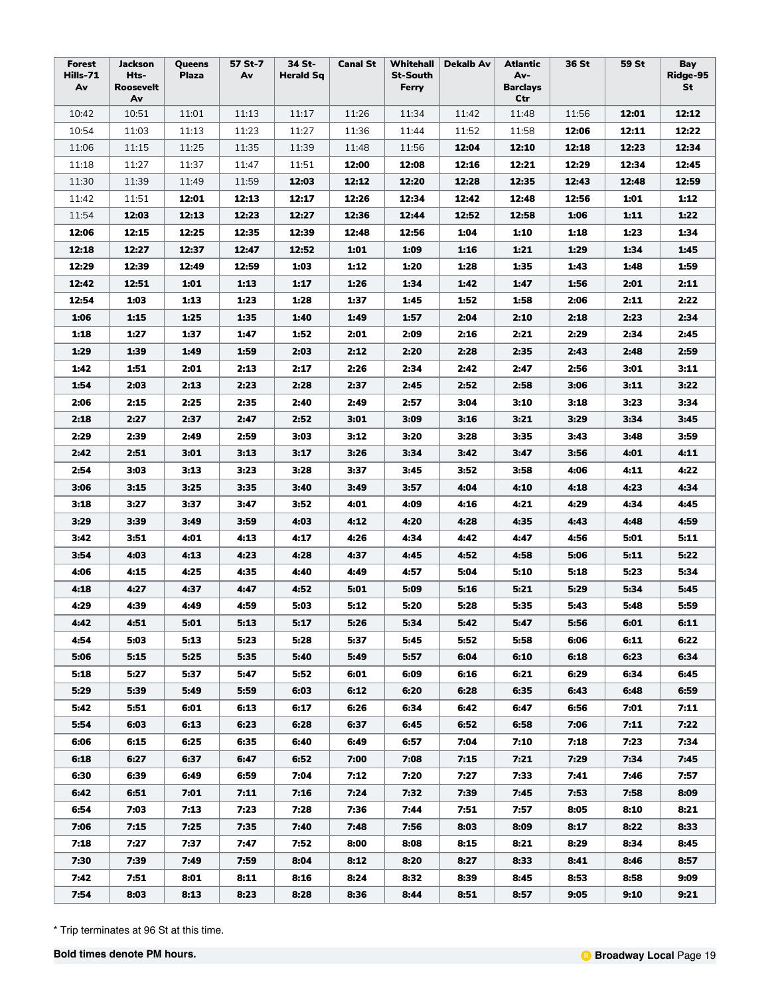| Forest<br>Hills-71 | Jackson<br>Hts- | Queens<br>Plaza | 57 St-7<br>Av | 34 St-<br><b>Herald Sq</b> | <b>Canal St</b> | <b>St-South</b> | Whitehall   Dekalb Av | Atlantic<br>Av-        | 36 St | 59 St | Bay<br>Ridge-95 |
|--------------------|-----------------|-----------------|---------------|----------------------------|-----------------|-----------------|-----------------------|------------------------|-------|-------|-----------------|
| Av                 | Roosevelt<br>Av |                 |               |                            |                 | Ferry           |                       | <b>Barclays</b><br>Ctr |       |       | St              |
| 10:42              | 10:51           | 11:01           | 11:13         | 11:17                      | 11:26           | 11:34           | 11:42                 | 11:48                  | 11:56 | 12:01 | 12:12           |
| 10:54              | 11:03           | 11:13           | 11:23         | 11:27                      | 11:36           | 11:44           | 11:52                 | 11:58                  | 12:06 | 12:11 | 12:22           |
| 11:06              | 11:15           | 11:25           | 11:35         | 11:39                      | 11:48           | 11:56           | 12:04                 | 12:10                  | 12:18 | 12:23 | 12:34           |
| 11:18              | 11:27           | 11:37           | 11:47         | 11:51                      | 12:00           | 12:08           | 12:16                 | 12:21                  | 12:29 | 12:34 | 12:45           |
| 11:30              | 11:39           | 11:49           | 11:59         | 12:03                      | 12:12           | 12:20           | 12:28                 | 12:35                  | 12:43 | 12:48 | 12:59           |
| 11:42              | 11:51           | 12:01           | 12:13         | 12:17                      | 12:26           | 12:34           | 12:42                 | 12:48                  | 12:56 | 1:01  | 1:12            |
| 11:54              | 12:03           | 12:13           | 12:23         | 12:27                      | 12:36           | 12:44           | 12:52                 | 12:58                  | 1:06  | 1:11  | 1:22            |
| 12:06              | 12:15           | 12:25           | 12:35         | 12:39                      | 12:48           | 12:56           | 1:04                  | 1:10                   | 1:18  | 1:23  | 1:34            |
| 12:18              | 12:27           | 12:37           | 12:47         | 12:52                      | 1:01            | 1:09            | 1:16                  | 1:21                   | 1:29  | 1:34  | 1:45            |
| 12:29              | 12:39           | 12:49           | 12:59         | 1:03                       | 1:12            | 1:20            | 1:28                  | 1:35                   | 1:43  | 1:48  | 1:59            |
| 12:42              | 12:51           | 1:01            | 1:13          | 1:17                       | 1:26            | 1:34            | 1:42                  | 1:47                   | 1:56  | 2:01  | 2:11            |
| 12:54              | 1:03            | 1:13            | 1:23          | 1:28                       | 1:37            | 1:45            | 1:52                  | 1:58                   | 2:06  | 2:11  | 2:22            |
| 1:06               | 1:15            | 1:25            | 1:35          | 1:40                       | 1:49            | 1:57            | 2:04                  | 2:10                   | 2:18  | 2:23  | 2:34            |
| 1:18               | 1:27            | 1:37            | 1:47          | 1:52                       | 2:01            | 2:09            | 2:16                  | 2:21                   | 2:29  | 2:34  | 2:45            |
| 1:29               | 1:39            | 1:49            | 1:59          | 2:03                       | 2:12            | 2:20            | 2:28                  | 2:35                   | 2:43  | 2:48  | 2:59            |
| 1:42               | 1:51            | 2:01            | 2:13          | 2:17                       | 2:26            | 2:34            | 2:42                  | 2:47                   | 2:56  | 3:01  | 3:11            |
| 1:54               | 2:03            | 2:13            | 2:23          | 2:28                       | 2:37            | 2:45            | 2:52                  | 2:58                   | 3:06  | 3:11  | 3:22            |
| 2:06               | 2:15            | 2:25            | 2:35          | 2:40                       | 2:49            | 2:57            | 3:04                  | 3:10                   | 3:18  | 3:23  | 3:34            |
| 2:18               | 2:27            | 2:37            | 2:47          | 2:52                       | 3:01            | 3:09            | 3:16                  | 3:21                   | 3:29  | 3:34  | 3:45            |
| 2:29               | 2:39            | 2:49            | 2:59          | 3:03                       | 3:12            | 3:20            | 3:28                  | 3:35                   | 3:43  | 3:48  | 3:59            |
| 2:42               | 2:51            | 3:01            | 3:13          | 3:17                       | 3:26            | 3:34            | 3:42                  | 3:47                   | 3:56  | 4:01  | 4:11            |
| 2:54               | 3:03            | 3:13            | 3:23          | 3:28                       | 3:37            | 3:45            | 3:52                  | 3:58                   | 4:06  | 4:11  | 4:22            |
| 3:06               | 3:15            | 3:25            | 3:35          | 3:40                       | 3:49            | 3:57            | 4:04                  | 4:10                   | 4:18  | 4:23  | 4:34            |
| 3:18               | 3:27            | 3:37            | 3:47          | 3:52                       | 4:01            | 4:09            | 4:16                  | 4:21                   | 4:29  | 4:34  | 4:45            |
| 3:29               | 3:39            | 3:49            | 3:59          | 4:03                       | 4:12            | 4:20            | 4:28                  | 4:35                   | 4:43  | 4:48  | 4:59            |
| 3:42               | 3:51            | 4:01            | 4:13          | 4:17                       | 4:26            | 4:34            | 4:42                  | 4:47                   | 4:56  | 5:01  | 5:11            |
| 3:54               | 4:03            | 4:13            | 4:23          | 4:28                       | 4:37            | 4:45            | 4:52                  | 4:58                   | 5:06  | 5:11  | 5:22            |
| 4:06               | 4:15            | 4:25            | 4:35          | 4:40                       | 4:49            | 4:57            | 5:04                  | 5:10                   | 5:18  | 5:23  | 5:34            |
| 4:18               | 4:27            | 4:37            | 4:47          | 4:52                       | 5:01            | 5:09            | 5:16                  | 5:21                   | 5:29  | 5:34  | 5:45            |
| 4:29               | 4:39            | 4:49            | 4:59          | 5:03                       | 5:12            | 5:20            | 5:28                  | 5:35                   | 5:43  | 5:48  | 5:59            |
| 4:42               | 4:51            | 5:01            | 5:13          | 5:17                       | 5:26            | 5:34            | 5:42                  | 5:47                   | 5:56  | 6:01  | 6:11            |
| 4:54               | 5:03            | 5:13            | 5:23          | 5:28                       | 5:37            | 5:45            | 5:52                  | 5:58                   | 6:06  | 6:11  | 6:22            |
| 5:06               | 5:15            | 5:25            | 5:35          | 5:40                       | 5:49            | 5:57            | 6:04                  | 6:10                   | 6:18  | 6:23  | 6:34            |
| 5:18               | 5:27            | 5:37            | 5:47          | 5:52                       | 6:01            | 6:09            | 6:16                  | 6:21                   | 6:29  | 6:34  | 6:45            |
| 5:29               | 5:39            | 5:49            | 5:59          | 6:03                       | 6:12            | 6:20            | 6:28                  | 6:35                   | 6:43  | 6:48  | 6:59            |
| 5:42               | 5:51            | 6:01            | 6:13          | 6:17                       | 6:26            | 6:34            | 6:42                  | 6:47                   | 6:56  | 7:01  | 7:11            |
| 5:54               | 6:03            | 6:13            | 6:23          | 6:28                       | 6:37            | 6:45            | 6:52                  | 6:58                   | 7:06  | 7:11  | 7:22            |
| 6:06               | 6:15            | 6:25            | 6:35          | 6:40                       | 6:49            | 6:57            | 7:04                  | 7:10                   | 7:18  | 7:23  | 7:34            |
| 6:18               | 6:27            | 6:37            | 6:47          | 6:52                       | 7:00            | 7:08            | 7:15                  | 7:21                   | 7:29  | 7:34  | 7:45            |
| 6:30               | 6:39            | 6:49            | 6:59          | 7:04                       | 7:12            | 7:20            | 7:27                  | 7:33                   | 7:41  | 7:46  | 7:57            |
| 6:42               | 6:51            | 7:01            | 7:11          | 7:16                       | 7:24            | 7:32            | 7:39                  | 7:45                   | 7:53  | 7:58  | 8:09            |
| 6:54               | 7:03            | 7:13            | 7:23          | 7:28                       | 7:36            | 7:44            | 7:51                  | 7:57                   | 8:05  | 8:10  | 8:21            |
| 7:06               | 7:15            | 7:25            | 7:35          | 7:40                       | 7:48            | 7:56            | 8:03                  | 8:09                   | 8:17  | 8:22  | 8:33            |
| 7:18               | 7:27            | 7:37            | 7:47          | 7:52                       | 8:00            | 8:08            | 8:15                  | 8:21                   | 8:29  | 8:34  | 8:45            |
| 7:30               | 7:39            | 7:49            | 7:59          | 8:04                       | 8:12            | 8:20            | 8:27                  | 8:33                   | 8:41  | 8:46  | 8:57            |
| 7:42               | 7:51            | 8:01            | 8:11          | 8:16                       | 8:24            | 8:32            | 8:39                  | 8:45                   | 8:53  | 8:58  | 9:09            |
| 7:54               | 8:03            | 8:13            | 8:23          | 8:28                       | 8:36            | 8:44            | 8:51                  | 8:57                   | 9:05  | 9:10  | 9:21            |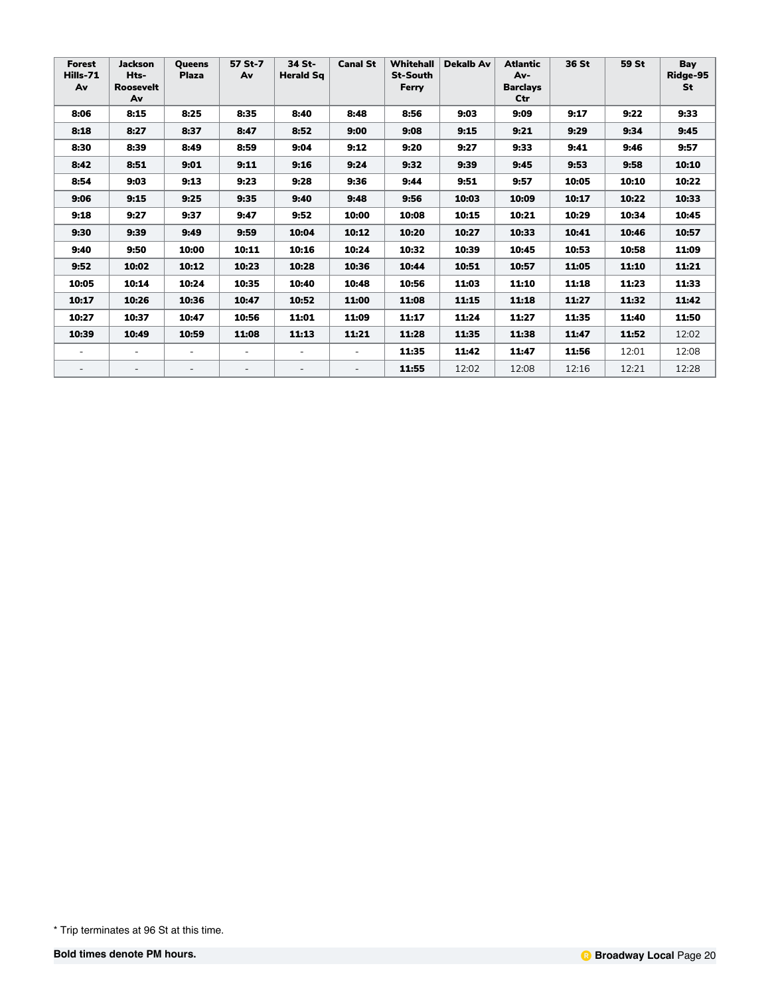| Forest<br>Hills-71<br>Av | <b>Jackson</b><br>Hts-<br><b>Roosevelt</b><br>Av | <b>Oueens</b><br><b>Plaza</b> | 57 St-7<br>Av            | 34 St-<br><b>Herald Sq</b> | <b>Canal St</b>          | <b>Whitehall</b><br><b>St-South</b><br>Ferry | <b>Dekalb Av</b> | <b>Atlantic</b><br>Av-<br><b>Barclays</b><br>Ctr | 36 St | 59 St | Bay<br>Ridge-95<br><b>St</b> |
|--------------------------|--------------------------------------------------|-------------------------------|--------------------------|----------------------------|--------------------------|----------------------------------------------|------------------|--------------------------------------------------|-------|-------|------------------------------|
| 8:06                     | 8:15                                             | 8:25                          | 8:35                     | 8:40                       | 8:48                     | 8:56                                         | 9:03             | 9:09                                             | 9:17  | 9:22  | 9:33                         |
| 8:18                     | 8:27                                             | 8:37                          | 8:47                     | 8:52                       | 9:00                     | 9:08                                         | 9:15             | 9:21                                             | 9:29  | 9:34  | 9:45                         |
| 8:30                     | 8:39                                             | 8:49                          | 8:59                     | 9:04                       | 9:12                     | 9:20                                         | 9:27             | 9:33                                             | 9:41  | 9:46  | 9:57                         |
| 8:42                     | 8:51                                             | 9:01                          | 9:11                     | 9:16                       | 9:24                     | 9:32                                         | 9:39             | 9:45                                             | 9:53  | 9:58  | 10:10                        |
| 8:54                     | 9:03                                             | 9:13                          | 9:23                     | 9:28                       | 9:36                     | 9:44                                         | 9:51             | 9:57                                             | 10:05 | 10:10 | 10:22                        |
| 9:06                     | 9:15                                             | 9:25                          | 9:35                     | 9:40                       | 9:48                     | 9:56                                         | 10:03            | 10:09                                            | 10:17 | 10:22 | 10:33                        |
| 9:18                     | 9:27                                             | 9:37                          | 9:47                     | 9:52                       | 10:00                    | 10:08                                        | 10:15            | 10:21                                            | 10:29 | 10:34 | 10:45                        |
| 9:30                     | 9:39                                             | 9:49                          | 9:59                     | 10:04                      | 10:12                    | 10:20                                        | 10:27            | 10:33                                            | 10:41 | 10:46 | 10:57                        |
| 9:40                     | 9:50                                             | 10:00                         | 10:11                    | 10:16                      | 10:24                    | 10:32                                        | 10:39            | 10:45                                            | 10:53 | 10:58 | 11:09                        |
| 9:52                     | 10:02                                            | 10:12                         | 10:23                    | 10:28                      | 10:36                    | 10:44                                        | 10:51            | 10:57                                            | 11:05 | 11:10 | 11:21                        |
| 10:05                    | 10:14                                            | 10:24                         | 10:35                    | 10:40                      | 10:48                    | 10:56                                        | 11:03            | 11:10                                            | 11:18 | 11:23 | 11:33                        |
| 10:17                    | 10:26                                            | 10:36                         | 10:47                    | 10:52                      | 11:00                    | 11:08                                        | 11:15            | 11:18                                            | 11:27 | 11:32 | 11:42                        |
| 10:27                    | 10:37                                            | 10:47                         | 10:56                    | 11:01                      | 11:09                    | 11:17                                        | 11:24            | 11:27                                            | 11:35 | 11:40 | 11:50                        |
| 10:39                    | 10:49                                            | 10:59                         | 11:08                    | 11:13                      | 11:21                    | 11:28                                        | 11:35            | 11:38                                            | 11:47 | 11:52 | 12:02                        |
| $\overline{\phantom{a}}$ | $\overline{\phantom{a}}$                         |                               | $\overline{\phantom{0}}$ | $\overline{a}$             | $\overline{\phantom{a}}$ | 11:35                                        | 11:42            | 11:47                                            | 11:56 | 12:01 | 12:08                        |
| $\overline{\phantom{a}}$ |                                                  |                               |                          |                            | $\overline{\phantom{a}}$ | 11:55                                        | 12:02            | 12:08                                            | 12:16 | 12:21 | 12:28                        |

<sup>\*</sup> Trip terminates at 96 St at this time.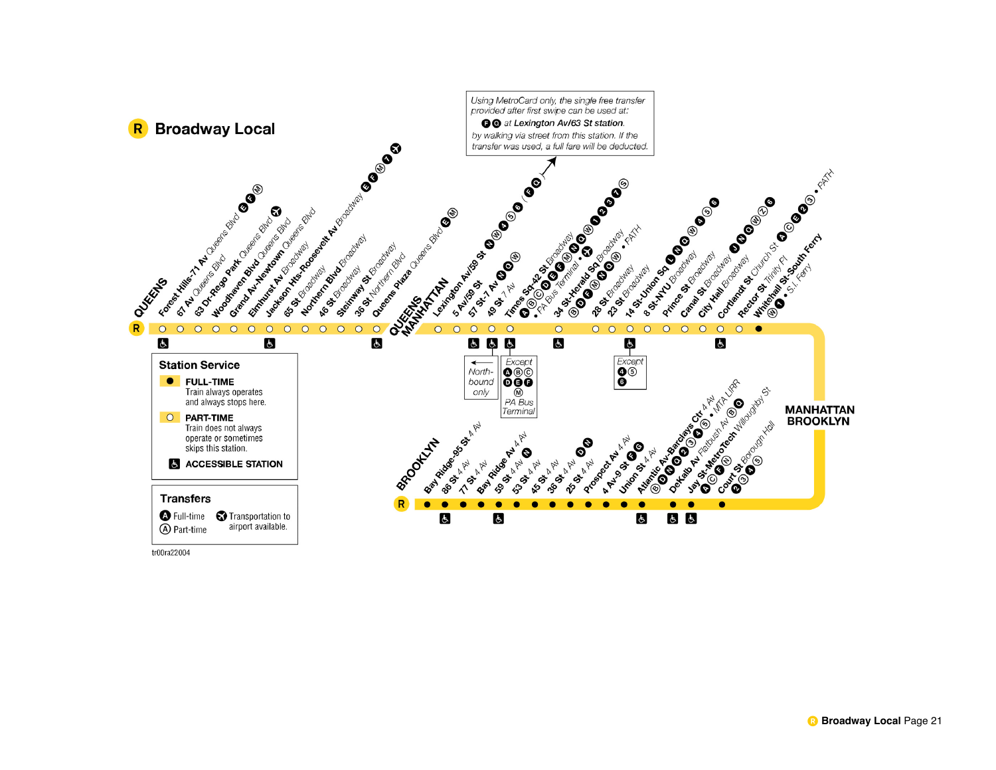

tr00ra22004